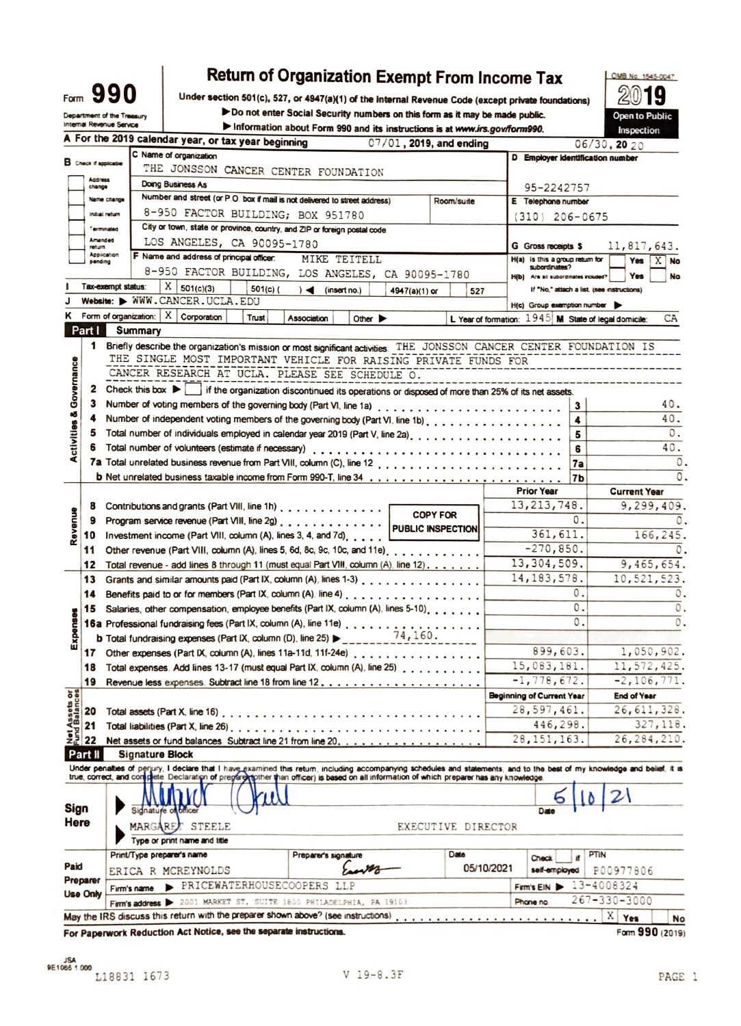|                                    |                              |                                   |         |                                                                                                                   | Return of Organization Exempt From Income Tax                                                      |                      |                             |                         |                          |            |                                                        |                | OMB No. 1545-0047                                                                                                                                                                                                                 |
|------------------------------------|------------------------------|-----------------------------------|---------|-------------------------------------------------------------------------------------------------------------------|----------------------------------------------------------------------------------------------------|----------------------|-----------------------------|-------------------------|--------------------------|------------|--------------------------------------------------------|----------------|-----------------------------------------------------------------------------------------------------------------------------------------------------------------------------------------------------------------------------------|
| Form                               |                              | 990                               |         |                                                                                                                   | Under section 501(c), 527, or 4947(a)(1) of the Internal Revenue Code (except private foundations) |                      |                             |                         |                          |            |                                                        |                |                                                                                                                                                                                                                                   |
|                                    |                              | <b>Department of the Treasury</b> |         |                                                                                                                   | > Do not enter Social Security numbers on this form as it may be made public.                      |                      |                             |                         |                          |            |                                                        |                | Open to Public                                                                                                                                                                                                                    |
|                                    |                              | Internal Revenue Service          |         |                                                                                                                   | Information about Form 990 and its instructions is at www.irs.gov/form990.                         |                      |                             |                         |                          |            |                                                        |                | Inspection                                                                                                                                                                                                                        |
|                                    |                              |                                   |         | A For the 2019 calendar year, or tax year beginning                                                               |                                                                                                    |                      |                             | 07/01, 2019, and ending |                          |            |                                                        |                | 06/30, 20 20                                                                                                                                                                                                                      |
|                                    | <b>B</b> Check if applicable |                                   |         | C Name of organization                                                                                            |                                                                                                    |                      |                             |                         |                          |            | D Employer identification number                       |                |                                                                                                                                                                                                                                   |
|                                    |                              |                                   |         | THE JONSSON CANCER CENTER FOUNDATION                                                                              |                                                                                                    |                      |                             |                         |                          |            |                                                        |                |                                                                                                                                                                                                                                   |
|                                    | Address<br>change            |                                   |         | <b>Doing Business As</b>                                                                                          |                                                                                                    |                      |                             |                         |                          |            | 95-2242757                                             |                |                                                                                                                                                                                                                                   |
|                                    |                              | Name change                       |         | Number and street (or P.O. box if mail is not delivered to street address)                                        |                                                                                                    |                      |                             |                         | Room/suite               |            | E Telephone number                                     |                |                                                                                                                                                                                                                                   |
|                                    |                              | initial return                    |         | 8-950 FACTOR BUILDING; BOX 951780                                                                                 |                                                                                                    |                      |                             |                         |                          |            | $(310)$ 206-0675                                       |                |                                                                                                                                                                                                                                   |
|                                    | Amended                      | Terminated                        |         | City or town, state or province, country, and ZIP or foreign postal code                                          |                                                                                                    |                      |                             |                         |                          |            |                                                        |                |                                                                                                                                                                                                                                   |
|                                    | return                       |                                   |         | LOS ANGELES, CA 90095-1780                                                                                        |                                                                                                    |                      |                             |                         |                          |            | G Gross receipts \$                                    |                | 11,817,643.                                                                                                                                                                                                                       |
|                                    |                              | Application<br>pending            |         | F Name and address of principal officer:                                                                          |                                                                                                    |                      | MIKE TEITELL                |                         |                          |            | H(a) is this a group return for<br>subordinates?       |                | <b>Yes</b><br>$\mathbf{x}$<br><b>No</b>                                                                                                                                                                                           |
|                                    |                              | Tax-exempt status:                |         | 8-950 FACTOR BUILDING, LOS ANGELES, CA 90095-1780<br>$\mathbf{X}$                                                 |                                                                                                    |                      |                             |                         |                          |            | H(b) Are all subordinates included?                    |                | <b>Yes</b><br>No                                                                                                                                                                                                                  |
|                                    |                              |                                   |         | 501(c)(3)<br>Website: WWW.CANCER.UCLA.EDU                                                                         | $501(c)$ (                                                                                         | $\rightarrow$        | (insert no.)                | 4947(a)(1) or           | 527                      |            |                                                        |                | If "No," attach a list. (see instructions)                                                                                                                                                                                        |
| κ                                  |                              | Form of organization: $ X $       |         | Corporation                                                                                                       | Trust                                                                                              | Association          |                             |                         |                          |            | H(c) Group exemption number                            |                |                                                                                                                                                                                                                                   |
|                                    | Part I                       | Summary                           |         |                                                                                                                   |                                                                                                    |                      | Other $\blacktriangleright$ |                         |                          |            | L Year of formation: $1945$ M State of legal domicile: |                | CA                                                                                                                                                                                                                                |
|                                    | $\mathbf{1}$                 |                                   |         |                                                                                                                   |                                                                                                    |                      |                             |                         |                          |            |                                                        |                | Briefly describe the organization's mission or most significant activities: THE JONSSON CANCER CENTER FOUNDATION IS                                                                                                               |
|                                    |                              |                                   |         | THE SINGLE MOST IMPORTANT VEHICLE FOR RAISING PRIVATE FUNDS FOR                                                   |                                                                                                    |                      |                             |                         |                          |            |                                                        |                |                                                                                                                                                                                                                                   |
|                                    |                              |                                   |         | CANCER RESEARCH AT UCLA. PLEASE SEE SCHEDULE O.                                                                   |                                                                                                    |                      |                             |                         |                          |            |                                                        |                |                                                                                                                                                                                                                                   |
| <b>Activities &amp; Governance</b> | 2                            |                                   |         | Check this box in if the organization discontinued its operations or disposed of more than 25% of its net assets. |                                                                                                    |                      |                             |                         |                          |            |                                                        |                |                                                                                                                                                                                                                                   |
|                                    | 3                            |                                   |         |                                                                                                                   |                                                                                                    |                      |                             |                         |                          |            |                                                        | 3              | 40.                                                                                                                                                                                                                               |
|                                    | 4                            |                                   |         | Number of independent voting members of the governing body (Part VI, line 1b),                                    |                                                                                                    |                      |                             |                         |                          |            |                                                        | 4              | 40.                                                                                                                                                                                                                               |
|                                    | 5                            |                                   |         |                                                                                                                   |                                                                                                    |                      |                             |                         |                          |            |                                                        | 5              | 0.                                                                                                                                                                                                                                |
|                                    | 6                            |                                   |         |                                                                                                                   |                                                                                                    |                      |                             |                         |                          |            |                                                        | 6              | 40.                                                                                                                                                                                                                               |
|                                    |                              |                                   |         |                                                                                                                   |                                                                                                    |                      |                             |                         |                          |            |                                                        | 7a             | $\circ$                                                                                                                                                                                                                           |
|                                    |                              |                                   |         |                                                                                                                   |                                                                                                    |                      |                             |                         |                          |            |                                                        | 7 <sub>b</sub> | 0                                                                                                                                                                                                                                 |
|                                    |                              |                                   |         |                                                                                                                   |                                                                                                    |                      |                             |                         |                          |            | <b>Prior Year</b>                                      |                | <b>Current Year</b>                                                                                                                                                                                                               |
|                                    | 8                            |                                   |         | Contributions and grants (Part VIII, line 1h)                                                                     |                                                                                                    |                      |                             |                         |                          |            | 13, 213, 748.                                          |                | 9,299,409.                                                                                                                                                                                                                        |
| Revenue                            | 9                            |                                   |         | Program service revenue (Part VIII, line 2g)                                                                      |                                                                                                    |                      |                             |                         | <b>COPY FOR</b>          |            |                                                        | 0.             |                                                                                                                                                                                                                                   |
|                                    | 10                           |                                   |         | Investment income (Part VIII, column (A), lines 3, 4, and 7d).                                                    |                                                                                                    |                      |                             |                         | <b>PUBLIC INSPECTION</b> |            | 361, 611.                                              |                | 166,245.                                                                                                                                                                                                                          |
|                                    | 11                           |                                   |         | Other revenue (Part VIII, column (A), lines 5, 6d, 8c, 9c, 10c, and 11e),                                         |                                                                                                    |                      |                             |                         |                          |            | $-270,850.$                                            |                | 0                                                                                                                                                                                                                                 |
|                                    | 12                           |                                   |         | Total revenue - add lines 8 through 11 (must equal Part VIII, column (A), line 12).                               |                                                                                                    |                      |                             |                         |                          |            | 13,304,509.                                            |                | 9,465,654.                                                                                                                                                                                                                        |
|                                    | 13                           |                                   |         | Grants and similar amounts paid (Part IX, column (A), lines 1-3)                                                  |                                                                                                    |                      |                             |                         |                          |            | 14, 183, 578.                                          |                | 10,521,523.                                                                                                                                                                                                                       |
|                                    | 14                           |                                   |         | Benefits paid to or for members (Part IX, column (A), line 4)                                                     |                                                                                                    |                      |                             |                         |                          |            |                                                        | 0.             | 0.                                                                                                                                                                                                                                |
|                                    | 15                           |                                   |         | Salaries, other compensation, employee benefits (Part IX, column (A), lines 5-10),                                |                                                                                                    |                      |                             |                         |                          |            |                                                        | 0.             | 0.                                                                                                                                                                                                                                |
|                                    |                              |                                   |         |                                                                                                                   |                                                                                                    |                      |                             |                         |                          |            |                                                        | 0.             | 0.                                                                                                                                                                                                                                |
| Expens                             |                              |                                   |         | <b>b</b> Total fundraising expenses (Part IX, column (D), line 25) $\triangleright$                               |                                                                                                    |                      |                             |                         |                          |            |                                                        |                |                                                                                                                                                                                                                                   |
|                                    | 17                           |                                   |         | Other expenses (Part IX, column (A), lines 11a-11d, 11f-24e)                                                      |                                                                                                    |                      |                             |                         |                          |            | 899,603.                                               |                | 1,050,902.                                                                                                                                                                                                                        |
|                                    | 18                           |                                   |         | Total expenses. Add lines 13-17 (must equal Part IX, column (A), line 25)                                         |                                                                                                    |                      |                             |                         |                          |            | 15,083,181.                                            |                | 11,572,425.                                                                                                                                                                                                                       |
|                                    | 19                           |                                   |         |                                                                                                                   |                                                                                                    |                      |                             |                         |                          |            | $-1,778,672.$                                          |                | $-2,106,771.$                                                                                                                                                                                                                     |
| ិទី                                |                              |                                   |         |                                                                                                                   |                                                                                                    |                      |                             |                         |                          |            | <b>Beginning of Current Year</b>                       |                | <b>End of Year</b>                                                                                                                                                                                                                |
| Assets<br>1Balanc                  | 20                           |                                   |         |                                                                                                                   |                                                                                                    |                      |                             |                         |                          |            | 28,597,461.                                            |                | 26, 611, 328.                                                                                                                                                                                                                     |
|                                    | 21                           |                                   |         |                                                                                                                   |                                                                                                    |                      |                             |                         |                          |            | 446,298.                                               |                | 327, 118.                                                                                                                                                                                                                         |
|                                    | 22                           |                                   |         | Net assets or fund balances. Subtract line 21 from line 20.                                                       |                                                                                                    |                      |                             |                         |                          |            | 28, 151, 163.                                          |                | 26, 284, 210.                                                                                                                                                                                                                     |
|                                    | Part II                      |                                   |         | <b>Signature Block</b>                                                                                            |                                                                                                    |                      |                             |                         |                          |            |                                                        |                |                                                                                                                                                                                                                                   |
|                                    |                              |                                   |         |                                                                                                                   |                                                                                                    |                      |                             |                         |                          |            |                                                        |                | Under penalties of perjury, I declare that I have examined this return, including accompanying schedules and statements, and to the best of my knowledge and belief, it is<br>true, correct, and complete. Declaration of prepare |
|                                    |                              |                                   |         |                                                                                                                   |                                                                                                    |                      |                             |                         |                          |            |                                                        |                |                                                                                                                                                                                                                                   |
| Sign                               |                              |                                   |         |                                                                                                                   |                                                                                                    |                      |                             |                         |                          |            |                                                        |                |                                                                                                                                                                                                                                   |
| Here                               |                              |                                   | MARGARE | <b>STEELE</b>                                                                                                     |                                                                                                    |                      |                             |                         | EXECUTIVE DIRECTOR       |            |                                                        |                |                                                                                                                                                                                                                                   |
|                                    |                              |                                   |         | Type or print name and title                                                                                      |                                                                                                    |                      |                             |                         |                          |            |                                                        |                |                                                                                                                                                                                                                                   |
|                                    |                              |                                   |         | Print/Type preparer's name                                                                                        |                                                                                                    | Preparer's signature |                             |                         | Date                     |            | Check                                                  | if             | PTIN                                                                                                                                                                                                                              |
| Paid                               |                              |                                   |         | ERICA R MCREYNOLDS                                                                                                |                                                                                                    |                      |                             |                         |                          | 05/10/2021 | self-employed                                          |                | P00977806                                                                                                                                                                                                                         |
|                                    | Preparer                     |                                   |         | PRICEWATERHOUSECOOPERS LLP                                                                                        |                                                                                                    |                      |                             |                         |                          |            | Firm's EIN                                             |                | 13-4008324                                                                                                                                                                                                                        |
|                                    | <b>Use Only</b>              | Firm's name                       |         | Firm's address > 2001 MARKET ST, SUITE 1800 PHILADELPHIA, PA 19103                                                |                                                                                                    |                      |                             |                         |                          |            | Phone no                                               |                | $267 - 330 - 3000$                                                                                                                                                                                                                |
|                                    |                              |                                   |         | May the IRS discuss this return with the preparer shown above? (see instructions)                                 |                                                                                                    |                      |                             |                         |                          |            |                                                        |                | $\mathbf{X}$                                                                                                                                                                                                                      |
|                                    |                              |                                   |         | For Paperwork Reduction Act Notice, see the separate instructions.                                                |                                                                                                    |                      |                             |                         |                          |            |                                                        |                | Yes<br>No<br>Form 990 (2019)                                                                                                                                                                                                      |
|                                    |                              |                                   |         |                                                                                                                   |                                                                                                    |                      |                             |                         |                          |            |                                                        |                |                                                                                                                                                                                                                                   |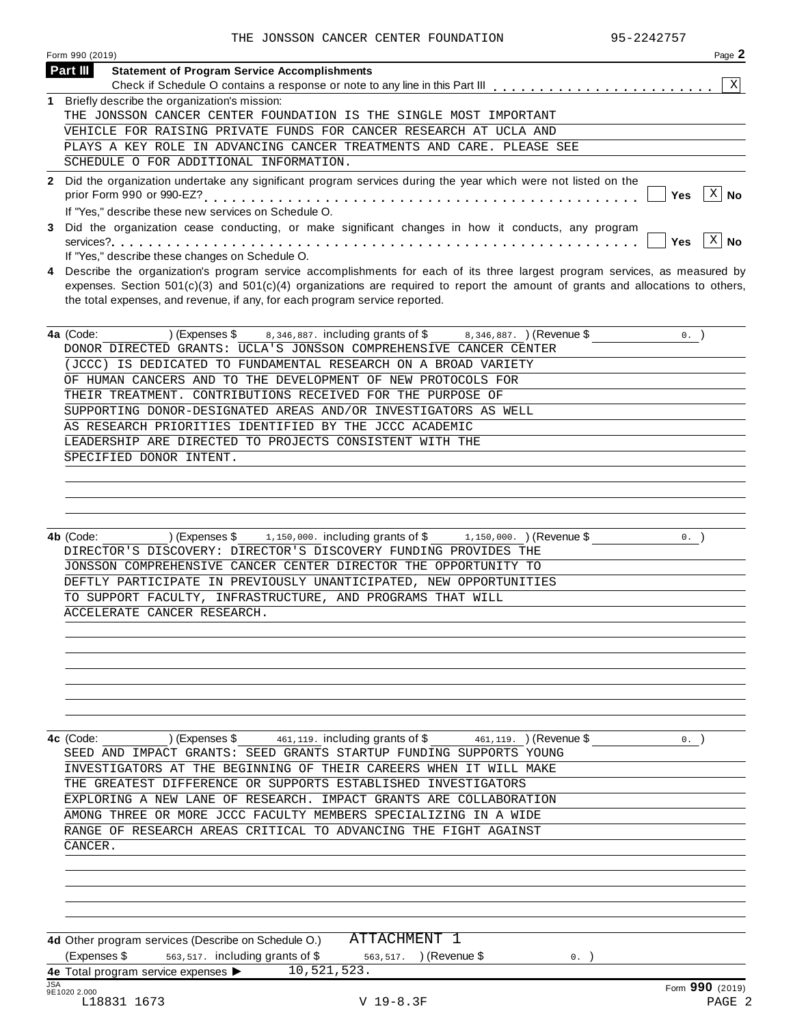| Page 2<br>Form 990 (2019)                                                                                                                                                      |
|--------------------------------------------------------------------------------------------------------------------------------------------------------------------------------|
| Part III<br><b>Statement of Program Service Accomplishments</b>                                                                                                                |
|                                                                                                                                                                                |
| 1 Briefly describe the organization's mission:                                                                                                                                 |
| THE JONSSON CANCER CENTER FOUNDATION IS THE SINGLE MOST IMPORTANT                                                                                                              |
| VEHICLE FOR RAISING PRIVATE FUNDS FOR CANCER RESEARCH AT UCLA AND                                                                                                              |
| PLAYS A KEY ROLE IN ADVANCING CANCER TREATMENTS AND CARE. PLEASE SEE                                                                                                           |
| SCHEDULE O FOR ADDITIONAL INFORMATION.                                                                                                                                         |
| 2 Did the organization undertake any significant program services during the year which were not listed on the<br>$X \mid N$ o<br><b>Yes</b>                                   |
| If "Yes," describe these new services on Schedule O.                                                                                                                           |
| 3 Did the organization cease conducting, or make significant changes in how it conducts, any program<br>$X \mid N$ o<br>Yes<br>If "Yes," describe these changes on Schedule O. |
|                                                                                                                                                                                |

| 4 Describe the organization's program service accomplishments for each of its three largest program services, as measured by       |
|------------------------------------------------------------------------------------------------------------------------------------|
| expenses. Section $501(c)(3)$ and $501(c)(4)$ organizations are required to report the amount of grants and allocations to others, |
| the total expenses, and revenue, if any, for each program service reported.                                                        |

| 4a (Code:<br>$(1.346, 897)$ (Expenses \$8.346,887. including grants of \$8.346,887. ) (Revenue \$<br>$0$ . |
|------------------------------------------------------------------------------------------------------------|
| DONOR DIRECTED GRANTS: UCLA'S JONSSON COMPREHENSIVE CANCER CENTER                                          |
| (JCCC) IS DEDICATED TO FUNDAMENTAL RESEARCH ON A BROAD VARIETY                                             |
| OF HUMAN CANCERS AND TO THE DEVELOPMENT OF NEW PROTOCOLS FOR                                               |
| THEIR TREATMENT. CONTRIBUTIONS RECEIVED FOR THE PURPOSE OF                                                 |
| SUPPORTING DONOR-DESIGNATED AREAS AND/OR INVESTIGATORS AS WELL                                             |
| AS RESEARCH PRIORITIES IDENTIFIED BY THE JCCC ACADEMIC                                                     |
| LEADERSHIP ARE DIRECTED TO PROJECTS CONSISTENT WITH THE                                                    |
| SPECIFIED DONOR INTENT.                                                                                    |
|                                                                                                            |

**4b** (Code: ) (Expenses \$ 1,150,000. including grants of \$ 1,150,000. ) (Revenue \$ 0. ) DIRECTOR'S DISCOVERY: DIRECTOR'S DISCOVERY FUNDING PROVIDES THE JONSSON COMPREHENSIVE CANCER CENTER DIRECTOR THE OPPORTUNITY TO DEFTLY PARTICIPATE IN PREVIOUSLY UNANTICIPATED, NEW OPPORTUNITIES TO SUPPORT FACULTY, INFRASTRUCTURE, AND PROGRAMS THAT WILL ACCELERATE CANCER RESEARCH.

| 4c (Code: |                                                                    | ) (Expenses \$ 461,119. including grants of \$ 461,119. ) (Revenue \$ |  | $\mathbb O$ . |  |
|-----------|--------------------------------------------------------------------|-----------------------------------------------------------------------|--|---------------|--|
|           | SEED AND IMPACT GRANTS: SEED GRANTS STARTUP FUNDING SUPPORTS YOUNG |                                                                       |  |               |  |
|           | INVESTIGATORS AT THE BEGINNING OF THEIR CAREERS WHEN IT WILL MAKE  |                                                                       |  |               |  |
|           | THE GREATEST DIFFERENCE OR SUPPORTS ESTABLISHED INVESTIGATORS      |                                                                       |  |               |  |
|           | EXPLORING A NEW LANE OF RESEARCH. IMPACT GRANTS ARE COLLABORATION  |                                                                       |  |               |  |
|           | AMONG THREE OR MORE JCCC FACULTY MEMBERS SPECIALIZING IN A WIDE    |                                                                       |  |               |  |
|           | RANGE OF RESEARCH AREAS CRITICAL TO ADVANCING THE FIGHT AGAINST    |                                                                       |  |               |  |
| CANCER.   |                                                                    |                                                                       |  |               |  |
|           |                                                                    |                                                                       |  |               |  |

**4d** Other program services (Describe on Schedule O.) (Expenses \$ including grants of \$ ) (Revenue \$ ) 563,517. 563,517. 0. **4e** Total program service expenses ►<br> **4e** Total program service expenses ►<br> **4** 951020 2.000 ATTACHMENT 1 10,521,523.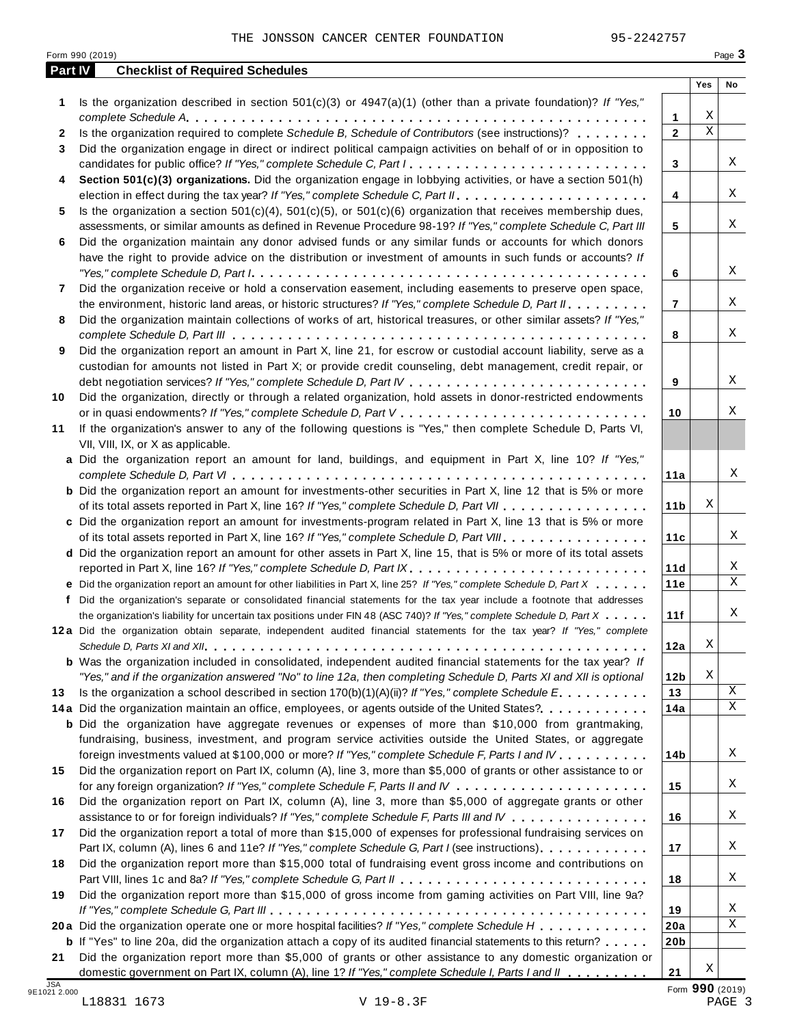|              | Part IV<br><b>Checklist of Required Schedules</b>                                                                                                                                                                            |                 |             |    |
|--------------|------------------------------------------------------------------------------------------------------------------------------------------------------------------------------------------------------------------------------|-----------------|-------------|----|
|              |                                                                                                                                                                                                                              |                 | Yes         | No |
| 1            | Is the organization described in section $501(c)(3)$ or $4947(a)(1)$ (other than a private foundation)? If "Yes,"                                                                                                            |                 |             |    |
|              |                                                                                                                                                                                                                              | 1               | Χ           |    |
| $\mathbf{2}$ | Is the organization required to complete Schedule B, Schedule of Contributors (see instructions)?                                                                                                                            | $\mathbf{2}$    | $\mathbf X$ |    |
| 3            | Did the organization engage in direct or indirect political campaign activities on behalf of or in opposition to                                                                                                             |                 |             |    |
|              | candidates for public office? If "Yes," complete Schedule C, Part I.                                                                                                                                                         | 3               |             | Χ  |
| 4            | Section 501(c)(3) organizations. Did the organization engage in lobbying activities, or have a section 501(h)                                                                                                                |                 |             |    |
|              |                                                                                                                                                                                                                              | 4               |             | X  |
| 5            | Is the organization a section $501(c)(4)$ , $501(c)(5)$ , or $501(c)(6)$ organization that receives membership dues,                                                                                                         |                 |             |    |
|              | assessments, or similar amounts as defined in Revenue Procedure 98-19? If "Yes," complete Schedule C, Part III                                                                                                               | 5               |             | Χ  |
| 6            | Did the organization maintain any donor advised funds or any similar funds or accounts for which donors                                                                                                                      |                 |             |    |
|              | have the right to provide advice on the distribution or investment of amounts in such funds or accounts? If                                                                                                                  |                 |             | X  |
|              | Did the organization receive or hold a conservation easement, including easements to preserve open space,                                                                                                                    | 6               |             |    |
| 7            |                                                                                                                                                                                                                              | $\overline{7}$  |             | Χ  |
| 8            | the environment, historic land areas, or historic structures? If "Yes," complete Schedule D, Part II.<br>Did the organization maintain collections of works of art, historical treasures, or other similar assets? If "Yes," |                 |             |    |
|              |                                                                                                                                                                                                                              | 8               |             | Χ  |
| 9            | Did the organization report an amount in Part X, line 21, for escrow or custodial account liability, serve as a                                                                                                              |                 |             |    |
|              | custodian for amounts not listed in Part X; or provide credit counseling, debt management, credit repair, or                                                                                                                 |                 |             |    |
|              |                                                                                                                                                                                                                              | 9               |             | X  |
| 10           | Did the organization, directly or through a related organization, hold assets in donor-restricted endowments                                                                                                                 |                 |             |    |
|              |                                                                                                                                                                                                                              | 10              |             | Χ  |
| 11           | If the organization's answer to any of the following questions is "Yes," then complete Schedule D, Parts VI,                                                                                                                 |                 |             |    |
|              | VII, VIII, IX, or X as applicable.                                                                                                                                                                                           |                 |             |    |
|              | a Did the organization report an amount for land, buildings, and equipment in Part X, line 10? If "Yes,"                                                                                                                     |                 |             |    |
|              |                                                                                                                                                                                                                              | 11a             |             | Χ  |
|              | <b>b</b> Did the organization report an amount for investments-other securities in Part X, line 12 that is 5% or more                                                                                                        |                 |             |    |
|              | of its total assets reported in Part X, line 16? If "Yes," complete Schedule D, Part VII                                                                                                                                     | 11 <sub>b</sub> | Χ           |    |
|              | c Did the organization report an amount for investments-program related in Part X, line 13 that is 5% or more                                                                                                                |                 |             |    |
|              | of its total assets reported in Part X, line 16? If "Yes," complete Schedule D, Part VIII                                                                                                                                    | 11c             |             | Χ  |
|              | d Did the organization report an amount for other assets in Part X, line 15, that is 5% or more of its total assets                                                                                                          |                 |             |    |
|              | reported in Part X, line 16? If "Yes," complete Schedule D, Part IX.                                                                                                                                                         | 11d             |             | Χ  |
|              | e Did the organization report an amount for other liabilities in Part X, line 25? If "Yes," complete Schedule D, Part X                                                                                                      | 11e             |             | X  |
| f            | Did the organization's separate or consolidated financial statements for the tax year include a footnote that addresses                                                                                                      |                 |             |    |
|              | the organization's liability for uncertain tax positions under FIN 48 (ASC 740)? If "Yes," complete Schedule D, Part X                                                                                                       | 11f             |             | Χ  |
|              | 12a Did the organization obtain separate, independent audited financial statements for the tax year? If "Yes," complete                                                                                                      |                 |             |    |
|              |                                                                                                                                                                                                                              | 12a             | Χ           |    |
|              | <b>b</b> Was the organization included in consolidated, independent audited financial statements for the tax year? If                                                                                                        |                 |             |    |
|              | "Yes," and if the organization answered "No" to line 12a, then completing Schedule D, Parts XI and XII is optional                                                                                                           | 12 <sub>b</sub> | Χ           |    |
| 13           | Is the organization a school described in section $170(b)(1)(A)(ii)$ ? If "Yes," complete Schedule E.                                                                                                                        | 13              |             | Χ  |
|              | 14a Did the organization maintain an office, employees, or agents outside of the United States?.                                                                                                                             | 14a             |             | X  |
|              | <b>b</b> Did the organization have aggregate revenues or expenses of more than \$10,000 from grantmaking,                                                                                                                    |                 |             |    |
|              | fundraising, business, investment, and program service activities outside the United States, or aggregate                                                                                                                    |                 |             |    |
|              | foreign investments valued at \$100,000 or more? If "Yes," complete Schedule F, Parts I and IV                                                                                                                               | 14b             |             | Χ  |
| 15           | Did the organization report on Part IX, column (A), line 3, more than \$5,000 of grants or other assistance to or                                                                                                            |                 |             |    |
|              |                                                                                                                                                                                                                              | 15              |             | Χ  |
| 16           | Did the organization report on Part IX, column (A), line 3, more than \$5,000 of aggregate grants or other                                                                                                                   |                 |             | Χ  |
|              | assistance to or for foreign individuals? If "Yes," complete Schedule F, Parts III and IV                                                                                                                                    | 16              |             |    |
| 17           | Did the organization report a total of more than \$15,000 of expenses for professional fundraising services on                                                                                                               |                 |             | Χ  |
|              | Part IX, column (A), lines 6 and 11e? If "Yes," complete Schedule G, Part I (see instructions)                                                                                                                               | 17              |             |    |
| 18           | Did the organization report more than \$15,000 total of fundraising event gross income and contributions on                                                                                                                  |                 |             | Χ  |
|              | Did the organization report more than \$15,000 of gross income from gaming activities on Part VIII, line 9a?                                                                                                                 | 18              |             |    |
| 19           |                                                                                                                                                                                                                              | 19              |             | Χ  |
|              | 20a Did the organization operate one or more hospital facilities? If "Yes," complete Schedule H                                                                                                                              | 20a             |             | Χ  |
|              | <b>b</b> If "Yes" to line 20a, did the organization attach a copy of its audited financial statements to this return?                                                                                                        | 20 <sub>b</sub> |             |    |
|              |                                                                                                                                                                                                                              |                 |             |    |
| 21           | Did the organization report more than \$5,000 of grants or other assistance to any domestic organization or                                                                                                                  |                 |             |    |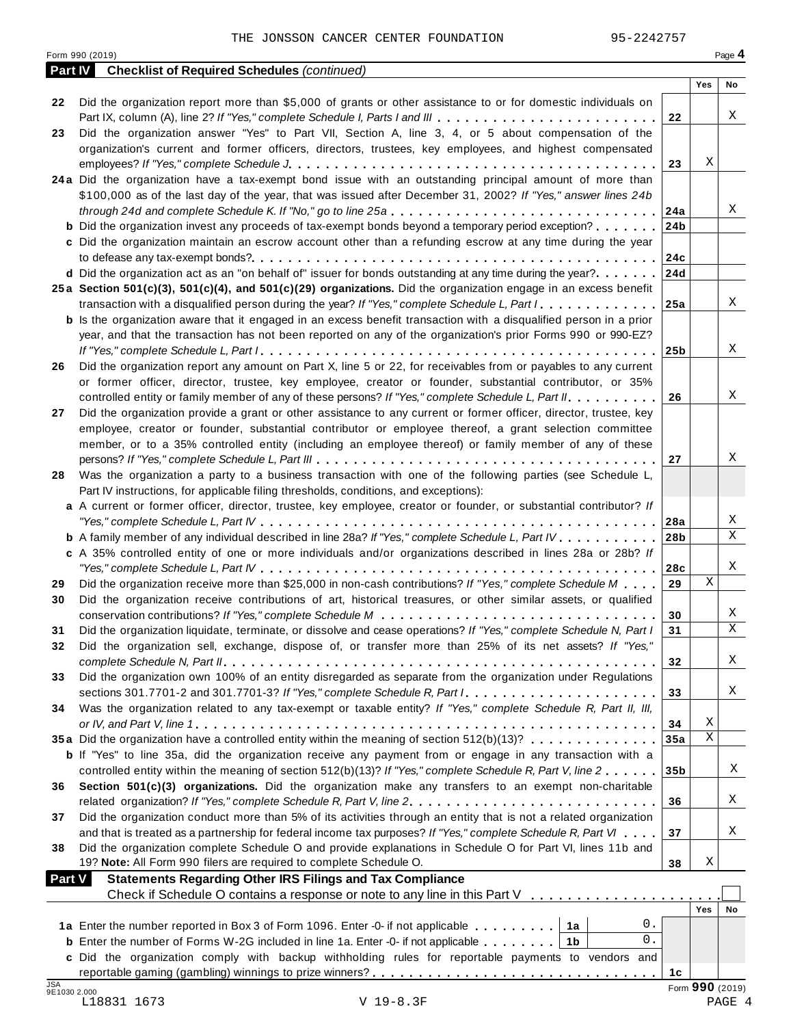|    | Part IV<br><b>Checklist of Required Schedules (continued)</b>                                                             |                 |                 |    |
|----|---------------------------------------------------------------------------------------------------------------------------|-----------------|-----------------|----|
|    |                                                                                                                           |                 | Yes             | No |
| 22 | Did the organization report more than \$5,000 of grants or other assistance to or for domestic individuals on             |                 |                 |    |
|    | Part IX, column (A), line 2? If "Yes," complete Schedule I, Parts I and III                                               | 22              |                 | Χ  |
| 23 | Did the organization answer "Yes" to Part VII, Section A, line 3, 4, or 5 about compensation of the                       |                 |                 |    |
|    | organization's current and former officers, directors, trustees, key employees, and highest compensated                   |                 |                 |    |
|    |                                                                                                                           | 23              | Χ               |    |
|    |                                                                                                                           |                 |                 |    |
|    | 24a Did the organization have a tax-exempt bond issue with an outstanding principal amount of more than                   |                 |                 |    |
|    | \$100,000 as of the last day of the year, that was issued after December 31, 2002? If "Yes," answer lines 24b             |                 |                 |    |
|    |                                                                                                                           | 24a             |                 | Χ  |
|    | <b>b</b> Did the organization invest any proceeds of tax-exempt bonds beyond a temporary period exception?                | 24b             |                 |    |
|    | c Did the organization maintain an escrow account other than a refunding escrow at any time during the year               |                 |                 |    |
|    |                                                                                                                           | 24c             |                 |    |
|    | d Did the organization act as an "on behalf of" issuer for bonds outstanding at any time during the year?                 | 24d             |                 |    |
|    | 25a Section 501(c)(3), 501(c)(4), and 501(c)(29) organizations. Did the organization engage in an excess benefit          |                 |                 |    |
|    | transaction with a disqualified person during the year? If "Yes," complete Schedule L, Part $1, \ldots, \ldots, 1$        |                 |                 | Χ  |
|    | <b>b</b> Is the organization aware that it engaged in an excess benefit transaction with a disqualified person in a prior |                 |                 |    |
|    |                                                                                                                           |                 |                 |    |
|    | year, and that the transaction has not been reported on any of the organization's prior Forms 990 or 990-EZ?              |                 |                 |    |
|    |                                                                                                                           |                 |                 | Χ  |
| 26 | Did the organization report any amount on Part X, line 5 or 22, for receivables from or payables to any current           |                 |                 |    |
|    | or former officer, director, trustee, key employee, creator or founder, substantial contributor, or 35%                   |                 |                 |    |
|    | controlled entity or family member of any of these persons? If "Yes," complete Schedule L, Part II.                       | 26              |                 | Χ  |
| 27 | Did the organization provide a grant or other assistance to any current or former officer, director, trustee, key         |                 |                 |    |
|    | employee, creator or founder, substantial contributor or employee thereof, a grant selection committee                    |                 |                 |    |
|    | member, or to a 35% controlled entity (including an employee thereof) or family member of any of these                    |                 |                 |    |
|    |                                                                                                                           | 27              |                 | Χ  |
| 28 | Was the organization a party to a business transaction with one of the following parties (see Schedule L,                 |                 |                 |    |
|    |                                                                                                                           |                 |                 |    |
|    | Part IV instructions, for applicable filing thresholds, conditions, and exceptions):                                      |                 |                 |    |
|    | a A current or former officer, director, trustee, key employee, creator or founder, or substantial contributor? If        |                 |                 |    |
|    |                                                                                                                           | 28a             |                 | Χ  |
|    | <b>b</b> A family member of any individual described in line 28a? If "Yes," complete Schedule L, Part IV.                 | 28 <sub>b</sub> |                 | X  |
|    | c A 35% controlled entity of one or more individuals and/or organizations described in lines 28a or 28b? If               |                 |                 |    |
|    |                                                                                                                           | 28c             |                 | Χ  |
| 29 | Did the organization receive more than \$25,000 in non-cash contributions? If "Yes," complete Schedule M                  | 29              | Χ               |    |
| 30 | Did the organization receive contributions of art, historical treasures, or other similar assets, or qualified            |                 |                 |    |
|    |                                                                                                                           | 30              |                 | Χ  |
|    | Did the organization liquidate, terminate, or dissolve and cease operations? If "Yes," complete Schedule N, Part I        | 31              |                 | Χ  |
|    |                                                                                                                           |                 |                 |    |
| 32 | Did the organization sell, exchange, dispose of, or transfer more than 25% of its net assets? If "Yes,"                   |                 |                 |    |
|    |                                                                                                                           | 32              |                 | Χ  |
| 33 | Did the organization own 100% of an entity disregarded as separate from the organization under Regulations                |                 |                 |    |
|    | sections 301.7701-2 and 301.7701-3? If "Yes," complete Schedule R, Part I.                                                | 33              |                 | Χ  |
| 34 | Was the organization related to any tax-exempt or taxable entity? If "Yes," complete Schedule R, Part II, III,            |                 |                 |    |
|    |                                                                                                                           | 34              | Χ               |    |
|    | 35a Did the organization have a controlled entity within the meaning of section 512(b)(13)?                               | 35a             | Χ               |    |
|    | <b>b</b> If "Yes" to line 35a, did the organization receive any payment from or engage in any transaction with a          |                 |                 |    |
|    | controlled entity within the meaning of section 512(b)(13)? If "Yes," complete Schedule R, Part V, line 2                 | 35 <sub>b</sub> |                 | Χ  |
| 36 | Section 501(c)(3) organizations. Did the organization make any transfers to an exempt non-charitable                      |                 |                 |    |
|    |                                                                                                                           |                 |                 | Χ  |
|    |                                                                                                                           | 36              |                 |    |
| 37 | Did the organization conduct more than 5% of its activities through an entity that is not a related organization          |                 |                 |    |
|    | and that is treated as a partnership for federal income tax purposes? If "Yes," complete Schedule R, Part VI              | 37              |                 | Χ  |
| 38 | Did the organization complete Schedule O and provide explanations in Schedule O for Part VI, lines 11b and                |                 |                 |    |
|    | 19? Note: All Form 990 filers are required to complete Schedule O.                                                        | 38              | Χ               |    |
|    | <b>Statements Regarding Other IRS Filings and Tax Compliance</b><br><b>Part V</b>                                         |                 |                 |    |
|    | Check if Schedule O contains a response or note to any line in this Part V                                                |                 |                 |    |
|    |                                                                                                                           |                 | Yes             | No |
|    | 0.<br>1a Enter the number reported in Box 3 of Form 1096. Enter -0- if not applicable   1a                                |                 |                 |    |
|    | 0.<br><b>b</b> Enter the number of Forms W-2G included in line 1a. Enter -0- if not applicable   1b                       |                 |                 |    |
|    |                                                                                                                           |                 |                 |    |
|    | c Did the organization comply with backup withholding rules for reportable payments to vendors and                        |                 |                 |    |
|    |                                                                                                                           | 1c              |                 |    |
|    | 9E1030 2.000                                                                                                              |                 | Form 990 (2019) |    |
|    | L18831 1673<br>$V 19-8.3F$                                                                                                |                 | PAGE 4          |    |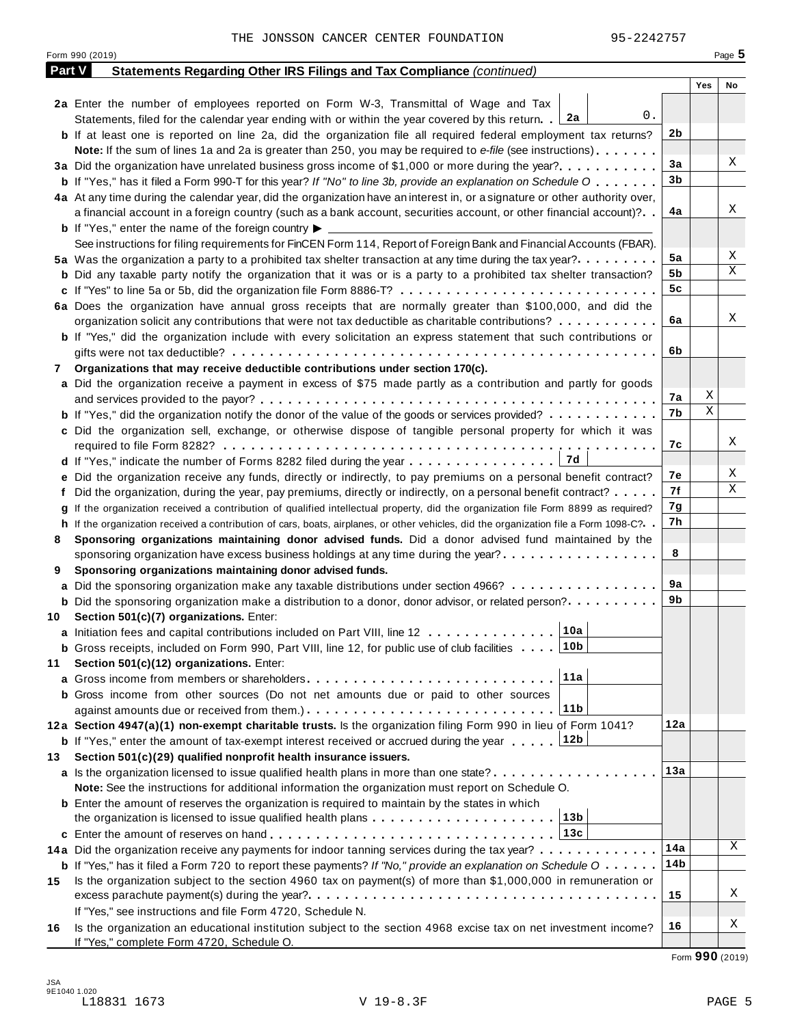|               | Form 990 (2019)                                                                                                                      |          |     | Page 5 |
|---------------|--------------------------------------------------------------------------------------------------------------------------------------|----------|-----|--------|
| <b>Part V</b> | Statements Regarding Other IRS Filings and Tax Compliance (continued)                                                                |          |     |        |
|               |                                                                                                                                      |          | Yes | No     |
|               | 2a Enter the number of employees reported on Form W-3, Transmittal of Wage and Tax                                                   |          |     |        |
|               | 0.<br>Statements, filed for the calendar year ending with or within the year covered by this return. 2a                              |          |     |        |
|               | <b>b</b> If at least one is reported on line 2a, did the organization file all required federal employment tax returns?              | 2b       |     |        |
|               | <b>Note:</b> If the sum of lines 1a and 2a is greater than 250, you may be required to e-file (see instructions).                    |          |     |        |
|               | 3a Did the organization have unrelated business gross income of \$1,000 or more during the year?                                     | 3a       |     | Χ      |
|               | <b>b</b> If "Yes," has it filed a Form 990-T for this year? If "No" to line 3b, provide an explanation on Schedule O                 | 3b       |     |        |
|               | 4a At any time during the calendar year, did the organization have an interest in, or a signature or other authority over,           |          |     |        |
|               | a financial account in a foreign country (such as a bank account, securities account, or other financial account)?                   | 4a       |     | Χ      |
|               | <b>b</b> If "Yes," enter the name of the foreign country $\blacktriangleright$                                                       |          |     |        |
|               | See instructions for filing requirements for FinCEN Form 114, Report of Foreign Bank and Financial Accounts (FBAR).                  |          |     |        |
|               | 5a Was the organization a party to a prohibited tax shelter transaction at any time during the tax year?                             | 5a       |     | Χ      |
|               | <b>b</b> Did any taxable party notify the organization that it was or is a party to a prohibited tax shelter transaction?            | 5b       |     | Χ      |
|               |                                                                                                                                      | 5c       |     |        |
|               | 6a Does the organization have annual gross receipts that are normally greater than \$100,000, and did the                            |          |     |        |
|               | organization solicit any contributions that were not tax deductible as charitable contributions?                                     | 6a       |     | Χ      |
|               | <b>b</b> If "Yes," did the organization include with every solicitation an express statement that such contributions or              |          |     |        |
|               |                                                                                                                                      | 6b       |     |        |
| 7             | Organizations that may receive deductible contributions under section 170(c).                                                        |          |     |        |
|               | a Did the organization receive a payment in excess of \$75 made partly as a contribution and partly for goods                        |          |     |        |
|               |                                                                                                                                      | 7а       | Χ   |        |
|               | <b>b</b> If "Yes," did the organization notify the donor of the value of the goods or services provided?                             | 7b       | Χ   |        |
|               | c Did the organization sell, exchange, or otherwise dispose of tangible personal property for which it was                           |          |     |        |
|               |                                                                                                                                      | 7с       |     | Χ      |
|               | d If "Yes," indicate the number of Forms 8282 filed during the year $\ldots \ldots \ldots \ldots \ldots$                             |          |     |        |
|               |                                                                                                                                      | 7е       |     | Χ      |
|               | e Did the organization receive any funds, directly or indirectly, to pay premiums on a personal benefit contract?                    | 7f       |     | Χ      |
| t.            | Did the organization, during the year, pay premiums, directly or indirectly, on a personal benefit contract?                         |          |     |        |
|               | g If the organization received a contribution of qualified intellectual property, did the organization file Form 8899 as required?   | 7g<br>7h |     |        |
|               | h If the organization received a contribution of cars, boats, airplanes, or other vehicles, did the organization file a Form 1098-C? |          |     |        |
| 8             | Sponsoring organizations maintaining donor advised funds. Did a donor advised fund maintained by the                                 |          |     |        |
|               | sponsoring organization have excess business holdings at any time during the year?                                                   | 8        |     |        |
| 9             | Sponsoring organizations maintaining donor advised funds.                                                                            |          |     |        |
|               | a Did the sponsoring organization make any taxable distributions under section 4966?                                                 | 9а       |     |        |
|               | <b>b</b> Did the sponsoring organization make a distribution to a donor, donor advisor, or related person?                           | 9b       |     |        |
| 10            | Section 501(c)(7) organizations. Enter:                                                                                              |          |     |        |
|               | 10a <br>a Initiation fees and capital contributions included on Part VIII, line 12                                                   |          |     |        |
|               | <b>b</b> Gross receipts, included on Form 990, Part VIII, line 12, for public use of club facilities 10b                             |          |     |        |
| 11            | Section 501(c)(12) organizations. Enter:                                                                                             |          |     |        |
|               | 11a                                                                                                                                  |          |     |        |
|               | b Gross income from other sources (Do not net amounts due or paid to other sources                                                   |          |     |        |
|               | 11b                                                                                                                                  |          |     |        |
|               | 12a Section 4947(a)(1) non-exempt charitable trusts. Is the organization filing Form 990 in lieu of Form 1041?                       | 12a      |     |        |
|               | 12b<br><b>b</b> If "Yes," enter the amount of tax-exempt interest received or accrued during the year                                |          |     |        |
| 13            | Section 501(c)(29) qualified nonprofit health insurance issuers.                                                                     |          |     |        |
|               | a Is the organization licensed to issue qualified health plans in more than one state?                                               | 13а      |     |        |
|               | Note: See the instructions for additional information the organization must report on Schedule O.                                    |          |     |        |
|               | <b>b</b> Enter the amount of reserves the organization is required to maintain by the states in which                                |          |     |        |
|               | 13b<br>the organization is licensed to issue qualified health plans                                                                  |          |     |        |
|               | 13c                                                                                                                                  |          |     |        |
|               | 14a Did the organization receive any payments for indoor tanning services during the tax year?                                       | 14a      |     | Χ      |
|               | <b>b</b> If "Yes," has it filed a Form 720 to report these payments? If "No," provide an explanation on Schedule O                   | 14b      |     |        |
| 15            | Is the organization subject to the section 4960 tax on payment(s) of more than \$1,000,000 in remuneration or                        |          |     |        |
|               |                                                                                                                                      | 15       |     | Χ      |
|               | If "Yes," see instructions and file Form 4720, Schedule N.                                                                           |          |     |        |
| 16            | Is the organization an educational institution subject to the section 4968 excise tax on net investment income?                      | 16       |     | Χ      |
|               | If "Yes," complete Form 4720, Schedule O.                                                                                            |          |     |        |

Form **990** (2019)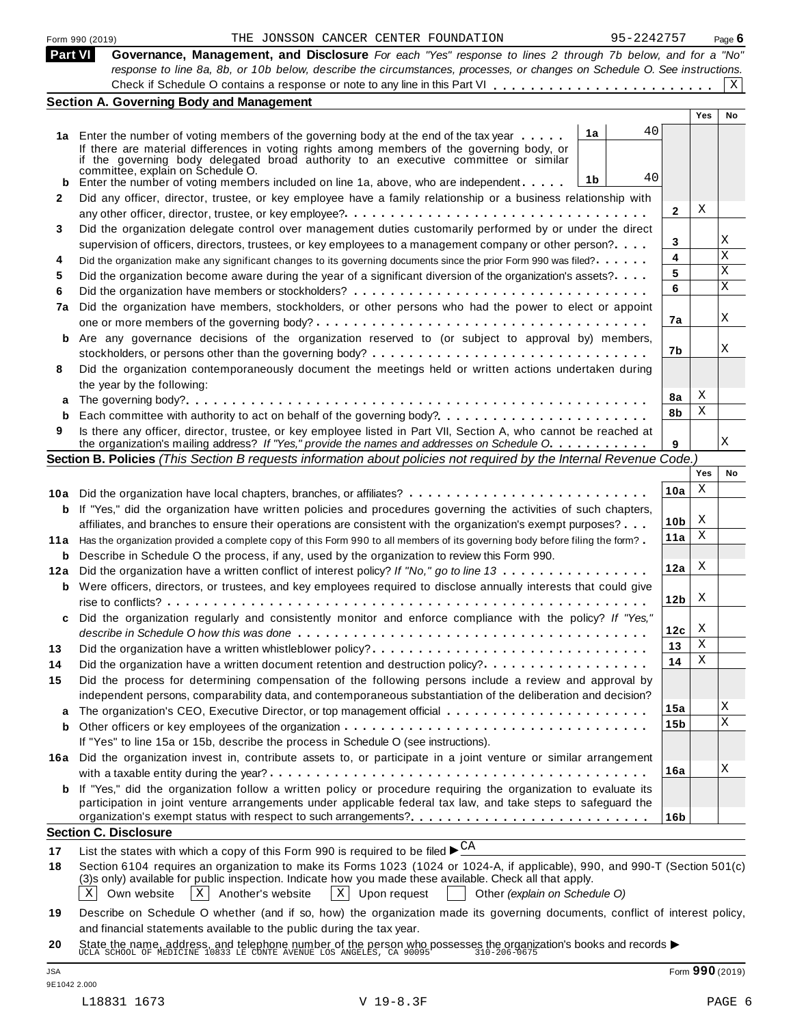|                | 95-2242757<br>THE JONSSON CANCER CENTER FOUNDATION<br>Form 990 (2019)                                                                                                                                |                 |     | Page $6$ |
|----------------|------------------------------------------------------------------------------------------------------------------------------------------------------------------------------------------------------|-----------------|-----|----------|
| <b>Part VI</b> | Governance, Management, and Disclosure For each "Yes" response to lines 2 through 7b below, and for a "No"                                                                                           |                 |     |          |
|                | response to line 8a, 8b, or 10b below, describe the circumstances, processes, or changes on Schedule O. See instructions.                                                                            |                 |     | X        |
|                | <b>Section A. Governing Body and Management</b>                                                                                                                                                      |                 |     |          |
|                |                                                                                                                                                                                                      |                 | Yes | No       |
|                | 40<br>1a<br>1a Enter the number of voting members of the governing body at the end of the tax year                                                                                                   |                 |     |          |
|                | If there are material differences in voting rights among members of the governing body, or                                                                                                           |                 |     |          |
|                | if the governing body delegated broad authority to an executive committee or similar                                                                                                                 |                 |     |          |
|                | committee, explain on Schedule O.<br>40<br>1 <sub>b</sub><br>Enter the number of voting members included on line 1a, above, who are independent                                                      |                 |     |          |
| b<br>2         | Did any officer, director, trustee, or key employee have a family relationship or a business relationship with                                                                                       |                 |     |          |
|                |                                                                                                                                                                                                      | 2               | Χ   |          |
| 3              | Did the organization delegate control over management duties customarily performed by or under the direct                                                                                            |                 |     |          |
|                | supervision of officers, directors, trustees, or key employees to a management company or other person?                                                                                              | 3               |     | Χ        |
| 4              | Did the organization make any significant changes to its governing documents since the prior Form 990 was filed?                                                                                     | 4               |     | X        |
| 5              | Did the organization become aware during the year of a significant diversion of the organization's assets?                                                                                           | 5               |     | X        |
|                |                                                                                                                                                                                                      | 6               |     | X        |
| 6<br>7a        | Did the organization have members, stockholders, or other persons who had the power to elect or appoint                                                                                              |                 |     |          |
|                |                                                                                                                                                                                                      | 7a              |     | X        |
|                | b Are any governance decisions of the organization reserved to (or subject to approval by) members,                                                                                                  |                 |     |          |
|                |                                                                                                                                                                                                      | 7b              |     | Χ        |
| 8              | Did the organization contemporaneously document the meetings held or written actions undertaken during                                                                                               |                 |     |          |
|                | the year by the following:                                                                                                                                                                           |                 |     |          |
| a              |                                                                                                                                                                                                      | 8a              | Χ   |          |
| b              |                                                                                                                                                                                                      | 8b              | Χ   |          |
| 9              | Is there any officer, director, trustee, or key employee listed in Part VII, Section A, who cannot be reached at                                                                                     |                 |     |          |
|                | the organization's mailing address? If "Yes," provide the names and addresses on Schedule O.                                                                                                         | 9               |     | Χ        |
|                | Section B. Policies (This Section B requests information about policies not required by the Internal Revenue Code.)                                                                                  |                 |     |          |
|                |                                                                                                                                                                                                      |                 | Yes | No       |
|                | 10a Did the organization have local chapters, branches, or affiliates?                                                                                                                               | 10a             | Χ   |          |
|                | <b>b</b> If "Yes," did the organization have written policies and procedures governing the activities of such chapters,                                                                              |                 |     |          |
|                | affiliates, and branches to ensure their operations are consistent with the organization's exempt purposes?                                                                                          | 10 <sub>b</sub> | Χ   |          |
| 11 a           | Has the organization provided a complete copy of this Form 990 to all members of its governing body before filing the form?                                                                          | 11a             | Χ   |          |
| b              | Describe in Schedule O the process, if any, used by the organization to review this Form 990.                                                                                                        |                 |     |          |
| 12a            | Did the organization have a written conflict of interest policy? If "No," go to line 13                                                                                                              | 12a             | Χ   |          |
|                | <b>b</b> Were officers, directors, or trustees, and key employees required to disclose annually interests that could give                                                                            |                 |     |          |
|                |                                                                                                                                                                                                      | 12 <sub>b</sub> | X   |          |
|                | Did the organization regularly and consistently monitor and enforce compliance with the policy? If "Yes,"                                                                                            |                 |     |          |
|                |                                                                                                                                                                                                      | 12c             | X   |          |
|                | Did the organization have a written whistleblower policy?                                                                                                                                            | 13              | Χ   |          |
| 14             | Did the organization have a written document retention and destruction policy?                                                                                                                       | 14              | Χ   |          |
| 15             | Did the process for determining compensation of the following persons include a review and approval by                                                                                               |                 |     |          |
|                | independent persons, comparability data, and contemporaneous substantiation of the deliberation and decision?                                                                                        |                 |     |          |
|                |                                                                                                                                                                                                      | 15a             |     | Χ<br>X   |
| b              |                                                                                                                                                                                                      | 15b             |     |          |
|                | If "Yes" to line 15a or 15b, describe the process in Schedule O (see instructions).                                                                                                                  |                 |     |          |
|                | 16a Did the organization invest in, contribute assets to, or participate in a joint venture or similar arrangement                                                                                   |                 |     | Χ        |
|                |                                                                                                                                                                                                      | 16a             |     |          |
|                | <b>b</b> If "Yes," did the organization follow a written policy or procedure requiring the organization to evaluate its                                                                              |                 |     |          |
|                | participation in joint venture arrangements under applicable federal tax law, and take steps to safeguard the                                                                                        |                 |     |          |
|                |                                                                                                                                                                                                      | 16 <sub>b</sub> |     |          |
|                | <b>Section C. Disclosure</b>                                                                                                                                                                         |                 |     |          |
| 17             | List the states with which a copy of this Form 990 is required to be filed $\blacktriangleright \frac{CA}{A}$                                                                                        |                 |     |          |
|                | Section 6104 requires an organization to make its Forms 1023 (1024 or 1024-A, if applicable), 990, and 990-T (Section 501(c)                                                                         |                 |     |          |
| 18             |                                                                                                                                                                                                      |                 |     |          |
|                | (3)s only) available for public inspection. Indicate how you made these available. Check all that apply.                                                                                             |                 |     |          |
|                | $\mathbf{X}$<br>X<br>Own website<br>Another's website<br>Upon request<br>ΧI<br>Other (explain on Schedule O)                                                                                         |                 |     |          |
|                | Describe on Schedule O whether (and if so, how) the organization made its governing documents, conflict of interest policy,<br>and financial statements available to the public during the tax year. |                 |     |          |

JSA Form **990** (2019)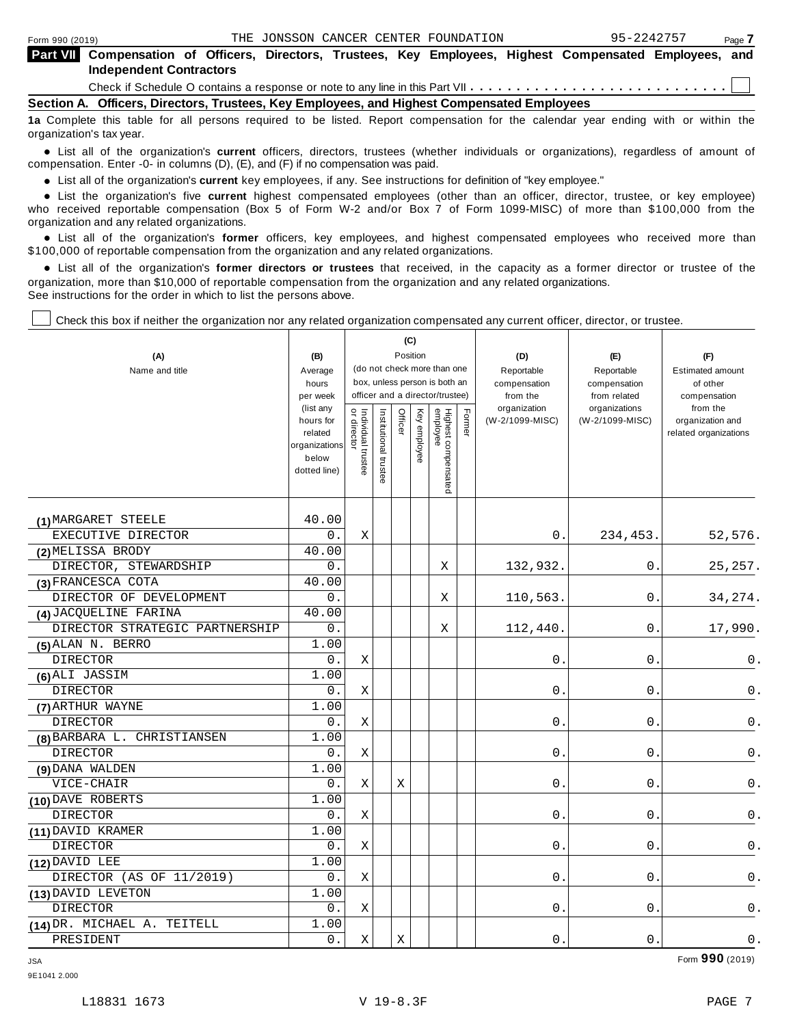| Part VII Compensation of Officers, Directors, Trustees, Key Employees, Highest Compensated Employees, and          |  |  |  |  |  |
|--------------------------------------------------------------------------------------------------------------------|--|--|--|--|--|
| Independent Contractors                                                                                            |  |  |  |  |  |
| Check if Schedule O contains a response or note to any line in this Part VII $\ldots$ ,,,,,,,,,,,,,,,,,,,,,,,,,,,, |  |  |  |  |  |

**Section A. Officers, Directors, Trustees, Key Employees, and Highest Compensated Employees**

**1a** Complete this table for all persons required to be listed. Report compensation for the calendar year ending with or within the organization's tax year.

anization's lax year.<br>● List all of the organization's **current** officers, directors, trustees (whether individuals or organizations), regardless of amount of<br>nnensation Enter -0- in columns (D) (E) and (E) if no compensa compensation. Enter -0- in columns (D), (E), and (F) if no compensation was paid.

• List all of the organization's **current** key employees, if any. See instructions for definition of "key employee."<br>● List the experientials five expect highest expressed explores (other than an efficer director of

**Example in the organization's current** key employees, if any. See instructions for definition of key employee.<br>• List the organization's five **current** highest compensated employees (other than an officer, director, trust who received reportable compensation (Box 5 of Form W-2 and/or Box 7 of Form 1099-MISC) of more than \$100,000 from the

organization and any related organizations.<br>• List all of the organization's **former** officers, key employees, and highest compensated employees who received more than<br>\$1.00.000 of reportable componention from the erganiza \$100,000 of reportable compensation from the organization and any related organizations.

% List all of the organization's **former directors or trustees** that received, in the capacity as a former director or trustee of the organization, more than \$10,000 of reportable compensation from the organization and any related organizations. See instructions for the order in which to list the persons above.

┰

Check this box if neither the organization nor any related organization compensated any current officer, director, or trustee.

| (A)<br>Name and title          | (B)<br>Average<br>hours                                                                 |                                   |                       |             | (C)<br>Position | (do not check more than one<br>box, unless person is both an       |        | (D)<br>Reportable<br>compensation           | (E)<br>Reportable<br>compensation                | (F)<br><b>Estimated amount</b><br>of other                            |
|--------------------------------|-----------------------------------------------------------------------------------------|-----------------------------------|-----------------------|-------------|-----------------|--------------------------------------------------------------------|--------|---------------------------------------------|--------------------------------------------------|-----------------------------------------------------------------------|
|                                | per week<br>(list any<br>hours for<br>related<br>organizations<br>below<br>dotted line) | Individual trustee<br>or director | Institutional trustee | Officer     | Key employee    | officer and a director/trustee)<br>Highest compensated<br>employee | Former | from the<br>organization<br>(W-2/1099-MISC) | from related<br>organizations<br>(W-2/1099-MISC) | compensation<br>from the<br>organization and<br>related organizations |
| (1) MARGARET STEELE            | 40.00                                                                                   |                                   |                       |             |                 |                                                                    |        |                                             |                                                  |                                                                       |
| EXECUTIVE DIRECTOR             | $0$ .                                                                                   | Х                                 |                       |             |                 |                                                                    |        | 0.                                          | 234,453.                                         | 52,576.                                                               |
| (2) MELISSA BRODY              | 40.00                                                                                   |                                   |                       |             |                 |                                                                    |        |                                             |                                                  |                                                                       |
| DIRECTOR, STEWARDSHIP          | $\mathbf 0$ .                                                                           |                                   |                       |             |                 | Χ                                                                  |        | 132,932.                                    | 0.                                               | 25, 257.                                                              |
| (3) FRANCESCA COTA             | 40.00                                                                                   |                                   |                       |             |                 |                                                                    |        |                                             |                                                  |                                                                       |
| DIRECTOR OF DEVELOPMENT        | 0.                                                                                      |                                   |                       |             |                 | Χ                                                                  |        | 110,563.                                    | 0.                                               | 34, 274.                                                              |
| (4) JACQUELINE FARINA          | 40.00                                                                                   |                                   |                       |             |                 |                                                                    |        |                                             |                                                  |                                                                       |
| DIRECTOR STRATEGIC PARTNERSHIP | 0.                                                                                      |                                   |                       |             |                 | Χ                                                                  |        | 112,440                                     | 0.                                               | 17,990.                                                               |
| (5) ALAN N. BERRO              | 1.00                                                                                    |                                   |                       |             |                 |                                                                    |        |                                             |                                                  |                                                                       |
| <b>DIRECTOR</b>                | 0.                                                                                      | X                                 |                       |             |                 |                                                                    |        | 0                                           | 0                                                | 0.                                                                    |
| $(6)$ ALI JASSIM               | 1.00                                                                                    |                                   |                       |             |                 |                                                                    |        |                                             |                                                  |                                                                       |
| <b>DIRECTOR</b>                | 0.                                                                                      | Χ                                 |                       |             |                 |                                                                    |        | 0                                           | 0                                                | 0.                                                                    |
| (7) ARTHUR WAYNE               | 1.00                                                                                    |                                   |                       |             |                 |                                                                    |        |                                             |                                                  |                                                                       |
| <b>DIRECTOR</b>                | 0.                                                                                      | Χ                                 |                       |             |                 |                                                                    |        | $\mathsf{0}$ .                              | 0                                                | 0.                                                                    |
| (8) BARBARA L. CHRISTIANSEN    | 1.00                                                                                    |                                   |                       |             |                 |                                                                    |        |                                             |                                                  |                                                                       |
| <b>DIRECTOR</b>                | Ο.                                                                                      | Χ                                 |                       |             |                 |                                                                    |        | 0                                           | 0                                                | 0.                                                                    |
| (9) DANA WALDEN                | 1.00                                                                                    |                                   |                       |             |                 |                                                                    |        |                                             |                                                  |                                                                       |
| VICE-CHAIR                     | 0.                                                                                      | X                                 |                       | $\mathbf X$ |                 |                                                                    |        | 0                                           | 0                                                | 0.                                                                    |
| (10) DAVE ROBERTS              | 1.00                                                                                    |                                   |                       |             |                 |                                                                    |        |                                             |                                                  |                                                                       |
| <b>DIRECTOR</b>                | $0$ .                                                                                   | Х                                 |                       |             |                 |                                                                    |        | 0                                           | 0                                                | 0.                                                                    |
| (11) DAVID KRAMER              | 1.00                                                                                    |                                   |                       |             |                 |                                                                    |        |                                             |                                                  |                                                                       |
| <b>DIRECTOR</b>                | 0.                                                                                      | Χ                                 |                       |             |                 |                                                                    |        | 0                                           | 0                                                | $0$ .                                                                 |
| (12) DAVID LEE                 | 1.00                                                                                    |                                   |                       |             |                 |                                                                    |        |                                             |                                                  |                                                                       |
| DIRECTOR (AS OF 11/2019)       | 0.                                                                                      | Χ                                 |                       |             |                 |                                                                    |        | 0                                           | 0                                                | 0.                                                                    |
| (13) DAVID LEVETON             | 1.00                                                                                    |                                   |                       |             |                 |                                                                    |        |                                             |                                                  |                                                                       |
| <b>DIRECTOR</b>                | 0.                                                                                      | Χ                                 |                       |             |                 |                                                                    |        | 0                                           | 0                                                | 0.                                                                    |
| (14) DR. MICHAEL A. TEITELL    | 1.00                                                                                    |                                   |                       |             |                 |                                                                    |        |                                             |                                                  |                                                                       |
| PRESIDENT                      | 0.                                                                                      | X                                 |                       | X           |                 |                                                                    |        | 0.                                          | 0                                                | $0$ .                                                                 |

JSA Form **990** (2019)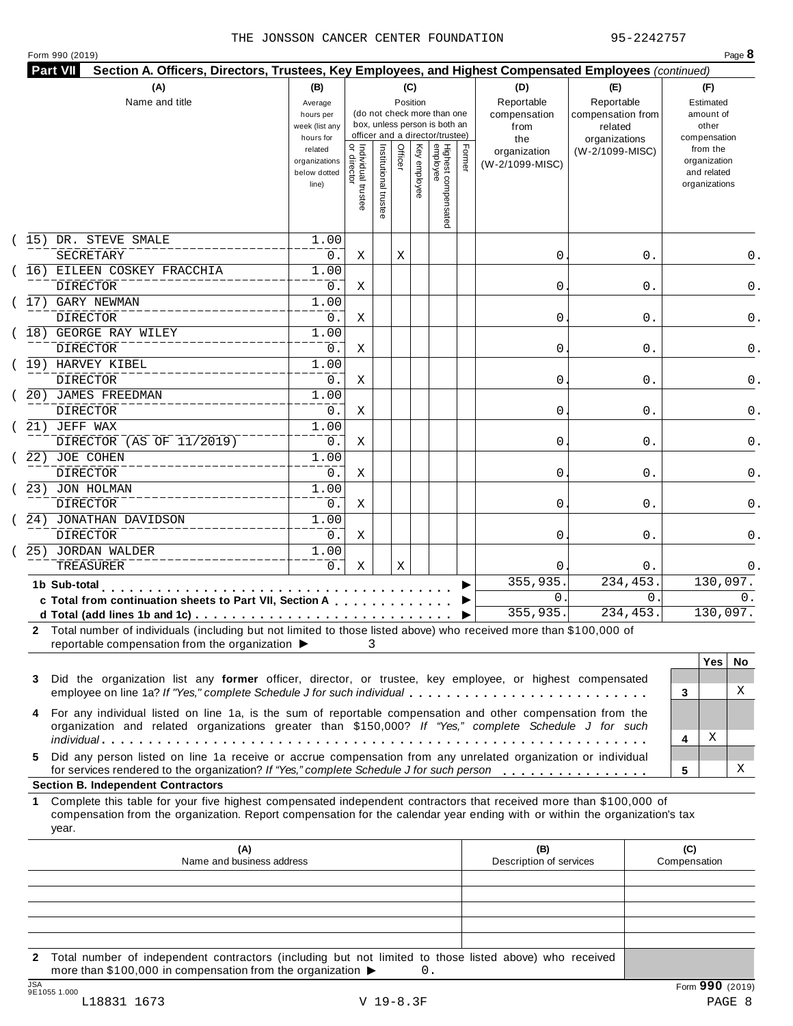| <b>Part VII</b><br>Section A. Officers, Directors, Trustees, Key Employees, and Highest Compensated Employees (continued)                                                                                                                                       |                                                                                        |                                           |                       |                            |                                                                                                 |        |                                                                                     |                                                                                       |                                                                                    |
|-----------------------------------------------------------------------------------------------------------------------------------------------------------------------------------------------------------------------------------------------------------------|----------------------------------------------------------------------------------------|-------------------------------------------|-----------------------|----------------------------|-------------------------------------------------------------------------------------------------|--------|-------------------------------------------------------------------------------------|---------------------------------------------------------------------------------------|------------------------------------------------------------------------------------|
| (A)<br>Name and title                                                                                                                                                                                                                                           | (B)<br>Average<br>hours per<br>week (list any<br>hours for<br>related<br>organizations |                                           |                       | (C)<br>Position<br>Officer | (do not check more than one<br>box, unless person is both an<br>officer and a director/trustee) | Former | (D)<br>Reportable<br>compensation<br>from<br>the<br>organization<br>(W-2/1099-MISC) | (E)<br>Reportable<br>compensation from<br>related<br>organizations<br>(W-2/1099-MISC) | (F)<br>Estimated<br>amount of<br>other<br>compensation<br>from the<br>organization |
|                                                                                                                                                                                                                                                                 | below dotted<br>line)                                                                  | <br>  Individual trustee<br>  or director | Institutional trustee | Key employee               | Highest compensated<br>employee                                                                 |        |                                                                                     |                                                                                       | and related<br>organizations                                                       |
| 15) DR. STEVE SMALE                                                                                                                                                                                                                                             | 1.00                                                                                   |                                           |                       |                            |                                                                                                 |        |                                                                                     |                                                                                       |                                                                                    |
| <b>SECRETARY</b>                                                                                                                                                                                                                                                | 0.                                                                                     | Χ                                         |                       | Χ                          |                                                                                                 |        | 0                                                                                   | 0.                                                                                    | 0.                                                                                 |
| 16) EILEEN COSKEY FRACCHIA                                                                                                                                                                                                                                      | 1.00                                                                                   |                                           |                       |                            |                                                                                                 |        |                                                                                     |                                                                                       |                                                                                    |
| DIRECTOR                                                                                                                                                                                                                                                        | 0.                                                                                     | Χ                                         |                       |                            |                                                                                                 |        | 0                                                                                   | 0.                                                                                    | 0.                                                                                 |
| 17) GARY NEWMAN<br><b>DIRECTOR</b>                                                                                                                                                                                                                              | 1.00                                                                                   |                                           |                       |                            |                                                                                                 |        |                                                                                     |                                                                                       |                                                                                    |
| (18) GEORGE RAY WILEY                                                                                                                                                                                                                                           | 0.                                                                                     | Χ                                         |                       |                            |                                                                                                 |        | 0                                                                                   | 0.                                                                                    | 0.                                                                                 |
| DIRECTOR                                                                                                                                                                                                                                                        | 1.00<br>0.                                                                             |                                           |                       |                            |                                                                                                 |        |                                                                                     | 0.                                                                                    |                                                                                    |
| 19) HARVEY KIBEL                                                                                                                                                                                                                                                | 1.00                                                                                   | Χ                                         |                       |                            |                                                                                                 |        | 0                                                                                   |                                                                                       | 0.                                                                                 |
| DIRECTOR                                                                                                                                                                                                                                                        | 0.                                                                                     | Χ                                         |                       |                            |                                                                                                 |        | 0                                                                                   | 0.                                                                                    | 0.                                                                                 |
| 20) JAMES FREEDMAN                                                                                                                                                                                                                                              | 1.00                                                                                   |                                           |                       |                            |                                                                                                 |        |                                                                                     |                                                                                       |                                                                                    |
| <b>DIRECTOR</b>                                                                                                                                                                                                                                                 | 0.                                                                                     | Χ                                         |                       |                            |                                                                                                 |        | 0                                                                                   | 0.                                                                                    | 0.                                                                                 |
| 21) JEFF WAX                                                                                                                                                                                                                                                    | 1.00                                                                                   |                                           |                       |                            |                                                                                                 |        |                                                                                     |                                                                                       |                                                                                    |
| DIRECTOR (AS OF 11/2019)                                                                                                                                                                                                                                        | 0.                                                                                     | Χ                                         |                       |                            |                                                                                                 |        | 0                                                                                   | 0.                                                                                    | 0.                                                                                 |
| 22) JOE COHEN                                                                                                                                                                                                                                                   | 1.00                                                                                   |                                           |                       |                            |                                                                                                 |        |                                                                                     |                                                                                       |                                                                                    |
| <b>DIRECTOR</b>                                                                                                                                                                                                                                                 | 0.                                                                                     | Χ                                         |                       |                            |                                                                                                 |        | 0                                                                                   | 0.                                                                                    | 0.                                                                                 |
| 23) JON HOLMAN                                                                                                                                                                                                                                                  | 1.00                                                                                   |                                           |                       |                            |                                                                                                 |        |                                                                                     |                                                                                       |                                                                                    |
| DIRECTOR                                                                                                                                                                                                                                                        | 0.                                                                                     | Χ                                         |                       |                            |                                                                                                 |        | 0                                                                                   | 0.                                                                                    | 0.                                                                                 |
| 24) JONATHAN DAVIDSON<br><b>DIRECTOR</b>                                                                                                                                                                                                                        | 1.00<br>0.                                                                             | Χ                                         |                       |                            |                                                                                                 |        | 0                                                                                   | 0.                                                                                    | 0.                                                                                 |
| 25) JORDAN WALDER                                                                                                                                                                                                                                               | 1.00                                                                                   |                                           |                       |                            |                                                                                                 |        |                                                                                     |                                                                                       |                                                                                    |
| TREASURER                                                                                                                                                                                                                                                       | 0.                                                                                     | Χ                                         |                       | Χ                          |                                                                                                 |        | 0                                                                                   | 0.                                                                                    | 0.                                                                                 |
| 1b Sub-total                                                                                                                                                                                                                                                    |                                                                                        |                                           |                       |                            |                                                                                                 |        | 355,935.                                                                            | 234,453.                                                                              | 130,097.                                                                           |
| .<br>c Total from continuation sheets to Part VII, Section A                                                                                                                                                                                                    |                                                                                        |                                           |                       |                            |                                                                                                 |        | 0                                                                                   | $\Omega$                                                                              | 0.                                                                                 |
|                                                                                                                                                                                                                                                                 |                                                                                        |                                           |                       |                            |                                                                                                 |        | 355,935.                                                                            | 234,453.                                                                              | 130,097.                                                                           |
| 2 Total number of individuals (including but not limited to those listed above) who received more than \$100,000 of                                                                                                                                             |                                                                                        |                                           |                       |                            |                                                                                                 |        |                                                                                     |                                                                                       |                                                                                    |
| reportable compensation from the organization $\blacktriangleright$                                                                                                                                                                                             |                                                                                        | 3                                         |                       |                            |                                                                                                 |        |                                                                                     |                                                                                       |                                                                                    |
|                                                                                                                                                                                                                                                                 |                                                                                        |                                           |                       |                            |                                                                                                 |        |                                                                                     |                                                                                       | <b>Yes</b><br>No.                                                                  |
| Did the organization list any former officer, director, or trustee, key employee, or highest compensated<br>3<br>employee on line 1a? If "Yes," complete Schedule J for such individual                                                                         |                                                                                        |                                           |                       |                            |                                                                                                 |        |                                                                                     |                                                                                       | X<br>3                                                                             |
| For any individual listed on line 1a, is the sum of reportable compensation and other compensation from the<br>4<br>organization and related organizations greater than \$150,000? If "Yes," complete Schedule J for such                                       |                                                                                        |                                           |                       |                            |                                                                                                 |        |                                                                                     |                                                                                       | Χ<br>4                                                                             |
| Did any person listed on line 1a receive or accrue compensation from any unrelated organization or individual<br>5.<br>for services rendered to the organization? If "Yes," complete Schedule J for such person                                                 |                                                                                        |                                           |                       |                            |                                                                                                 |        |                                                                                     |                                                                                       | Χ<br>5                                                                             |
| <b>Section B. Independent Contractors</b>                                                                                                                                                                                                                       |                                                                                        |                                           |                       |                            |                                                                                                 |        |                                                                                     |                                                                                       |                                                                                    |
| Complete this table for your five highest compensated independent contractors that received more than \$100,000 of<br>1.<br>compensation from the organization. Report compensation for the calendar year ending with or within the organization's tax<br>year. |                                                                                        |                                           |                       |                            |                                                                                                 |        |                                                                                     |                                                                                       |                                                                                    |

| (A)<br>Name and business address                                                                                                                                                            | (B)<br>Description of services | (C)<br>Compensation |
|---------------------------------------------------------------------------------------------------------------------------------------------------------------------------------------------|--------------------------------|---------------------|
|                                                                                                                                                                                             |                                |                     |
|                                                                                                                                                                                             |                                |                     |
|                                                                                                                                                                                             |                                |                     |
|                                                                                                                                                                                             |                                |                     |
|                                                                                                                                                                                             |                                |                     |
| 2 Total number of independent contractors (including but not limited to those listed above) who received<br>more than \$100,000 in compensation from the organization $\blacktriangleright$ |                                |                     |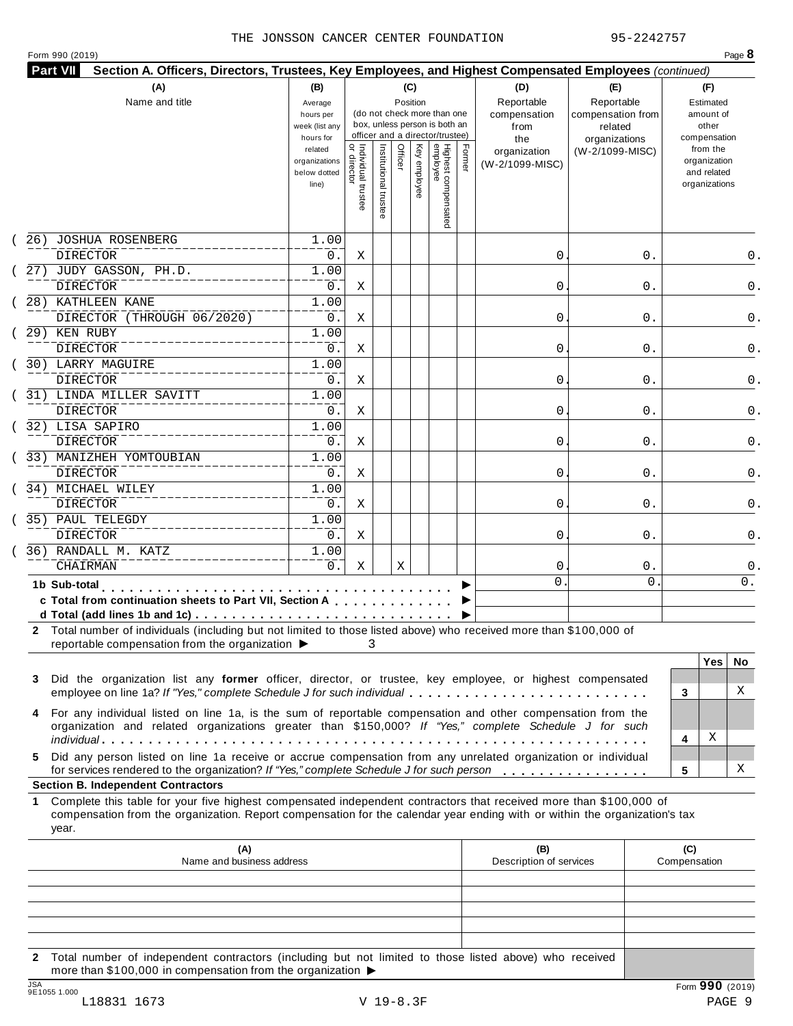|  | Form 990 (2019) |  |
|--|-----------------|--|

|                                                                                                                                                                                                                                                                          |                                                            |                                                                                                                                                                                                                      |                      |         |                                                    |        | Section A. Officers, Directors, Trustees, Key Employees, and Highest Compensated Employees (continued) |                                  |                                                          |
|--------------------------------------------------------------------------------------------------------------------------------------------------------------------------------------------------------------------------------------------------------------------------|------------------------------------------------------------|----------------------------------------------------------------------------------------------------------------------------------------------------------------------------------------------------------------------|----------------------|---------|----------------------------------------------------|--------|--------------------------------------------------------------------------------------------------------|----------------------------------|----------------------------------------------------------|
| (A)<br>Name and title                                                                                                                                                                                                                                                    | (B)<br>Average<br>hours per<br>week (list any<br>hours for | (C)<br>(D)<br>(E)<br>Reportable<br>Reportable<br>Position<br>(do not check more than one<br>compensation<br>compensation from<br>box, unless person is both an<br>from<br>related<br>officer and a director/trustee) |                      |         |                                                    |        |                                                                                                        |                                  | (F)<br>Estimated<br>amount of<br>other<br>compensation   |
|                                                                                                                                                                                                                                                                          | related<br>organizations<br>below dotted<br>line)          | <br>  Individual trustee<br>  or director                                                                                                                                                                            | Institutional truste | Officer | Highest compensated<br>employee<br>Ķey<br>employee | Former | the<br>organization<br>(W-2/1099-MISC)                                                                 | organizations<br>(W-2/1099-MISC) | from the<br>organization<br>and related<br>organizations |
| 26) JOSHUA ROSENBERG<br><b>DIRECTOR</b>                                                                                                                                                                                                                                  | 1.00<br>0.                                                 | Χ                                                                                                                                                                                                                    |                      |         |                                                    |        | 0                                                                                                      | 0.                               |                                                          |
| 27) JUDY GASSON, PH.D.                                                                                                                                                                                                                                                   | 1.00                                                       |                                                                                                                                                                                                                      |                      |         |                                                    |        |                                                                                                        |                                  |                                                          |
| <b>DIRECTOR</b><br>28) KATHLEEN KANE                                                                                                                                                                                                                                     | 0.<br>1.00                                                 | Χ                                                                                                                                                                                                                    |                      |         |                                                    |        | 0                                                                                                      | 0.                               |                                                          |
| DIRECTOR (THROUGH 06/2020)                                                                                                                                                                                                                                               | 0.                                                         | Χ                                                                                                                                                                                                                    |                      |         |                                                    |        | 0                                                                                                      | 0.                               |                                                          |
| 29) KEN RUBY<br><b>DIRECTOR</b>                                                                                                                                                                                                                                          | 1.00<br>0.                                                 | Χ                                                                                                                                                                                                                    |                      |         |                                                    |        | 0                                                                                                      | 0.                               |                                                          |
| 30) LARRY MAGUIRE                                                                                                                                                                                                                                                        | 1.00                                                       |                                                                                                                                                                                                                      |                      |         |                                                    |        |                                                                                                        |                                  |                                                          |
| <b>DIRECTOR</b>                                                                                                                                                                                                                                                          | 0.                                                         | Χ                                                                                                                                                                                                                    |                      |         |                                                    |        | 0                                                                                                      | 0.                               |                                                          |
| (31) LINDA MILLER SAVITT<br><b>DIRECTOR</b>                                                                                                                                                                                                                              | 1.00<br>0.                                                 | Χ                                                                                                                                                                                                                    |                      |         |                                                    |        | 0                                                                                                      | 0.                               |                                                          |
| (32) LISA SAPIRO                                                                                                                                                                                                                                                         | 1.00                                                       |                                                                                                                                                                                                                      |                      |         |                                                    |        |                                                                                                        |                                  |                                                          |
| <b>DIRECTOR</b><br>33) MANIZHEH YOMTOUBIAN                                                                                                                                                                                                                               | 0.<br>1.00                                                 | Χ                                                                                                                                                                                                                    |                      |         |                                                    |        | 0                                                                                                      | 0.                               |                                                          |
| <b>DIRECTOR</b>                                                                                                                                                                                                                                                          | 0.                                                         | Χ                                                                                                                                                                                                                    |                      |         |                                                    |        | 0                                                                                                      | 0.                               |                                                          |
| 34) MICHAEL WILEY<br><b>DIRECTOR</b>                                                                                                                                                                                                                                     | 1.00<br>0.                                                 | Χ                                                                                                                                                                                                                    |                      |         |                                                    |        | 0                                                                                                      | 0.                               |                                                          |
| 35) PAUL TELEGDY                                                                                                                                                                                                                                                         | 1.00                                                       |                                                                                                                                                                                                                      |                      |         |                                                    |        |                                                                                                        |                                  |                                                          |
| <b>DIRECTOR</b><br>36) RANDALL M. KATZ                                                                                                                                                                                                                                   | $0$ .<br>1.00                                              | Χ                                                                                                                                                                                                                    |                      |         |                                                    |        | 0                                                                                                      | 0.                               |                                                          |
| CHAIRMAN                                                                                                                                                                                                                                                                 | 0.                                                         | Χ                                                                                                                                                                                                                    |                      | Χ       |                                                    |        | 0                                                                                                      | 0.                               |                                                          |
| 1b Sub-total<br>$\mathbf{a} \cdot \mathbf{a} \cdot \mathbf{a} \cdot \mathbf{a} \cdot \mathbf{a} \cdot \mathbf{a}$                                                                                                                                                        |                                                            |                                                                                                                                                                                                                      |                      |         |                                                    |        | 0                                                                                                      | 0                                | 0.                                                       |
| c Total from continuation sheets to Part VII, Section A                                                                                                                                                                                                                  |                                                            |                                                                                                                                                                                                                      |                      |         |                                                    |        |                                                                                                        |                                  |                                                          |
| 2 Total number of individuals (including but not limited to those listed above) who received more than \$100,000 of                                                                                                                                                      |                                                            |                                                                                                                                                                                                                      |                      |         |                                                    |        |                                                                                                        |                                  |                                                          |
| reportable compensation from the organization ▶                                                                                                                                                                                                                          |                                                            | 3                                                                                                                                                                                                                    |                      |         |                                                    |        |                                                                                                        |                                  |                                                          |
| Did the organization list any former officer, director, or trustee, key employee, or highest compensated<br>3<br>employee on line 1a? If "Yes," complete Schedule J for such individual                                                                                  |                                                            |                                                                                                                                                                                                                      |                      |         |                                                    |        |                                                                                                        |                                  | <b>Yes</b><br>No.<br>X<br>3                              |
| 4 For any individual listed on line 1a, is the sum of reportable compensation and other compensation from the<br>organization and related organizations greater than \$150,000? If "Yes," complete Schedule J for such                                                   |                                                            |                                                                                                                                                                                                                      |                      |         |                                                    |        |                                                                                                        | Χ<br>4                           |                                                          |
| Did any person listed on line 1a receive or accrue compensation from any unrelated organization or individual<br>5.<br>for services rendered to the organization? If "Yes," complete Schedule J for such person                                                          |                                                            |                                                                                                                                                                                                                      |                      |         |                                                    |        |                                                                                                        |                                  | Χ<br>5                                                   |
| <b>Section B. Independent Contractors</b>                                                                                                                                                                                                                                |                                                            |                                                                                                                                                                                                                      |                      |         |                                                    |        |                                                                                                        |                                  |                                                          |
| Complete this table for your five highest compensated independent contractors that received more than \$100,000 of<br>$\mathbf 1$<br>compensation from the organization. Report compensation for the calendar year ending with or within the organization's tax<br>year. |                                                            |                                                                                                                                                                                                                      |                      |         |                                                    |        |                                                                                                        |                                  |                                                          |
| (A)<br>Name and business address                                                                                                                                                                                                                                         |                                                            |                                                                                                                                                                                                                      |                      |         |                                                    |        | (B)<br>Description of services                                                                         |                                  | (C)<br>Compensation                                      |
|                                                                                                                                                                                                                                                                          |                                                            |                                                                                                                                                                                                                      |                      |         |                                                    |        |                                                                                                        |                                  |                                                          |
|                                                                                                                                                                                                                                                                          |                                                            |                                                                                                                                                                                                                      |                      |         |                                                    |        |                                                                                                        |                                  |                                                          |

**2** Total number of independent contractors (including but not limited to those listed above) who received more than \$100,000 in compensation from the organization  $\blacktriangleright$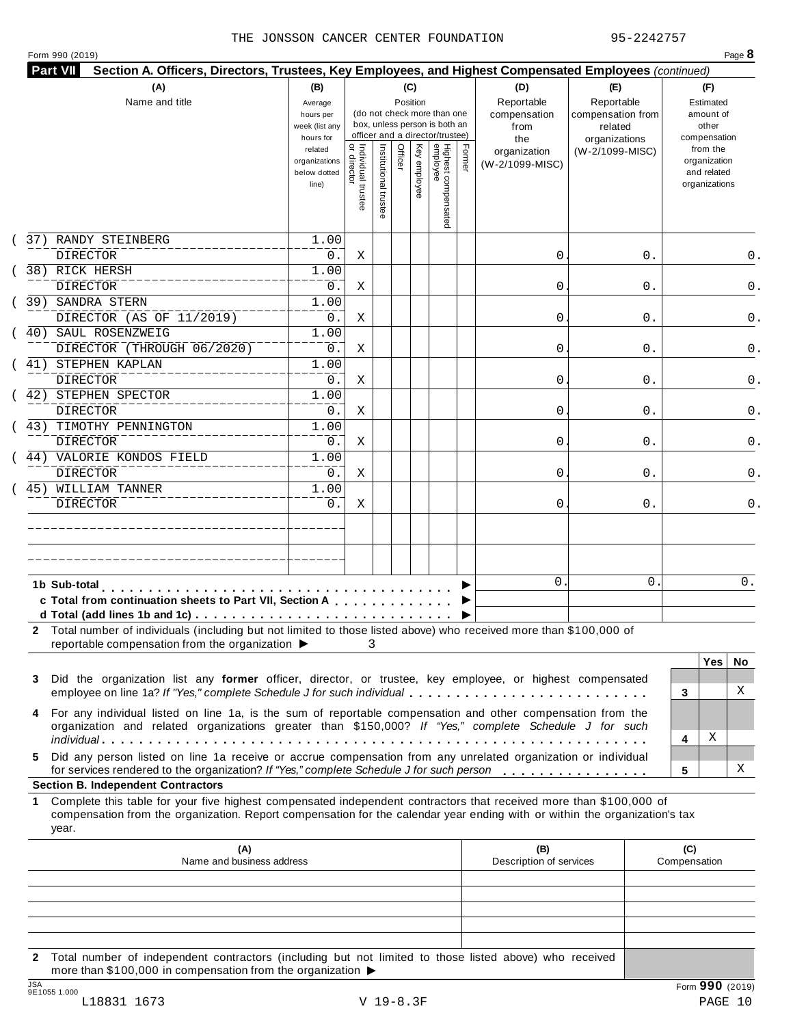| Reportable<br>Reportable<br>Name and title<br>Position<br>Estimated<br>Average<br>(do not check more than one<br>amount of<br>compensation<br>compensation from<br>hours per<br>box, unless person is both an<br>other<br>week (list any<br>from<br>related<br>officer and a director/trustee)<br>hours for<br>organizations<br>the<br> <br>  Individual trustee<br>  or director<br>Highest compensated<br>employee<br>Institutional trustee<br>Officer<br>Key employee<br>Former<br>from the<br>related<br>(W-2/1099-MISC)<br>organization<br>organization<br>organizations<br>(W-2/1099-MISC)<br>and related<br>below dotted<br>line)<br>37) RANDY STEINBERG<br>1.00<br><b>DIRECTOR</b><br>0.<br>0.<br>Χ<br>0<br>38) RICK HERSH<br>1.00<br><b>DIRECTOR</b><br>0.<br>Χ<br>0<br>0.<br>39) SANDRA STERN<br>1.00<br>DIRECTOR (AS OF 11/2019)<br>0.<br>Χ<br>0<br>0.<br>1.00<br>DIRECTOR (THROUGH 06/2020)<br>0.<br>Χ<br>0<br>0.<br>41) STEPHEN KAPLAN<br>1.00<br>DIRECTOR<br>0.<br>Χ<br>0<br>0.<br>42) STEPHEN SPECTOR<br>1.00<br>DIRECTOR<br>0.<br>Χ<br>0<br>0.<br>43) TIMOTHY PENNINGTON<br>1.00<br><b>DIRECTOR</b><br>0.<br>Χ<br>0<br>0.<br>44) VALORIE KONDOS FIELD<br>1.00<br>DIRECTOR<br>0.<br>Χ<br>0<br>0.<br>1.00<br><b>DIRECTOR</b><br>0.<br>0<br>0.<br>Χ<br>$\Omega$<br>0<br>1b Sub-total<br>c Total from continuation sheets to Part VII. Section A<br>2 Total number of individuals (including but not limited to those listed above) who received more than \$100,000 of<br>reportable compensation from the organization ▶<br>3<br><b>Yes</b><br>Did the organization list any former officer, director, or trustee, key employee, or highest compensated<br>3<br>employee on line 1a? If "Yes," complete Schedule J for such individual<br>3<br>For any individual listed on line 1a, is the sum of reportable compensation and other compensation from the<br>4<br>organization and related organizations greater than \$150,000? If "Yes," complete Schedule J for such<br>Χ<br>4<br>Did any person listed on line 1a receive or accrue compensation from any unrelated organization or individual<br>5.<br>for services rendered to the organization? If "Yes," complete Schedule J for such person<br>5<br><b>Section B. Independent Contractors</b><br>Complete this table for your five highest compensated independent contractors that received more than \$100,000 of<br>1.<br>compensation from the organization. Report compensation for the calendar year ending with or within the organization's tax<br>year.<br>(A)<br>(B)<br>(C)<br>Name and business address<br>Description of services<br>Compensation | (A)                 | (B) |  |  |  | (C) |  | (D) | (E) | (F)           |
|---------------------------------------------------------------------------------------------------------------------------------------------------------------------------------------------------------------------------------------------------------------------------------------------------------------------------------------------------------------------------------------------------------------------------------------------------------------------------------------------------------------------------------------------------------------------------------------------------------------------------------------------------------------------------------------------------------------------------------------------------------------------------------------------------------------------------------------------------------------------------------------------------------------------------------------------------------------------------------------------------------------------------------------------------------------------------------------------------------------------------------------------------------------------------------------------------------------------------------------------------------------------------------------------------------------------------------------------------------------------------------------------------------------------------------------------------------------------------------------------------------------------------------------------------------------------------------------------------------------------------------------------------------------------------------------------------------------------------------------------------------------------------------------------------------------------------------------------------------------------------------------------------------------------------------------------------------------------------------------------------------------------------------------------------------------------------------------------------------------------------------------------------------------------------------------------------------------------------------------------------------------------------------------------------------------------------------------------------------------------------------------------------------------------------------------------------------------------------------------------------------------------------------------------------------------------------------------------------------------------------------------|---------------------|-----|--|--|--|-----|--|-----|-----|---------------|
|                                                                                                                                                                                                                                                                                                                                                                                                                                                                                                                                                                                                                                                                                                                                                                                                                                                                                                                                                                                                                                                                                                                                                                                                                                                                                                                                                                                                                                                                                                                                                                                                                                                                                                                                                                                                                                                                                                                                                                                                                                                                                                                                                                                                                                                                                                                                                                                                                                                                                                                                                                                                                                       |                     |     |  |  |  |     |  |     |     | compensation  |
|                                                                                                                                                                                                                                                                                                                                                                                                                                                                                                                                                                                                                                                                                                                                                                                                                                                                                                                                                                                                                                                                                                                                                                                                                                                                                                                                                                                                                                                                                                                                                                                                                                                                                                                                                                                                                                                                                                                                                                                                                                                                                                                                                                                                                                                                                                                                                                                                                                                                                                                                                                                                                                       |                     |     |  |  |  |     |  |     |     | organizations |
|                                                                                                                                                                                                                                                                                                                                                                                                                                                                                                                                                                                                                                                                                                                                                                                                                                                                                                                                                                                                                                                                                                                                                                                                                                                                                                                                                                                                                                                                                                                                                                                                                                                                                                                                                                                                                                                                                                                                                                                                                                                                                                                                                                                                                                                                                                                                                                                                                                                                                                                                                                                                                                       |                     |     |  |  |  |     |  |     |     |               |
|                                                                                                                                                                                                                                                                                                                                                                                                                                                                                                                                                                                                                                                                                                                                                                                                                                                                                                                                                                                                                                                                                                                                                                                                                                                                                                                                                                                                                                                                                                                                                                                                                                                                                                                                                                                                                                                                                                                                                                                                                                                                                                                                                                                                                                                                                                                                                                                                                                                                                                                                                                                                                                       |                     |     |  |  |  |     |  |     |     |               |
|                                                                                                                                                                                                                                                                                                                                                                                                                                                                                                                                                                                                                                                                                                                                                                                                                                                                                                                                                                                                                                                                                                                                                                                                                                                                                                                                                                                                                                                                                                                                                                                                                                                                                                                                                                                                                                                                                                                                                                                                                                                                                                                                                                                                                                                                                                                                                                                                                                                                                                                                                                                                                                       |                     |     |  |  |  |     |  |     |     |               |
|                                                                                                                                                                                                                                                                                                                                                                                                                                                                                                                                                                                                                                                                                                                                                                                                                                                                                                                                                                                                                                                                                                                                                                                                                                                                                                                                                                                                                                                                                                                                                                                                                                                                                                                                                                                                                                                                                                                                                                                                                                                                                                                                                                                                                                                                                                                                                                                                                                                                                                                                                                                                                                       |                     |     |  |  |  |     |  |     |     |               |
|                                                                                                                                                                                                                                                                                                                                                                                                                                                                                                                                                                                                                                                                                                                                                                                                                                                                                                                                                                                                                                                                                                                                                                                                                                                                                                                                                                                                                                                                                                                                                                                                                                                                                                                                                                                                                                                                                                                                                                                                                                                                                                                                                                                                                                                                                                                                                                                                                                                                                                                                                                                                                                       |                     |     |  |  |  |     |  |     |     |               |
|                                                                                                                                                                                                                                                                                                                                                                                                                                                                                                                                                                                                                                                                                                                                                                                                                                                                                                                                                                                                                                                                                                                                                                                                                                                                                                                                                                                                                                                                                                                                                                                                                                                                                                                                                                                                                                                                                                                                                                                                                                                                                                                                                                                                                                                                                                                                                                                                                                                                                                                                                                                                                                       | 40) SAUL ROSENZWEIG |     |  |  |  |     |  |     |     |               |
|                                                                                                                                                                                                                                                                                                                                                                                                                                                                                                                                                                                                                                                                                                                                                                                                                                                                                                                                                                                                                                                                                                                                                                                                                                                                                                                                                                                                                                                                                                                                                                                                                                                                                                                                                                                                                                                                                                                                                                                                                                                                                                                                                                                                                                                                                                                                                                                                                                                                                                                                                                                                                                       |                     |     |  |  |  |     |  |     |     |               |
|                                                                                                                                                                                                                                                                                                                                                                                                                                                                                                                                                                                                                                                                                                                                                                                                                                                                                                                                                                                                                                                                                                                                                                                                                                                                                                                                                                                                                                                                                                                                                                                                                                                                                                                                                                                                                                                                                                                                                                                                                                                                                                                                                                                                                                                                                                                                                                                                                                                                                                                                                                                                                                       |                     |     |  |  |  |     |  |     |     |               |
|                                                                                                                                                                                                                                                                                                                                                                                                                                                                                                                                                                                                                                                                                                                                                                                                                                                                                                                                                                                                                                                                                                                                                                                                                                                                                                                                                                                                                                                                                                                                                                                                                                                                                                                                                                                                                                                                                                                                                                                                                                                                                                                                                                                                                                                                                                                                                                                                                                                                                                                                                                                                                                       |                     |     |  |  |  |     |  |     |     |               |
|                                                                                                                                                                                                                                                                                                                                                                                                                                                                                                                                                                                                                                                                                                                                                                                                                                                                                                                                                                                                                                                                                                                                                                                                                                                                                                                                                                                                                                                                                                                                                                                                                                                                                                                                                                                                                                                                                                                                                                                                                                                                                                                                                                                                                                                                                                                                                                                                                                                                                                                                                                                                                                       |                     |     |  |  |  |     |  |     |     |               |
|                                                                                                                                                                                                                                                                                                                                                                                                                                                                                                                                                                                                                                                                                                                                                                                                                                                                                                                                                                                                                                                                                                                                                                                                                                                                                                                                                                                                                                                                                                                                                                                                                                                                                                                                                                                                                                                                                                                                                                                                                                                                                                                                                                                                                                                                                                                                                                                                                                                                                                                                                                                                                                       |                     |     |  |  |  |     |  |     |     |               |
|                                                                                                                                                                                                                                                                                                                                                                                                                                                                                                                                                                                                                                                                                                                                                                                                                                                                                                                                                                                                                                                                                                                                                                                                                                                                                                                                                                                                                                                                                                                                                                                                                                                                                                                                                                                                                                                                                                                                                                                                                                                                                                                                                                                                                                                                                                                                                                                                                                                                                                                                                                                                                                       |                     |     |  |  |  |     |  |     |     |               |
|                                                                                                                                                                                                                                                                                                                                                                                                                                                                                                                                                                                                                                                                                                                                                                                                                                                                                                                                                                                                                                                                                                                                                                                                                                                                                                                                                                                                                                                                                                                                                                                                                                                                                                                                                                                                                                                                                                                                                                                                                                                                                                                                                                                                                                                                                                                                                                                                                                                                                                                                                                                                                                       |                     |     |  |  |  |     |  |     |     |               |
|                                                                                                                                                                                                                                                                                                                                                                                                                                                                                                                                                                                                                                                                                                                                                                                                                                                                                                                                                                                                                                                                                                                                                                                                                                                                                                                                                                                                                                                                                                                                                                                                                                                                                                                                                                                                                                                                                                                                                                                                                                                                                                                                                                                                                                                                                                                                                                                                                                                                                                                                                                                                                                       |                     |     |  |  |  |     |  |     |     |               |
|                                                                                                                                                                                                                                                                                                                                                                                                                                                                                                                                                                                                                                                                                                                                                                                                                                                                                                                                                                                                                                                                                                                                                                                                                                                                                                                                                                                                                                                                                                                                                                                                                                                                                                                                                                                                                                                                                                                                                                                                                                                                                                                                                                                                                                                                                                                                                                                                                                                                                                                                                                                                                                       | 45) WILLIAM TANNER  |     |  |  |  |     |  |     |     |               |
|                                                                                                                                                                                                                                                                                                                                                                                                                                                                                                                                                                                                                                                                                                                                                                                                                                                                                                                                                                                                                                                                                                                                                                                                                                                                                                                                                                                                                                                                                                                                                                                                                                                                                                                                                                                                                                                                                                                                                                                                                                                                                                                                                                                                                                                                                                                                                                                                                                                                                                                                                                                                                                       |                     |     |  |  |  |     |  |     |     |               |
|                                                                                                                                                                                                                                                                                                                                                                                                                                                                                                                                                                                                                                                                                                                                                                                                                                                                                                                                                                                                                                                                                                                                                                                                                                                                                                                                                                                                                                                                                                                                                                                                                                                                                                                                                                                                                                                                                                                                                                                                                                                                                                                                                                                                                                                                                                                                                                                                                                                                                                                                                                                                                                       |                     |     |  |  |  |     |  |     |     |               |
|                                                                                                                                                                                                                                                                                                                                                                                                                                                                                                                                                                                                                                                                                                                                                                                                                                                                                                                                                                                                                                                                                                                                                                                                                                                                                                                                                                                                                                                                                                                                                                                                                                                                                                                                                                                                                                                                                                                                                                                                                                                                                                                                                                                                                                                                                                                                                                                                                                                                                                                                                                                                                                       |                     |     |  |  |  |     |  |     |     | 0.            |
|                                                                                                                                                                                                                                                                                                                                                                                                                                                                                                                                                                                                                                                                                                                                                                                                                                                                                                                                                                                                                                                                                                                                                                                                                                                                                                                                                                                                                                                                                                                                                                                                                                                                                                                                                                                                                                                                                                                                                                                                                                                                                                                                                                                                                                                                                                                                                                                                                                                                                                                                                                                                                                       |                     |     |  |  |  |     |  |     |     |               |
|                                                                                                                                                                                                                                                                                                                                                                                                                                                                                                                                                                                                                                                                                                                                                                                                                                                                                                                                                                                                                                                                                                                                                                                                                                                                                                                                                                                                                                                                                                                                                                                                                                                                                                                                                                                                                                                                                                                                                                                                                                                                                                                                                                                                                                                                                                                                                                                                                                                                                                                                                                                                                                       |                     |     |  |  |  |     |  |     |     |               |
|                                                                                                                                                                                                                                                                                                                                                                                                                                                                                                                                                                                                                                                                                                                                                                                                                                                                                                                                                                                                                                                                                                                                                                                                                                                                                                                                                                                                                                                                                                                                                                                                                                                                                                                                                                                                                                                                                                                                                                                                                                                                                                                                                                                                                                                                                                                                                                                                                                                                                                                                                                                                                                       |                     |     |  |  |  |     |  |     |     | No.           |
|                                                                                                                                                                                                                                                                                                                                                                                                                                                                                                                                                                                                                                                                                                                                                                                                                                                                                                                                                                                                                                                                                                                                                                                                                                                                                                                                                                                                                                                                                                                                                                                                                                                                                                                                                                                                                                                                                                                                                                                                                                                                                                                                                                                                                                                                                                                                                                                                                                                                                                                                                                                                                                       |                     |     |  |  |  |     |  |     |     | X             |
|                                                                                                                                                                                                                                                                                                                                                                                                                                                                                                                                                                                                                                                                                                                                                                                                                                                                                                                                                                                                                                                                                                                                                                                                                                                                                                                                                                                                                                                                                                                                                                                                                                                                                                                                                                                                                                                                                                                                                                                                                                                                                                                                                                                                                                                                                                                                                                                                                                                                                                                                                                                                                                       |                     |     |  |  |  |     |  |     |     |               |
|                                                                                                                                                                                                                                                                                                                                                                                                                                                                                                                                                                                                                                                                                                                                                                                                                                                                                                                                                                                                                                                                                                                                                                                                                                                                                                                                                                                                                                                                                                                                                                                                                                                                                                                                                                                                                                                                                                                                                                                                                                                                                                                                                                                                                                                                                                                                                                                                                                                                                                                                                                                                                                       |                     |     |  |  |  |     |  |     |     | X             |
|                                                                                                                                                                                                                                                                                                                                                                                                                                                                                                                                                                                                                                                                                                                                                                                                                                                                                                                                                                                                                                                                                                                                                                                                                                                                                                                                                                                                                                                                                                                                                                                                                                                                                                                                                                                                                                                                                                                                                                                                                                                                                                                                                                                                                                                                                                                                                                                                                                                                                                                                                                                                                                       |                     |     |  |  |  |     |  |     |     |               |
|                                                                                                                                                                                                                                                                                                                                                                                                                                                                                                                                                                                                                                                                                                                                                                                                                                                                                                                                                                                                                                                                                                                                                                                                                                                                                                                                                                                                                                                                                                                                                                                                                                                                                                                                                                                                                                                                                                                                                                                                                                                                                                                                                                                                                                                                                                                                                                                                                                                                                                                                                                                                                                       |                     |     |  |  |  |     |  |     |     |               |
|                                                                                                                                                                                                                                                                                                                                                                                                                                                                                                                                                                                                                                                                                                                                                                                                                                                                                                                                                                                                                                                                                                                                                                                                                                                                                                                                                                                                                                                                                                                                                                                                                                                                                                                                                                                                                                                                                                                                                                                                                                                                                                                                                                                                                                                                                                                                                                                                                                                                                                                                                                                                                                       |                     |     |  |  |  |     |  |     |     |               |
|                                                                                                                                                                                                                                                                                                                                                                                                                                                                                                                                                                                                                                                                                                                                                                                                                                                                                                                                                                                                                                                                                                                                                                                                                                                                                                                                                                                                                                                                                                                                                                                                                                                                                                                                                                                                                                                                                                                                                                                                                                                                                                                                                                                                                                                                                                                                                                                                                                                                                                                                                                                                                                       |                     |     |  |  |  |     |  |     |     |               |
|                                                                                                                                                                                                                                                                                                                                                                                                                                                                                                                                                                                                                                                                                                                                                                                                                                                                                                                                                                                                                                                                                                                                                                                                                                                                                                                                                                                                                                                                                                                                                                                                                                                                                                                                                                                                                                                                                                                                                                                                                                                                                                                                                                                                                                                                                                                                                                                                                                                                                                                                                                                                                                       |                     |     |  |  |  |     |  |     |     |               |
|                                                                                                                                                                                                                                                                                                                                                                                                                                                                                                                                                                                                                                                                                                                                                                                                                                                                                                                                                                                                                                                                                                                                                                                                                                                                                                                                                                                                                                                                                                                                                                                                                                                                                                                                                                                                                                                                                                                                                                                                                                                                                                                                                                                                                                                                                                                                                                                                                                                                                                                                                                                                                                       |                     |     |  |  |  |     |  |     |     |               |

**2** Total number of independent contractors (including but not limited to those listed above) who received more than \$100,000 in compensation from the organization  $\blacktriangleright$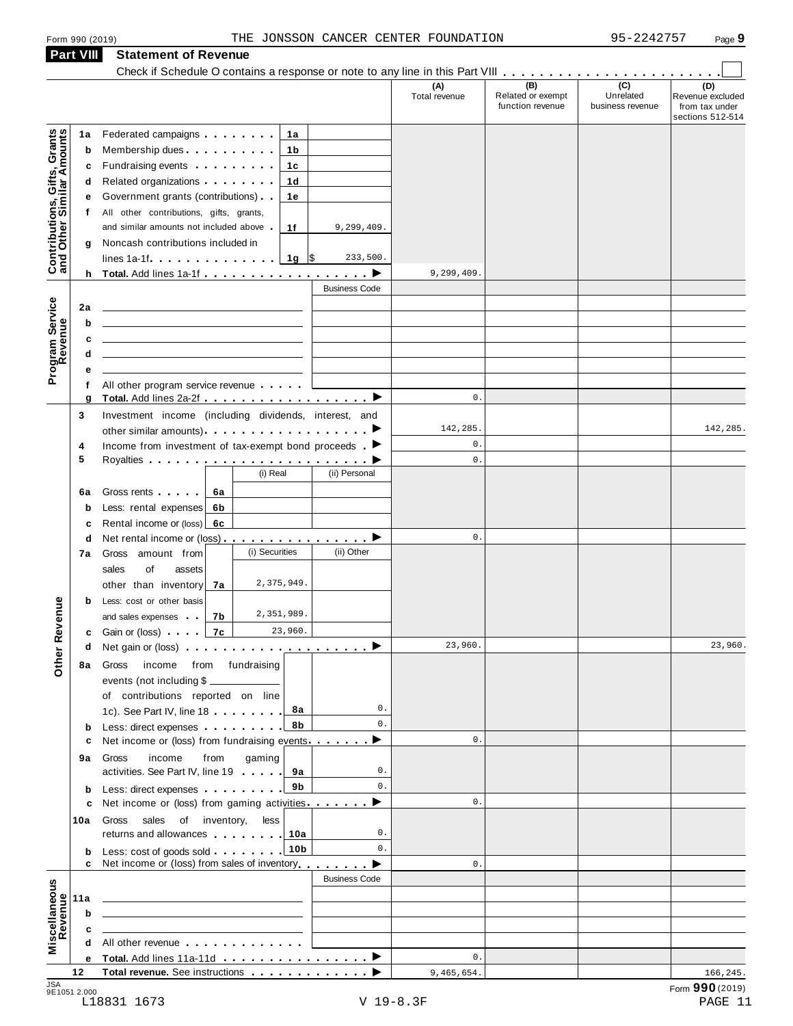**Part VIII Statement of Revenue**

|                                                           |         | Check if Schedule O contains a response or note to any line in this Part VIII                                                                                                                                                 |                      | (A)<br>Total revenue | (B)<br>Related or exempt<br>function revenue | $\overline{C}$<br>Unrelated<br>business revenue | (D)<br>Revenue excluded<br>from tax under<br>sections 512-514 |
|-----------------------------------------------------------|---------|-------------------------------------------------------------------------------------------------------------------------------------------------------------------------------------------------------------------------------|----------------------|----------------------|----------------------------------------------|-------------------------------------------------|---------------------------------------------------------------|
|                                                           | 1a      | Federated campaigns<br>1а                                                                                                                                                                                                     |                      |                      |                                              |                                                 |                                                               |
| Contributions, Gifts, Grants<br>and Other Similar Amounts | b       | Membership dues [19]<br>1b                                                                                                                                                                                                    |                      |                      |                                              |                                                 |                                                               |
|                                                           | c       | Fundraising events <b>Fundraising</b><br>1c                                                                                                                                                                                   |                      |                      |                                              |                                                 |                                                               |
|                                                           | d       | Related organizations <b>contains</b> and <b>Related</b> organizations <b>contains</b><br>1d                                                                                                                                  |                      |                      |                                              |                                                 |                                                               |
|                                                           | е       | Government grants (contributions).<br>1е                                                                                                                                                                                      |                      |                      |                                              |                                                 |                                                               |
|                                                           | t.      | All other contributions, gifts, grants,                                                                                                                                                                                       |                      |                      |                                              |                                                 |                                                               |
|                                                           |         | and similar amounts not included above<br>1f                                                                                                                                                                                  | 9, 299, 409.         |                      |                                              |                                                 |                                                               |
|                                                           | g       | Noncash contributions included in                                                                                                                                                                                             |                      |                      |                                              |                                                 |                                                               |
|                                                           |         | lines 1a-1f $\ldots$ $\ldots$ $\ldots$ $\frac{1}{9}$ \$                                                                                                                                                                       | 233,500.             |                      |                                              |                                                 |                                                               |
|                                                           |         | h Total. Add lines 1a-1f $\ldots$ $\ldots$ $\ldots$ $\ldots$ $\ldots$                                                                                                                                                         | <b>Business Code</b> | 9,299,409.           |                                              |                                                 |                                                               |
|                                                           |         |                                                                                                                                                                                                                               |                      |                      |                                              |                                                 |                                                               |
|                                                           | 2a      | the control of the control of the control of the control of the control of the control of                                                                                                                                     |                      |                      |                                              |                                                 |                                                               |
|                                                           | b       |                                                                                                                                                                                                                               |                      |                      |                                              |                                                 |                                                               |
| Program Service<br>Revenue                                | c<br>d  |                                                                                                                                                                                                                               |                      |                      |                                              |                                                 |                                                               |
|                                                           |         |                                                                                                                                                                                                                               |                      |                      |                                              |                                                 |                                                               |
|                                                           | f       | All other program service revenue                                                                                                                                                                                             |                      |                      |                                              |                                                 |                                                               |
|                                                           | g       | Total. Add lines 2a-2f ▶                                                                                                                                                                                                      |                      | $\mathbb O$ .        |                                              |                                                 |                                                               |
|                                                           | 3       | Investment income (including dividends, interest, and                                                                                                                                                                         |                      |                      |                                              |                                                 |                                                               |
|                                                           |         |                                                                                                                                                                                                                               |                      | 142,285.             |                                              |                                                 | 142,285.                                                      |
| 4                                                         |         | Income from investment of tax-exempt bond proceeds $\blacktriangleright$                                                                                                                                                      |                      | $\mathbb O$ .        |                                              |                                                 |                                                               |
| 5                                                         |         |                                                                                                                                                                                                                               |                      | $\mathbb O$ .        |                                              |                                                 |                                                               |
|                                                           |         | (i) Real<br>(ii) Personal                                                                                                                                                                                                     |                      |                      |                                              |                                                 |                                                               |
|                                                           | 6a      | Gross rents<br>6a                                                                                                                                                                                                             |                      |                      |                                              |                                                 |                                                               |
|                                                           | b       | Less: rental expenses<br>6b                                                                                                                                                                                                   |                      |                      |                                              |                                                 |                                                               |
|                                                           | c       | Rental income or (loss)<br>6c                                                                                                                                                                                                 |                      | $\mathbb O$ .        |                                              |                                                 |                                                               |
|                                                           | d<br>7а | (i) Securities<br>(ii) Other<br>Gross amount from                                                                                                                                                                             |                      |                      |                                              |                                                 |                                                               |
|                                                           |         | sales<br>of<br>assets                                                                                                                                                                                                         |                      |                      |                                              |                                                 |                                                               |
|                                                           |         | 2,375,949.<br>other than inventory<br>7a                                                                                                                                                                                      |                      |                      |                                              |                                                 |                                                               |
|                                                           | b       | Less: cost or other basis                                                                                                                                                                                                     |                      |                      |                                              |                                                 |                                                               |
| evenue                                                    |         | 2,351,989.<br>and sales expenses<br>7b                                                                                                                                                                                        |                      |                      |                                              |                                                 |                                                               |
|                                                           |         | 7c<br>23,960.<br><b>c</b> Gain or (loss)                                                                                                                                                                                      |                      |                      |                                              |                                                 |                                                               |
|                                                           | d       | Net gain or (loss) $\cdots$ $\cdots$ $\cdots$ $\cdots$ $\cdots$ $\cdots$ $\cdots$                                                                                                                                             |                      | 23,960.              |                                              |                                                 | 23,960.                                                       |
| Other <sub>R</sub>                                        | 8а      | income from fundraising<br>Gross                                                                                                                                                                                              |                      |                      |                                              |                                                 |                                                               |
|                                                           |         | events (not including \$                                                                                                                                                                                                      |                      |                      |                                              |                                                 |                                                               |
|                                                           |         | of contributions reported on line                                                                                                                                                                                             |                      |                      |                                              |                                                 |                                                               |
|                                                           |         | 1c). See Part IV, line 18<br>8а                                                                                                                                                                                               | 0.                   |                      |                                              |                                                 |                                                               |
|                                                           | b       | 8b<br>Less: direct expenses                                                                                                                                                                                                   | $0$ .                |                      |                                              |                                                 |                                                               |
|                                                           | с       | Net income or (loss) from fundraising events.                                                                                                                                                                                 | ▸                    | $\mathbb O$ .        |                                              |                                                 |                                                               |
|                                                           | 9а      | gaming<br>Gross<br>income<br>from                                                                                                                                                                                             |                      |                      |                                              |                                                 |                                                               |
|                                                           |         | activities. See Part IV, line 19<br>9а                                                                                                                                                                                        | 0.<br>$0$ .          |                      |                                              |                                                 |                                                               |
|                                                           | b       | 9b<br>Less: direct expenses                                                                                                                                                                                                   | ▸                    | $\mathbb O$ .        |                                              |                                                 |                                                               |
|                                                           | c       | Net income or (loss) from gaming activities                                                                                                                                                                                   |                      |                      |                                              |                                                 |                                                               |
|                                                           | 10a     | less<br>Gross sales of inventory,<br>returns and allowances 10a                                                                                                                                                               | 0.                   |                      |                                              |                                                 |                                                               |
|                                                           | b       | Less: cost of goods sold 10b                                                                                                                                                                                                  | 0.                   |                      |                                              |                                                 |                                                               |
|                                                           | c       | Net income or (loss) from sales of inventory entitled as a set of inventory                                                                                                                                                   | ▸                    | $\mathbb O$ .        |                                              |                                                 |                                                               |
|                                                           |         |                                                                                                                                                                                                                               | <b>Business Code</b> |                      |                                              |                                                 |                                                               |
|                                                           | 11a     | the contract of the contract of the contract of the contract of the contract of                                                                                                                                               |                      |                      |                                              |                                                 |                                                               |
|                                                           | b       | the control of the control of the control of the control of the control of                                                                                                                                                    |                      |                      |                                              |                                                 |                                                               |
|                                                           | c       | <u> 1989 - Johann Stein, mars an deus an deus Amerikaanse komme</u>                                                                                                                                                           |                      |                      |                                              |                                                 |                                                               |
| Miscellaneous<br>Revenue                                  |         | All other revenue example and the state of the state of the state of the state of the state of the state of the state of the state of the state of the state of the state of the state of the state of the state of the state |                      |                      |                                              |                                                 |                                                               |
|                                                           | е       | Total. Add lines 11a-11d ▶                                                                                                                                                                                                    |                      | $\mathbf{0}$ .       |                                              |                                                 |                                                               |
| 12                                                        |         |                                                                                                                                                                                                                               |                      | 9,465,654.           |                                              |                                                 | 166,245.                                                      |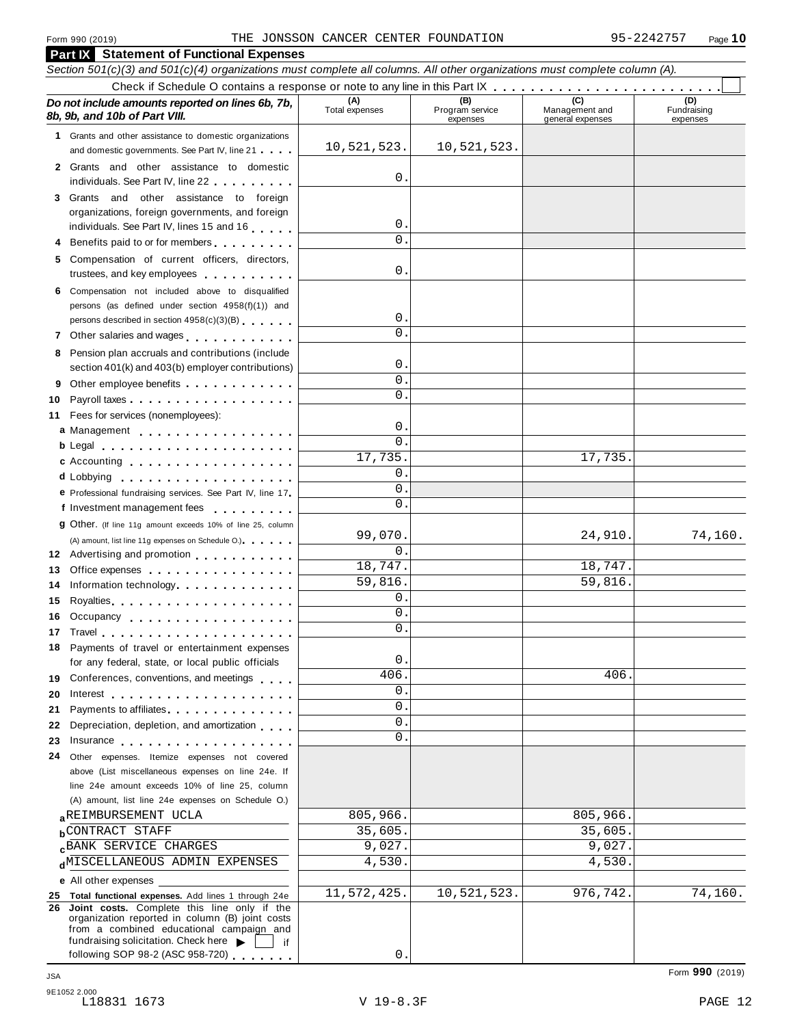### Form <sup>990</sup> (2019) Page **10** THE JONSSON CANCER CENTER FOUNDATION 95-2242757

|           | <b>Part IX</b> Statement of Functional Expenses                                                                                                                                                                                |                       |                                    |                                           |                                |
|-----------|--------------------------------------------------------------------------------------------------------------------------------------------------------------------------------------------------------------------------------|-----------------------|------------------------------------|-------------------------------------------|--------------------------------|
|           | Section 501(c)(3) and 501(c)(4) organizations must complete all columns. All other organizations must complete column (A).                                                                                                     |                       |                                    |                                           |                                |
|           |                                                                                                                                                                                                                                |                       |                                    |                                           |                                |
|           | Do not include amounts reported on lines 6b, 7b,<br>8b, 9b, and 10b of Part VIII.                                                                                                                                              | (A)<br>Total expenses | (B)<br>Program service<br>expenses | (C)<br>Management and<br>general expenses | (D)<br>Fundraising<br>expenses |
|           | 1 Grants and other assistance to domestic organizations                                                                                                                                                                        |                       |                                    |                                           |                                |
|           | and domestic governments. See Part IV, line 21                                                                                                                                                                                 | 10,521,523.           | 10,521,523.                        |                                           |                                |
|           | 2 Grants and other assistance to domestic                                                                                                                                                                                      | 0                     |                                    |                                           |                                |
|           | individuals. See Part IV, line 22                                                                                                                                                                                              |                       |                                    |                                           |                                |
|           | 3 Grants and other assistance to foreign                                                                                                                                                                                       |                       |                                    |                                           |                                |
|           | organizations, foreign governments, and foreign                                                                                                                                                                                | 0                     |                                    |                                           |                                |
|           | individuals. See Part IV, lines 15 and 16                                                                                                                                                                                      | $\Omega$              |                                    |                                           |                                |
|           | 4 Benefits paid to or for members                                                                                                                                                                                              |                       |                                    |                                           |                                |
|           | 5 Compensation of current officers, directors,<br>trustees, and key employees entitled and the set of the set of the set of the set of the set of the set of the                                                               | 0                     |                                    |                                           |                                |
|           | 6 Compensation not included above to disqualified                                                                                                                                                                              |                       |                                    |                                           |                                |
|           | persons (as defined under section 4958(f)(1)) and                                                                                                                                                                              |                       |                                    |                                           |                                |
|           | persons described in section 4958(c)(3)(B)                                                                                                                                                                                     | 0                     |                                    |                                           |                                |
|           | 7 Other salaries and wages                                                                                                                                                                                                     | $\Omega$              |                                    |                                           |                                |
| 8         | Pension plan accruals and contributions (include                                                                                                                                                                               |                       |                                    |                                           |                                |
|           | section 401(k) and 403(b) employer contributions)                                                                                                                                                                              | 0                     |                                    |                                           |                                |
|           | 9 Other employee benefits                                                                                                                                                                                                      | $\mathbf 0$           |                                    |                                           |                                |
| 10        | Payroll taxes                                                                                                                                                                                                                  | $\Omega$ .            |                                    |                                           |                                |
|           | 11 Fees for services (nonemployees):                                                                                                                                                                                           |                       |                                    |                                           |                                |
|           | a Management                                                                                                                                                                                                                   | 0                     |                                    |                                           |                                |
|           | b Legal experience in the set of the set of the set of the set of the set of the set of the set of the set of                                                                                                                  | $\Omega$ .            |                                    |                                           |                                |
|           | c Accounting                                                                                                                                                                                                                   | 17,735.               |                                    | 17,735.                                   |                                |
|           | d Lobbying experience and the set of the set of the set of the set of the set of the set of the set of the set of the set of the set of the set of the set of the set of the set of the set of the set of the set of the set o | 0                     |                                    |                                           |                                |
|           | e Professional fundraising services. See Part IV, line 17                                                                                                                                                                      | 0<br>$\Omega$ .       |                                    |                                           |                                |
|           | f Investment management fees                                                                                                                                                                                                   |                       |                                    |                                           |                                |
|           | 9 Other. (If line 11g amount exceeds 10% of line 25, column                                                                                                                                                                    | 99,070.               |                                    | 24,910.                                   | 74,160.                        |
|           | (A) amount, list line 11g expenses on Schedule O.)                                                                                                                                                                             | $\Omega$              |                                    |                                           |                                |
|           | 12 Advertising and promotion                                                                                                                                                                                                   | 18,747.               |                                    | 18,747.                                   |                                |
| 13        | Office expenses extensive and the set of the set of the set of the set of the set of the set of the set of the                                                                                                                 | 59,816.               |                                    | 59,816.                                   |                                |
| 14        | Information technology.                                                                                                                                                                                                        | 0                     |                                    |                                           |                                |
| 15<br>16. | Royalties                                                                                                                                                                                                                      | 0.                    |                                    |                                           |                                |
|           | Occupancy                                                                                                                                                                                                                      | $\mathsf 0$           |                                    |                                           |                                |
|           | 18 Payments of travel or entertainment expenses                                                                                                                                                                                |                       |                                    |                                           |                                |
|           | for any federal, state, or local public officials                                                                                                                                                                              | 0                     |                                    |                                           |                                |
|           | 19 Conferences, conventions, and meetings                                                                                                                                                                                      | 406                   |                                    | 406.                                      |                                |
| 20        |                                                                                                                                                                                                                                | 0                     |                                    |                                           |                                |
| 21        | Payments to affiliates <b>Exercise 2.1 Fig. 1.1 Fig. 1.1</b>                                                                                                                                                                   | 0                     |                                    |                                           |                                |
| 22        | Depreciation, depletion, and amortization                                                                                                                                                                                      | $\Omega$              |                                    |                                           |                                |
| 23        | Insurance                                                                                                                                                                                                                      | $\overline{0}$        |                                    |                                           |                                |
| 24        | Other expenses. Itemize expenses not covered                                                                                                                                                                                   |                       |                                    |                                           |                                |
|           | above (List miscellaneous expenses on line 24e. If                                                                                                                                                                             |                       |                                    |                                           |                                |
|           | line 24e amount exceeds 10% of line 25, column                                                                                                                                                                                 |                       |                                    |                                           |                                |
|           | (A) amount, list line 24e expenses on Schedule O.)                                                                                                                                                                             |                       |                                    |                                           |                                |
|           | <b>AREIMBURSEMENT UCLA</b>                                                                                                                                                                                                     | 805,966.              |                                    | 805,966.                                  |                                |
|           | <b>b</b> CONTRACT STAFF                                                                                                                                                                                                        | 35,605.               |                                    | 35,605.                                   |                                |
|           | BANK SERVICE CHARGES                                                                                                                                                                                                           | 9,027.                |                                    | 9,027.                                    |                                |
|           | dMISCELLANEOUS ADMIN EXPENSES                                                                                                                                                                                                  | 4,530.                |                                    | 4,530                                     |                                |
|           | e All other expenses                                                                                                                                                                                                           |                       |                                    |                                           |                                |
|           | 25 Total functional expenses. Add lines 1 through 24e                                                                                                                                                                          | 11,572,425.           | 10,521,523.                        | 976,742.                                  | 74,160.                        |
|           | 26 Joint costs. Complete this line only if the<br>organization reported in column (B) joint costs<br>from a combined educational campaign and                                                                                  |                       |                                    |                                           |                                |
|           | fundraising solicitation. Check here<br>if                                                                                                                                                                                     |                       |                                    |                                           |                                |
|           | following SOP 98-2 (ASC 958-720)                                                                                                                                                                                               | 0                     |                                    |                                           |                                |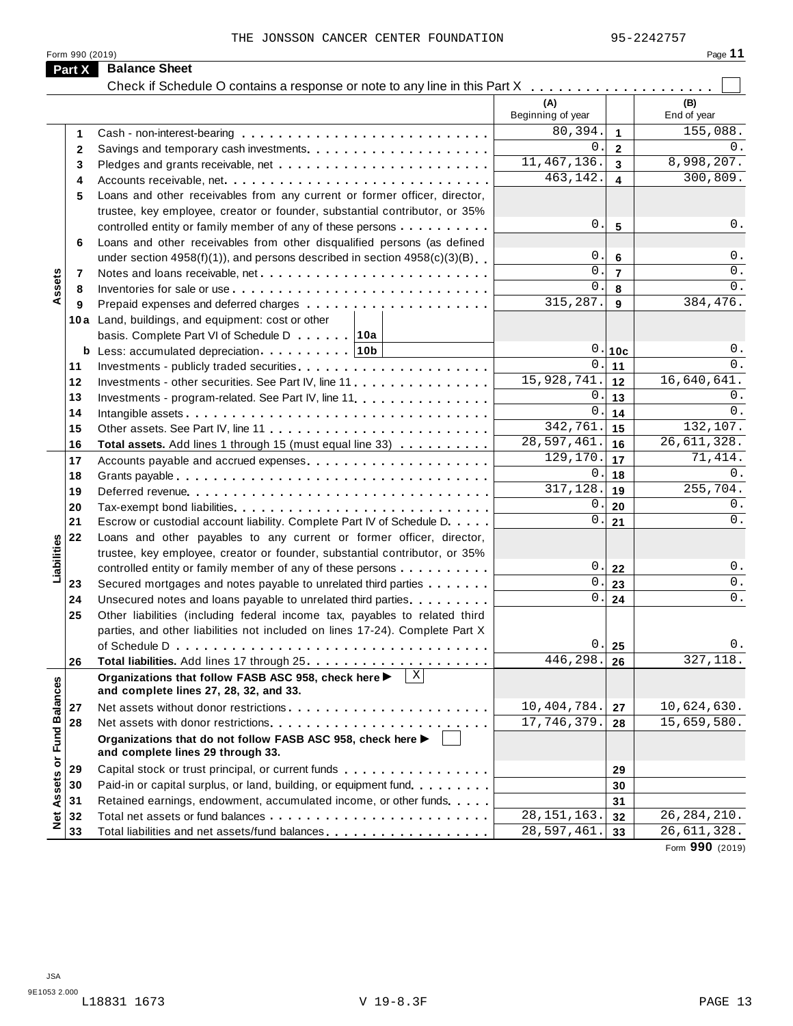Form 990 (2019)

|  | 16<br>,,,<br>٠ |  |  |
|--|----------------|--|--|
|--|----------------|--|--|

|                             | Part X | <b>Balance Sheet</b>                                                          |                           |                 |                    |
|-----------------------------|--------|-------------------------------------------------------------------------------|---------------------------|-----------------|--------------------|
|                             |        | Check if Schedule O contains a response or note to any line in this Part X    |                           |                 |                    |
|                             |        |                                                                               | (A)                       |                 | (B)                |
|                             |        |                                                                               | Beginning of year         |                 | End of year        |
|                             | 1      |                                                                               | 80,394.                   | $\mathbf{1}$    | 155,088.           |
|                             | 2      |                                                                               | $\mathbf 0$ .             | $\mathbf{2}$    | 0.                 |
|                             | 3      |                                                                               | 11, 467, 136.             | 3               | 8,998,207.         |
|                             | 4      |                                                                               | 463,142.                  | 4               | 300,809.           |
|                             | 5      | Loans and other receivables from any current or former officer, director,     |                           |                 |                    |
|                             |        | trustee, key employee, creator or founder, substantial contributor, or 35%    |                           |                 |                    |
|                             |        | controlled entity or family member of any of these persons                    | $0$ .                     | 5               | $0$ .              |
|                             | 6      | Loans and other receivables from other disqualified persons (as defined       |                           |                 |                    |
|                             |        | under section $4958(f)(1)$ , and persons described in section $4958(c)(3)(B)$ | 0.                        | 6               | $0$ .              |
|                             | 7      |                                                                               | $\mathbf 0$ .             | $\overline{7}$  | $0$ .              |
| Assets                      | 8      |                                                                               | 0.                        | 8               | $0$ .              |
|                             | 9      |                                                                               | 315,287.                  | $\mathbf{9}$    | 384,476.           |
|                             |        | 10a Land, buildings, and equipment: cost or other                             |                           |                 |                    |
|                             |        | basis. Complete Part VI of Schedule D 10a                                     |                           |                 |                    |
|                             |        |                                                                               | $\mathsf{0}$ .            | 10 <sub>c</sub> | $0$ .              |
|                             | 11     |                                                                               | 0.                        | 11              | 0.                 |
|                             | 12     | Investments - other securities. See Part IV, line 11                          | 15,928,741.               | 12              | 16,640,641.        |
|                             | 13     |                                                                               | 0                         | 13              | 0.                 |
|                             | 14     |                                                                               | 0                         | 14              | 0.                 |
|                             | 15     | Other assets. See Part IV, line 11                                            | 342,761.                  | 15              | 132, 107.          |
|                             | 16     | Total assets. Add lines 1 through 15 (must equal line 33)                     | $\overline{28,597,461}$ . | 16              | 26, 611, 328.      |
|                             | 17     |                                                                               | 129,170.                  | 17              | 71,414.            |
|                             | 18     |                                                                               | $0$ .                     | 18              | 0.                 |
|                             | 19     |                                                                               | 317,128.                  | 19              | 255,704.           |
|                             | 20     |                                                                               | 0                         | 20              | $0$ .              |
|                             | 21     | Escrow or custodial account liability. Complete Part IV of Schedule D.        | 0.                        | 21              | $0$ .              |
| Liabilities                 | 22     | Loans and other payables to any current or former officer, director,          |                           |                 |                    |
|                             |        | trustee, key employee, creator or founder, substantial contributor, or 35%    |                           |                 |                    |
|                             |        | controlled entity or family member of any of these persons                    | Ο.<br>0                   | 22              | $0$ .<br>$0$ .     |
|                             | 23     | Secured mortgages and notes payable to unrelated third parties                | 0.                        | 23              | $\boldsymbol{0}$ . |
|                             | 24     | Unsecured notes and loans payable to unrelated third parties                  |                           | 24              |                    |
|                             | 25     | Other liabilities (including federal income tax, payables to related third    |                           |                 |                    |
|                             |        | parties, and other liabilities not included on lines 17-24). Complete Part X  | $\vert 0 \vert$           |                 | υ.                 |
|                             | 26     |                                                                               | 446,298.                  | 25<br>26        | 327, 118.          |
|                             |        | X <br>Organizations that follow FASB ASC 958, check here ▶                    |                           |                 |                    |
|                             |        | and complete lines 27, 28, 32, and 33.                                        |                           |                 |                    |
|                             | 27     |                                                                               | 10,404,784.               | 27              | 10,624,630.        |
|                             | 28     |                                                                               | 17,746,379.               | 28              | 15,659,580.        |
|                             |        | Organizations that do not follow FASB ASC 958, check here ▶                   |                           |                 |                    |
|                             |        | and complete lines 29 through 33.                                             |                           |                 |                    |
| Net Assets or Fund Balances | 29     | Capital stock or trust principal, or current funds                            |                           | 29              |                    |
|                             | 30     | Paid-in or capital surplus, or land, building, or equipment fund.             |                           | 30              |                    |
|                             | 31     | Retained earnings, endowment, accumulated income, or other funds              |                           | 31              |                    |
|                             | 32     |                                                                               | 28, 151, 163.             | 32              | 26, 284, 210.      |
|                             | 33     | Total liabilities and net assets/fund balances                                | 28,597,461                | 33              | 26,611,328.        |
|                             |        |                                                                               |                           |                 |                    |

Form **990** (2019)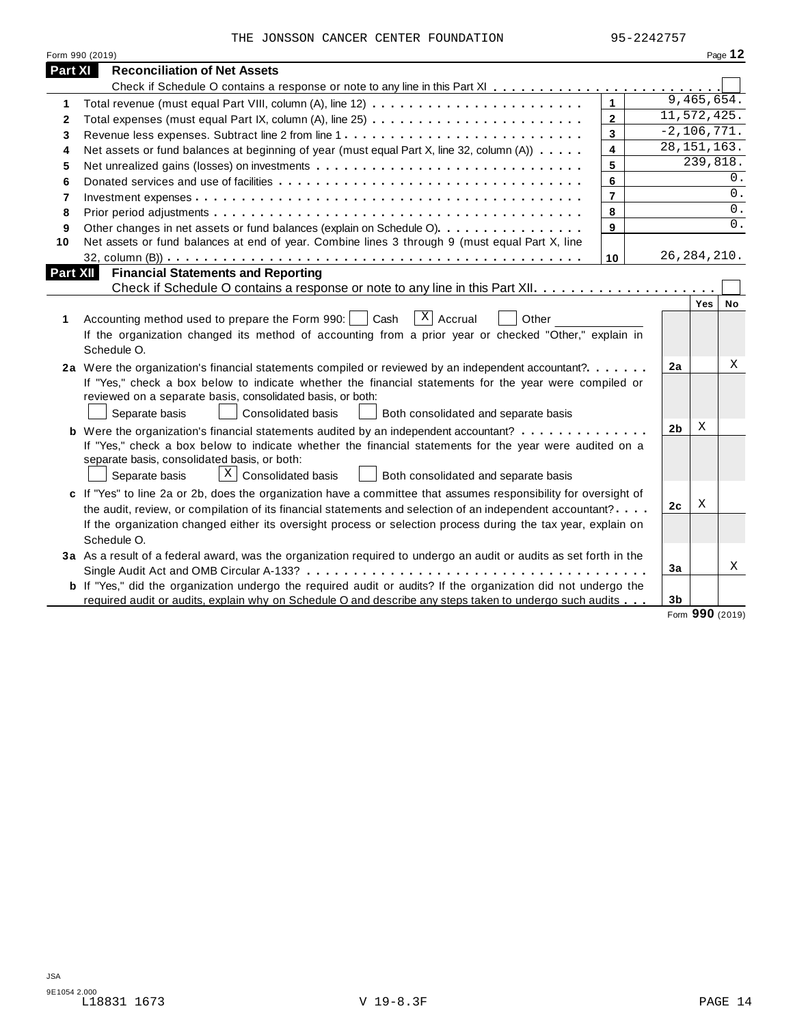|  |  | THE JONSSON CANCER CENTER FOUNDATION | 95-2242757 |
|--|--|--------------------------------------|------------|
|  |  |                                      |            |

|                 | Form 990 (2019)                                                                                                       |                |                             |               | Page 12 |
|-----------------|-----------------------------------------------------------------------------------------------------------------------|----------------|-----------------------------|---------------|---------|
| Part XI         | <b>Reconciliation of Net Assets</b>                                                                                   |                |                             |               |         |
|                 |                                                                                                                       |                |                             |               |         |
| 1               |                                                                                                                       | $\mathbf{1}$   |                             | 9,465,654.    |         |
| $\mathbf{2}$    |                                                                                                                       | $\overline{2}$ | 11,572,425.                 |               |         |
| 3               |                                                                                                                       | 3              | $-2, 106, 771.$             |               |         |
| 4               | Net assets or fund balances at beginning of year (must equal Part X, line 32, column (A))                             | 4              | $\overline{28}$ , 151, 163. |               |         |
| 5               |                                                                                                                       | 5              |                             | 239,818.      |         |
| 6               |                                                                                                                       | 6              |                             |               | 0.      |
| $\overline{7}$  |                                                                                                                       | $\overline{7}$ |                             |               | 0.      |
| 8               |                                                                                                                       | 8              |                             |               | 0.      |
| 9               | Other changes in net assets or fund balances (explain on Schedule O)                                                  | 9              |                             |               | 0.      |
| 10              | Net assets or fund balances at end of year. Combine lines 3 through 9 (must equal Part X, line                        |                |                             |               |         |
|                 |                                                                                                                       | 10             | 26, 284, 210.               |               |         |
| <b>Part XII</b> | <b>Financial Statements and Reporting</b>                                                                             |                |                             |               |         |
|                 |                                                                                                                       |                |                             |               |         |
| 1               | $\overline{X}$ Accrual<br>Accounting method used to prepare the Form 990:  <br>Cash<br>Other                          |                |                             | Yes           | No      |
|                 | If the organization changed its method of accounting from a prior year or checked "Other," explain in                 |                |                             |               |         |
|                 | Schedule O.                                                                                                           |                |                             |               |         |
|                 | 2a Were the organization's financial statements compiled or reviewed by an independent accountant?                    |                | 2a                          |               | Χ       |
|                 | If "Yes," check a box below to indicate whether the financial statements for the year were compiled or                |                |                             |               |         |
|                 | reviewed on a separate basis, consolidated basis, or both:                                                            |                |                             |               |         |
|                 | Separate basis<br>Consolidated basis<br>Both consolidated and separate basis                                          |                |                             |               |         |
|                 | <b>b</b> Were the organization's financial statements audited by an independent accountant?                           |                | 2 <sub>b</sub>              | X             |         |
|                 | If "Yes," check a box below to indicate whether the financial statements for the year were audited on a               |                |                             |               |         |
|                 | separate basis, consolidated basis, or both:                                                                          |                |                             |               |         |
|                 | $\lfloor x \rfloor$ Consolidated basis<br>Both consolidated and separate basis<br>Separate basis                      |                |                             |               |         |
|                 | c If "Yes" to line 2a or 2b, does the organization have a committee that assumes responsibility for oversight of      |                |                             |               |         |
|                 | the audit, review, or compilation of its financial statements and selection of an independent accountant?             |                | 2c                          | Χ             |         |
|                 | If the organization changed either its oversight process or selection process during the tax year, explain on         |                |                             |               |         |
|                 | Schedule O.                                                                                                           |                |                             |               |         |
|                 | 3a As a result of a federal award, was the organization required to undergo an audit or audits as set forth in the    |                |                             |               |         |
|                 |                                                                                                                       |                | 3a                          |               | Χ       |
|                 | <b>b</b> If "Yes," did the organization undergo the required audit or audits? If the organization did not undergo the |                |                             |               |         |
|                 | required audit or audits, explain why on Schedule O and describe any steps taken to undergo such audits               |                | 3 <sub>b</sub>              | $\sim$ $\sim$ |         |

Form **990** (2019)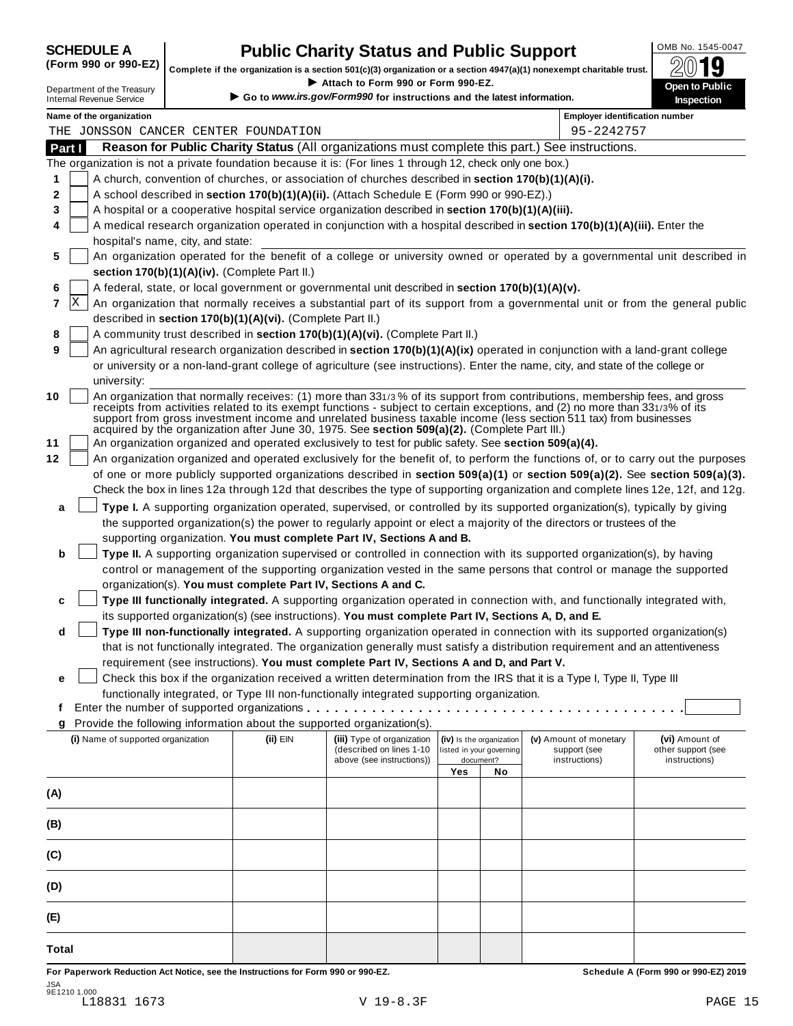| <b>SCHEDULE A</b>             |  |  |
|-------------------------------|--|--|
| $\sqrt{2}$ and and $\sqrt{2}$ |  |  |

### **CHEDULE A Public Charity Status and Public Support**  $\frac{100\text{dB No. }1545-0047}{000\text{dB No.}}$

(Form 990 or 990-EZ) complete if the organization is a section 501(c)(3) organization or a section 4947(a)(1) nonexempt charitable trust.  $2019$ 

|              |                                                                                                                                                                |  |                                                            |                                                                                                                                                                                                       |     |                          | Complete if the organization is a section 501(c)(3) organization or a section 4947(a)(1) nonexempt charitable trust.                                                                                                                              | ZW IJ                                      |
|--------------|----------------------------------------------------------------------------------------------------------------------------------------------------------------|--|------------------------------------------------------------|-------------------------------------------------------------------------------------------------------------------------------------------------------------------------------------------------------|-----|--------------------------|---------------------------------------------------------------------------------------------------------------------------------------------------------------------------------------------------------------------------------------------------|--------------------------------------------|
|              | Department of the Treasury<br><b>Internal Revenue Service</b>                                                                                                  |  |                                                            | Attach to Form 990 or Form 990-EZ.<br>Go to www.irs.gov/Form990 for instructions and the latest information.                                                                                          |     |                          |                                                                                                                                                                                                                                                   | <b>Open to Public</b><br><b>Inspection</b> |
|              | Name of the organization                                                                                                                                       |  |                                                            |                                                                                                                                                                                                       |     |                          | <b>Employer identification number</b>                                                                                                                                                                                                             |                                            |
|              | THE JONSSON CANCER CENTER FOUNDATION                                                                                                                           |  |                                                            |                                                                                                                                                                                                       |     |                          | 95-2242757                                                                                                                                                                                                                                        |                                            |
| Part I       |                                                                                                                                                                |  |                                                            |                                                                                                                                                                                                       |     |                          | Reason for Public Charity Status (All organizations must complete this part.) See instructions.                                                                                                                                                   |                                            |
|              |                                                                                                                                                                |  |                                                            | The organization is not a private foundation because it is: (For lines 1 through 12, check only one box.)                                                                                             |     |                          |                                                                                                                                                                                                                                                   |                                            |
| 1            |                                                                                                                                                                |  |                                                            | A church, convention of churches, or association of churches described in section 170(b)(1)(A)(i).                                                                                                    |     |                          |                                                                                                                                                                                                                                                   |                                            |
| 2            |                                                                                                                                                                |  |                                                            | A school described in section 170(b)(1)(A)(ii). (Attach Schedule E (Form 990 or 990-EZ).)                                                                                                             |     |                          |                                                                                                                                                                                                                                                   |                                            |
| 3            |                                                                                                                                                                |  |                                                            | A hospital or a cooperative hospital service organization described in section 170(b)(1)(A)(iii).                                                                                                     |     |                          |                                                                                                                                                                                                                                                   |                                            |
| 4            | A medical research organization operated in conjunction with a hospital described in section 170(b)(1)(A)(iii). Enter the<br>hospital's name, city, and state: |  |                                                            |                                                                                                                                                                                                       |     |                          |                                                                                                                                                                                                                                                   |                                            |
| 5            |                                                                                                                                                                |  |                                                            |                                                                                                                                                                                                       |     |                          | An organization operated for the benefit of a college or university owned or operated by a governmental unit described in                                                                                                                         |                                            |
|              |                                                                                                                                                                |  | section 170(b)(1)(A)(iv). (Complete Part II.)              |                                                                                                                                                                                                       |     |                          |                                                                                                                                                                                                                                                   |                                            |
| 6            |                                                                                                                                                                |  |                                                            | A federal, state, or local government or governmental unit described in section 170(b)(1)(A)(v).                                                                                                      |     |                          |                                                                                                                                                                                                                                                   |                                            |
| 7            | X                                                                                                                                                              |  |                                                            |                                                                                                                                                                                                       |     |                          | An organization that normally receives a substantial part of its support from a governmental unit or from the general public                                                                                                                      |                                            |
|              |                                                                                                                                                                |  | described in section 170(b)(1)(A)(vi). (Complete Part II.) |                                                                                                                                                                                                       |     |                          |                                                                                                                                                                                                                                                   |                                            |
| 8            |                                                                                                                                                                |  |                                                            | A community trust described in section 170(b)(1)(A)(vi). (Complete Part II.)                                                                                                                          |     |                          |                                                                                                                                                                                                                                                   |                                            |
| 9            |                                                                                                                                                                |  |                                                            |                                                                                                                                                                                                       |     |                          | An agricultural research organization described in section 170(b)(1)(A)(ix) operated in conjunction with a land-grant college                                                                                                                     |                                            |
|              | university:                                                                                                                                                    |  |                                                            |                                                                                                                                                                                                       |     |                          | or university or a non-land-grant college of agriculture (see instructions). Enter the name, city, and state of the college or                                                                                                                    |                                            |
| 10           |                                                                                                                                                                |  |                                                            |                                                                                                                                                                                                       |     |                          | An organization that normally receives: (1) more than 331/3% of its support from contributions, membership fees, and gross                                                                                                                        |                                            |
|              |                                                                                                                                                                |  |                                                            |                                                                                                                                                                                                       |     |                          | receipts from activities related to its exempt functions - subject to certain exceptions, and (2) no more than 331/3% of its<br>support from gross investment income and unrelated business taxable income (less section 511 tax) from businesses |                                            |
| 11           |                                                                                                                                                                |  |                                                            | acquired by the organization after June 30, 1975. See section 509(a)(2). (Complete Part III.)<br>An organization organized and operated exclusively to test for public safety. See section 509(a)(4). |     |                          |                                                                                                                                                                                                                                                   |                                            |
| 12           |                                                                                                                                                                |  |                                                            |                                                                                                                                                                                                       |     |                          | An organization organized and operated exclusively for the benefit of, to perform the functions of, or to carry out the purposes                                                                                                                  |                                            |
|              |                                                                                                                                                                |  |                                                            |                                                                                                                                                                                                       |     |                          | of one or more publicly supported organizations described in section 509(a)(1) or section 509(a)(2). See section 509(a)(3).                                                                                                                       |                                            |
|              |                                                                                                                                                                |  |                                                            |                                                                                                                                                                                                       |     |                          | Check the box in lines 12a through 12d that describes the type of supporting organization and complete lines 12e, 12f, and 12g.                                                                                                                   |                                            |
|              |                                                                                                                                                                |  |                                                            |                                                                                                                                                                                                       |     |                          |                                                                                                                                                                                                                                                   |                                            |
| а            |                                                                                                                                                                |  |                                                            |                                                                                                                                                                                                       |     |                          | Type I. A supporting organization operated, supervised, or controlled by its supported organization(s), typically by giving                                                                                                                       |                                            |
|              |                                                                                                                                                                |  |                                                            |                                                                                                                                                                                                       |     |                          | the supported organization(s) the power to regularly appoint or elect a majority of the directors or trustees of the                                                                                                                              |                                            |
|              |                                                                                                                                                                |  |                                                            | supporting organization. You must complete Part IV, Sections A and B.                                                                                                                                 |     |                          |                                                                                                                                                                                                                                                   |                                            |
| b            |                                                                                                                                                                |  |                                                            |                                                                                                                                                                                                       |     |                          | Type II. A supporting organization supervised or controlled in connection with its supported organization(s), by having                                                                                                                           |                                            |
|              |                                                                                                                                                                |  |                                                            | organization(s). You must complete Part IV, Sections A and C.                                                                                                                                         |     |                          | control or management of the supporting organization vested in the same persons that control or manage the supported                                                                                                                              |                                            |
|              |                                                                                                                                                                |  |                                                            |                                                                                                                                                                                                       |     |                          | Type III functionally integrated. A supporting organization operated in connection with, and functionally integrated with,                                                                                                                        |                                            |
| c            |                                                                                                                                                                |  |                                                            | its supported organization(s) (see instructions). You must complete Part IV, Sections A, D, and E.                                                                                                    |     |                          |                                                                                                                                                                                                                                                   |                                            |
| d            |                                                                                                                                                                |  |                                                            |                                                                                                                                                                                                       |     |                          | Type III non-functionally integrated. A supporting organization operated in connection with its supported organization(s)                                                                                                                         |                                            |
|              |                                                                                                                                                                |  |                                                            |                                                                                                                                                                                                       |     |                          | that is not functionally integrated. The organization generally must satisfy a distribution requirement and an attentiveness                                                                                                                      |                                            |
|              |                                                                                                                                                                |  |                                                            | requirement (see instructions). You must complete Part IV, Sections A and D, and Part V.                                                                                                              |     |                          |                                                                                                                                                                                                                                                   |                                            |
| е            |                                                                                                                                                                |  |                                                            |                                                                                                                                                                                                       |     |                          | Check this box if the organization received a written determination from the IRS that it is a Type I, Type II, Type III                                                                                                                           |                                            |
|              |                                                                                                                                                                |  |                                                            | functionally integrated, or Type III non-functionally integrated supporting organization.                                                                                                             |     |                          |                                                                                                                                                                                                                                                   |                                            |
| f            |                                                                                                                                                                |  |                                                            |                                                                                                                                                                                                       |     |                          |                                                                                                                                                                                                                                                   |                                            |
| g            |                                                                                                                                                                |  |                                                            | Provide the following information about the supported organization(s).                                                                                                                                |     |                          |                                                                                                                                                                                                                                                   |                                            |
|              | (i) Name of supported organization                                                                                                                             |  | $(ii)$ EIN                                                 | (iii) Type of organization                                                                                                                                                                            |     | (iv) Is the organization | (v) Amount of monetary                                                                                                                                                                                                                            | (vi) Amount of                             |
|              |                                                                                                                                                                |  |                                                            | (described on lines 1-10                                                                                                                                                                              |     | listed in your governing | support (see                                                                                                                                                                                                                                      | other support (see                         |
|              |                                                                                                                                                                |  |                                                            | above (see instructions))                                                                                                                                                                             |     | document?                | instructions)                                                                                                                                                                                                                                     | instructions)                              |
|              |                                                                                                                                                                |  |                                                            |                                                                                                                                                                                                       | Yes | No                       |                                                                                                                                                                                                                                                   |                                            |
| (A)          |                                                                                                                                                                |  |                                                            |                                                                                                                                                                                                       |     |                          |                                                                                                                                                                                                                                                   |                                            |
| (B)          |                                                                                                                                                                |  |                                                            |                                                                                                                                                                                                       |     |                          |                                                                                                                                                                                                                                                   |                                            |
|              |                                                                                                                                                                |  |                                                            |                                                                                                                                                                                                       |     |                          |                                                                                                                                                                                                                                                   |                                            |
| (C)          |                                                                                                                                                                |  |                                                            |                                                                                                                                                                                                       |     |                          |                                                                                                                                                                                                                                                   |                                            |
| (D)          |                                                                                                                                                                |  |                                                            |                                                                                                                                                                                                       |     |                          |                                                                                                                                                                                                                                                   |                                            |
| (E)          |                                                                                                                                                                |  |                                                            |                                                                                                                                                                                                       |     |                          |                                                                                                                                                                                                                                                   |                                            |
| <b>Total</b> |                                                                                                                                                                |  |                                                            |                                                                                                                                                                                                       |     |                          |                                                                                                                                                                                                                                                   |                                            |

For Paperwork Reduction Act Notice, see the Instructions for Form 990 or 990-EZ. Schedule A (Form 990 or 990-EZ) 2019 JSA 9E1210 1.000 L18831 1673 V 19-8.3F PAGE 15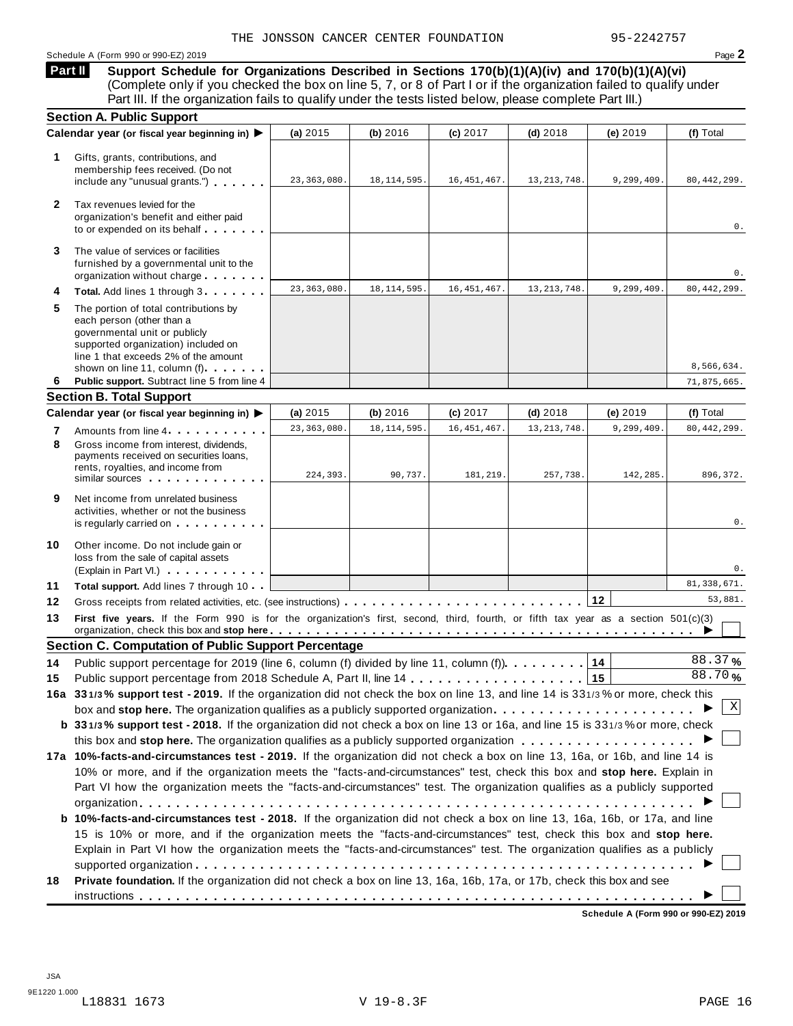Schedule <sup>A</sup> (Form <sup>990</sup> or 990-EZ) <sup>2019</sup> Page **2**

**Support Schedule for Organizations Described in Sections 170(b)(1)(A)(iv) and 170(b)(1)(A)(vi)** Complete only if you checked the box on line 5, 7, or 8 of Part I or if the organization failed to qualify under Part III. If the organization fails to qualify under the tests listed below, please complete Part III.) **Part II**

|              | <b>Section A. Public Support</b>                                                                                                                                                                                   |                                                                                                                           |               |               |               |            |               |  |  |  |
|--------------|--------------------------------------------------------------------------------------------------------------------------------------------------------------------------------------------------------------------|---------------------------------------------------------------------------------------------------------------------------|---------------|---------------|---------------|------------|---------------|--|--|--|
|              | Calendar year (or fiscal year beginning in) ▶                                                                                                                                                                      | (a) 2015                                                                                                                  | (b) 2016      | (c) 2017      | $(d)$ 2018    | (e) 2019   | (f) Total     |  |  |  |
| 1.           | Gifts, grants, contributions, and<br>membership fees received. (Do not<br>include any "unusual grants.")                                                                                                           | 23, 363, 080.                                                                                                             | 18, 114, 595. | 16, 451, 467. | 13, 213, 748. | 9,299,409. | 80, 442, 299. |  |  |  |
| $\mathbf{2}$ | Tax revenues levied for the<br>organization's benefit and either paid<br>to or expended on its behalf                                                                                                              |                                                                                                                           |               |               |               |            | 0.            |  |  |  |
| 3            | The value of services or facilities<br>furnished by a governmental unit to the<br>organization without charge                                                                                                      |                                                                                                                           |               |               |               |            | 0.            |  |  |  |
| 4            | Total. Add lines 1 through 3                                                                                                                                                                                       | 23, 363, 080                                                                                                              | 18, 114, 595. | 16, 451, 467. | 13, 213, 748. | 9,299,409. | 80, 442, 299. |  |  |  |
| 5            | The portion of total contributions by<br>each person (other than a<br>governmental unit or publicly<br>supported organization) included on<br>line 1 that exceeds 2% of the amount<br>shown on line 11, column (f) |                                                                                                                           |               |               |               |            | 8,566,634.    |  |  |  |
| 6            | Public support. Subtract line 5 from line 4                                                                                                                                                                        |                                                                                                                           |               |               |               |            | 71,875,665.   |  |  |  |
|              | <b>Section B. Total Support</b>                                                                                                                                                                                    |                                                                                                                           |               |               |               |            |               |  |  |  |
|              | Calendar year (or fiscal year beginning in) ▶                                                                                                                                                                      | (a) 2015                                                                                                                  | (b) 2016      | (c) 2017      | $(d)$ 2018    | (e) 2019   | (f) Total     |  |  |  |
| 7            | Amounts from line 4                                                                                                                                                                                                | 23, 363, 080.                                                                                                             | 18, 114, 595. | 16, 451, 467. | 13, 213, 748. | 9,299,409. | 80, 442, 299. |  |  |  |
| 8            | Gross income from interest, dividends,<br>payments received on securities loans,<br>rents, royalties, and income from<br>similar sources experiences                                                               | 224,393.                                                                                                                  | 90,737.       | 181,219.      | 257,738.      | 142,285.   | 896,372.      |  |  |  |
| 9            | Net income from unrelated business<br>activities, whether or not the business<br>is regularly carried on the control of the set of the set of the set of the set of the set of the set of the s                    |                                                                                                                           |               |               |               |            | 0.            |  |  |  |
| 10           | Other income. Do not include gain or<br>loss from the sale of capital assets<br>(Explain in Part VI.)                                                                                                              |                                                                                                                           |               |               |               |            | 0.            |  |  |  |
| 11           | Total support. Add lines 7 through 10                                                                                                                                                                              |                                                                                                                           |               |               |               |            | 81, 338, 671. |  |  |  |
| 12           |                                                                                                                                                                                                                    |                                                                                                                           |               |               |               |            | 53,881.       |  |  |  |
| 13           | First five years. If the Form 990 is for the organization's first, second, third, fourth, or fifth tax year as a section 501(c)(3)                                                                                 |                                                                                                                           |               |               |               |            |               |  |  |  |
|              | <b>Section C. Computation of Public Support Percentage</b>                                                                                                                                                         |                                                                                                                           |               |               |               |            |               |  |  |  |
| 14           | Public support percentage for 2019 (line 6, column (f) divided by line 11, column (f).                                                                                                                             |                                                                                                                           |               |               |               | 14         | 88.37%        |  |  |  |
| 15           |                                                                                                                                                                                                                    |                                                                                                                           |               |               |               | 15         | 88.70%        |  |  |  |
|              | 16a 331/3% support test - 2019. If the organization did not check the box on line 13, and line 14 is 331/3% or more, check this                                                                                    |                                                                                                                           |               |               |               |            |               |  |  |  |
|              | Χ<br>box and stop here. The organization qualifies as a publicly supported organization                                                                                                                            |                                                                                                                           |               |               |               |            |               |  |  |  |
|              | b 331/3% support test - 2018. If the organization did not check a box on line 13 or 16a, and line 15 is 331/3% or more, check                                                                                      |                                                                                                                           |               |               |               |            |               |  |  |  |
|              |                                                                                                                                                                                                                    |                                                                                                                           |               |               |               |            |               |  |  |  |
|              | 17a 10%-facts-and-circumstances test - 2019. If the organization did not check a box on line 13, 16a, or 16b, and line 14 is                                                                                       |                                                                                                                           |               |               |               |            |               |  |  |  |
|              | 10% or more, and if the organization meets the "facts-and-circumstances" test, check this box and stop here. Explain in                                                                                            |                                                                                                                           |               |               |               |            |               |  |  |  |
|              | Part VI how the organization meets the "facts-and-circumstances" test. The organization qualifies as a publicly supported                                                                                          |                                                                                                                           |               |               |               |            |               |  |  |  |
|              |                                                                                                                                                                                                                    |                                                                                                                           |               |               |               |            |               |  |  |  |
|              |                                                                                                                                                                                                                    | b 10%-facts-and-circumstances test - 2018. If the organization did not check a box on line 13, 16a, 16b, or 17a, and line |               |               |               |            |               |  |  |  |
|              |                                                                                                                                                                                                                    | 15 is 10% or more, and if the organization meets the "facts-and-circumstances" test, check this box and stop here.        |               |               |               |            |               |  |  |  |
|              | Explain in Part VI how the organization meets the "facts-and-circumstances" test. The organization qualifies as a publicly                                                                                         |                                                                                                                           |               |               |               |            |               |  |  |  |
|              |                                                                                                                                                                                                                    |                                                                                                                           |               |               |               |            |               |  |  |  |
| 18           | Private foundation. If the organization did not check a box on line 13, 16a, 16b, 17a, or 17b, check this box and see                                                                                              |                                                                                                                           |               |               |               |            |               |  |  |  |
|              |                                                                                                                                                                                                                    |                                                                                                                           |               |               |               |            |               |  |  |  |

**Schedule A (Form 990 or 990-EZ) 2019**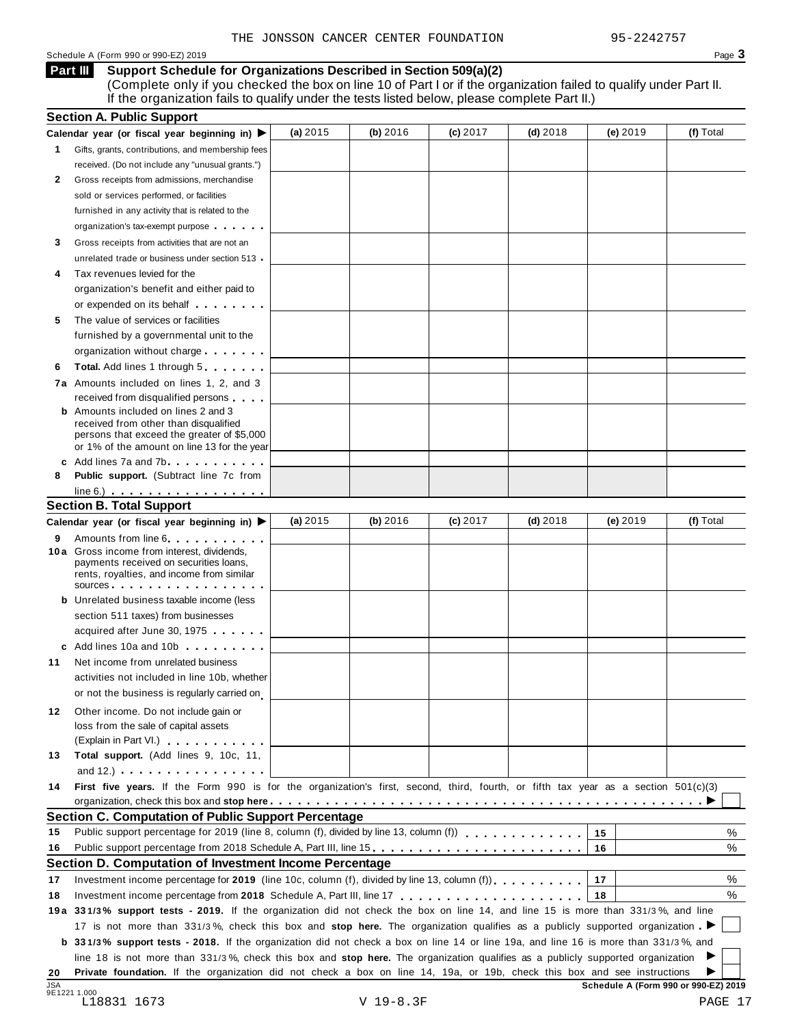### Schedule A (Form 990 or 990-EZ) 2019 Page 3

**Support Schedule for Organizations Described in Section 509(a)(2)** (Complete only if you checked the box on line 10 of Part I or if the organization failed to qualify under Part II. **Part III**

If the organization fails to qualify under the tests listed below, please complete Part II.)

|            | <b>Section A. Public Support</b>                                                                                                           |            |          |          |            |                                      |           |
|------------|--------------------------------------------------------------------------------------------------------------------------------------------|------------|----------|----------|------------|--------------------------------------|-----------|
|            | Calendar year (or fiscal year beginning in) $\blacktriangleright$                                                                          | (a) $2015$ | (b) 2016 | (c) 2017 | $(d)$ 2018 | (e) 2019                             | (f) Total |
| 1.         | Gifts, grants, contributions, and membership fees                                                                                          |            |          |          |            |                                      |           |
|            | received. (Do not include any "unusual grants.")                                                                                           |            |          |          |            |                                      |           |
| 2          | Gross receipts from admissions, merchandise                                                                                                |            |          |          |            |                                      |           |
|            | sold or services performed, or facilities                                                                                                  |            |          |          |            |                                      |           |
|            | furnished in any activity that is related to the                                                                                           |            |          |          |            |                                      |           |
|            | organization's tax-exempt purpose                                                                                                          |            |          |          |            |                                      |           |
| 3          | Gross receipts from activities that are not an                                                                                             |            |          |          |            |                                      |           |
|            | unrelated trade or business under section 513                                                                                              |            |          |          |            |                                      |           |
| 4          | Tax revenues levied for the                                                                                                                |            |          |          |            |                                      |           |
|            | organization's benefit and either paid to                                                                                                  |            |          |          |            |                                      |           |
|            | or expended on its behalf <b>contained</b> on $\theta$                                                                                     |            |          |          |            |                                      |           |
| 5          | The value of services or facilities                                                                                                        |            |          |          |            |                                      |           |
|            | furnished by a governmental unit to the                                                                                                    |            |          |          |            |                                      |           |
|            | organization without charge                                                                                                                |            |          |          |            |                                      |           |
| 6          | Total. Add lines 1 through 5                                                                                                               |            |          |          |            |                                      |           |
|            | 7a Amounts included on lines 1, 2, and 3                                                                                                   |            |          |          |            |                                      |           |
|            | received from disqualified persons                                                                                                         |            |          |          |            |                                      |           |
|            | <b>b</b> Amounts included on lines 2 and 3                                                                                                 |            |          |          |            |                                      |           |
|            | received from other than disqualified                                                                                                      |            |          |          |            |                                      |           |
|            | persons that exceed the greater of \$5,000                                                                                                 |            |          |          |            |                                      |           |
|            | or 1% of the amount on line 13 for the year                                                                                                |            |          |          |            |                                      |           |
|            | c Add lines 7a and 7b                                                                                                                      |            |          |          |            |                                      |           |
| 8          | <b>Public support.</b> (Subtract line 7c from                                                                                              |            |          |          |            |                                      |           |
|            | $line 6.)$ $\ldots$ $\ldots$ $\ldots$ $\ldots$ $\ldots$ $\ldots$                                                                           |            |          |          |            |                                      |           |
|            | <b>Section B. Total Support</b>                                                                                                            | (a) $2015$ | (b) 2016 | (c) 2017 | $(d)$ 2018 | (e) 2019                             | (f) Total |
|            | Calendar year (or fiscal year beginning in) ▶                                                                                              |            |          |          |            |                                      |           |
| 9          | Amounts from line 6                                                                                                                        |            |          |          |            |                                      |           |
|            | 10 a Gross income from interest, dividends,<br>payments received on securities loans,                                                      |            |          |          |            |                                      |           |
|            | rents, royalties, and income from similar                                                                                                  |            |          |          |            |                                      |           |
|            | sources and the set of the set of the set of the set of the set of the set of the set of the set of the set of                             |            |          |          |            |                                      |           |
|            | <b>b</b> Unrelated business taxable income (less                                                                                           |            |          |          |            |                                      |           |
|            | section 511 taxes) from businesses                                                                                                         |            |          |          |            |                                      |           |
|            | acquired after June 30, 1975                                                                                                               |            |          |          |            |                                      |           |
|            | c Add lines 10a and 10b                                                                                                                    |            |          |          |            |                                      |           |
| 11         | Net income from unrelated business                                                                                                         |            |          |          |            |                                      |           |
|            | activities not included in line 10b, whether                                                                                               |            |          |          |            |                                      |           |
|            | or not the business is regularly carried on                                                                                                |            |          |          |            |                                      |           |
| 12         | Other income. Do not include gain or                                                                                                       |            |          |          |            |                                      |           |
|            | loss from the sale of capital assets                                                                                                       |            |          |          |            |                                      |           |
|            | (Explain in Part VI.) <b>All Accords</b>                                                                                                   |            |          |          |            |                                      |           |
| 13         | Total support. (Add lines 9, 10c, 11,                                                                                                      |            |          |          |            |                                      |           |
|            | and $12.$ ) $\cdots$ $\cdots$ $\cdots$ $\cdots$                                                                                            |            |          |          |            |                                      |           |
| 14         | First five years. If the Form 990 is for the organization's first, second, third, fourth, or fifth tax year as a section 501(c)(3)         |            |          |          |            |                                      |           |
|            |                                                                                                                                            |            |          |          |            |                                      |           |
|            | Section C. Computation of Public Support Percentage                                                                                        |            |          |          |            |                                      |           |
| 15         |                                                                                                                                            |            |          |          |            | 15                                   | %         |
| 16         | Public support percentage from 2018 Schedule A, Part III, line 15.                                                                         |            |          |          |            | 16                                   | %         |
|            | Section D. Computation of Investment Income Percentage                                                                                     |            |          |          |            |                                      |           |
| 17         | Investment income percentage for 2019 (line 10c, column (f), divided by line 13, column (f) $\ldots$ ,                                     |            |          |          |            | 17                                   | %         |
| 18         |                                                                                                                                            |            |          |          |            | 18                                   | %         |
|            | 19a 331/3% support tests - 2019. If the organization did not check the box on line 14, and line 15 is more than 331/3%, and line           |            |          |          |            |                                      |           |
|            |                                                                                                                                            |            |          |          |            |                                      |           |
|            | 17 is not more than 331/3%, check this box and stop here. The organization qualifies as a publicly supported organization                  |            |          |          |            |                                      |           |
|            | <b>b</b> 331/3% support tests - 2018. If the organization did not check a box on line 14 or line 19a, and line 16 is more than 331/3%, and |            |          |          |            |                                      |           |
|            | line 18 is not more than 331/3%, check this box and stop here. The organization qualifies as a publicly supported organization             |            |          |          |            |                                      |           |
| 20         | Private foundation. If the organization did not check a box on line 14, 19a, or 19b, check this box and see instructions                   |            |          |          |            | Schedule A (Form 990 or 990-EZ) 2019 |           |
| <b>JSA</b> |                                                                                                                                            |            |          |          |            |                                      |           |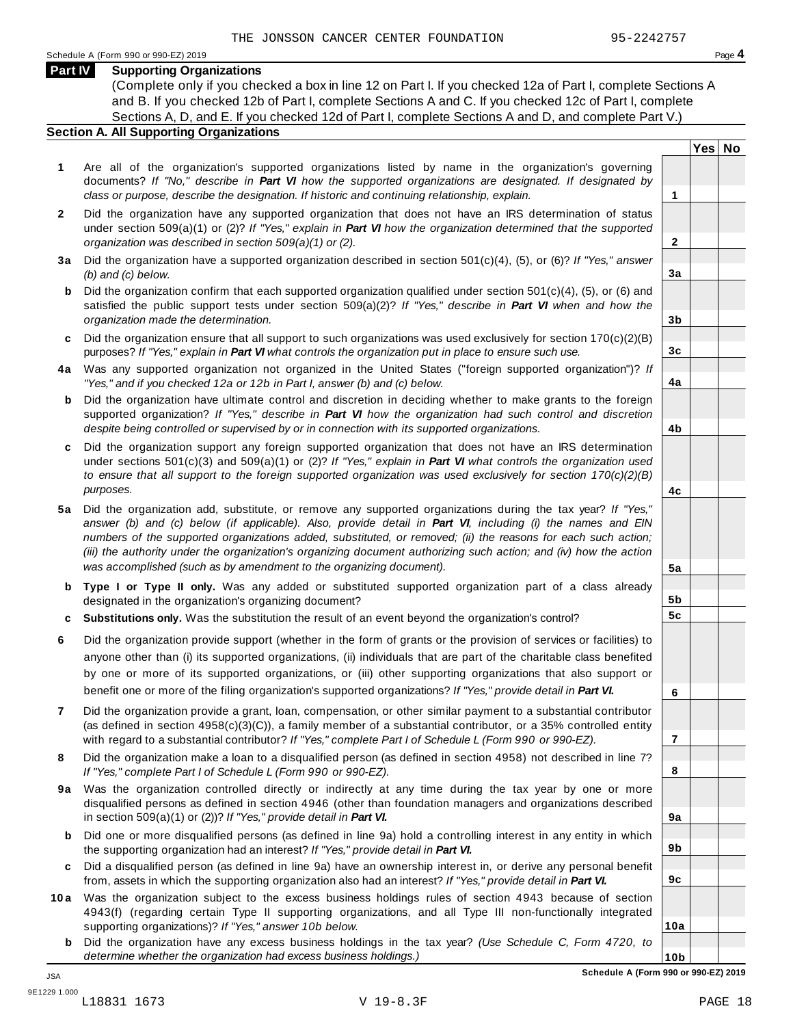**Yes No**

**2**

**3a**

**3b**

**3c**

**4a**

**4b**

**4c**

**5a**

**5b 5c**

**6**

**7**

**8**

**9a**

**9b**

**9c**

**10a**

### **Part IV Supporting Organizations**

(Complete only if you checked a box in line 12 on Part I. If you checked 12a of Part I, complete Sections A and B. If you checked 12b of Part I, complete Sections A and C. If you checked 12c of Part I, complete Sections A, D, and E. If you checked 12d of Part I, complete Sections A and D, and complete Part V.)

### **Section A. All Supporting Organizations**

- **1** Are all of the organization's supported organizations listed by name in the organization's governing documents? *If "No," describe in Part VI how the supported organizations are designated. If designated by class or purpose, describe the designation. If historic and continuing relationship, explain.* **1**
- **2** Did the organization have any supported organization that does not have an IRS determination of status under section 509(a)(1) or (2)? *If"Yes," explain in Part VI how the organization determined that the supported organization was described in section 509(a)(1) or (2).*
- **3 a** Did the organization have a supported organization described in section 501(c)(4), (5), or (6)? *If "Yes," answer (b) and (c) below.*
- **b** Did the organization confirm that each supported organization qualified under section 501(c)(4), (5), or (6) and | satisfied the public support tests under section 509(a)(2)? *If "Yes," describe in Part VI when and how the organization made the determination.*
- **c** Did the organization ensure that all support to such organizations was used exclusively for section 170(c)(2)(B) purposes? *If"Yes," explain in Part VI what controls the organization put in place to ensure such use.*
- **4 a** Was any supported organization not organized in the United States ("foreign supported organization")? *If "Yes," and if you checked 12a or 12b in Part I, answer (b) and (c) below.*
- **b** Did the organization have ultimate control and discretion in deciding whether to make grants to the foreign | supported organization? *If "Yes," describe in Part VI how the organization had such control and discretion despite being controlled or supervised by or in connection with its supported organizations.*
- **c** Did the organization support any foreign supported organization that does not have an IRS determination | under sections 501(c)(3) and 509(a)(1) or (2)? *If "Yes," explain in Part VI what controls the organization used to ensure that all support to the foreign supported organization was used exclusively for section 170(c)(2)(B) purposes.*
- **5 a** Did the organization add, substitute, or remove any supported organizations during the tax year? *If "Yes,"* answer (b) and (c) below (if applicable). Also, provide detail in Part VI, including (i) the names and EIN *numbers of the supported organizations added, substituted, or removed; (ii) the reasons for each such action;* (iii) the authority under the organization's organizing document authorizing such action; and (iv) how the action *was accomplished (such as by amendment to the organizing document).*
- **b Type I or Type II only.** Was any added or substituted supported organization part of a class already designated in the organization's organizing document?
- **c Substitutions only.** Was the substitution the result of an event beyond the organization's control?
- **6** Did the organization provide support (whether in the form of grants or the provision of services or facilities) to anyone other than (i) its supported organizations, (ii) individuals that are part of the charitable class benefited by one or more of its supported organizations, or (iii) other supporting organizations that also support or benefit one or more of the filing organization's supported organizations? *If"Yes," provide detail in Part VI.*
- **7** Did the organization provide a grant, loan, compensation, or other similar payment to a substantial contributor (as defined in section 4958(c)(3)(C)), a family member of a substantial contributor, or a 35% controlled entity with regard to a substantial contributor? *If"Yes," complete Part I of Schedule L (Form 990 or 990-EZ).*
- **8** Did the organization make a loan to a disqualified person (as defined in section 4958) not described in line 7? *If "Yes," complete Part I of Schedule L (Form 990 or 990-EZ).*
- **9a** Was the organization controlled directly or indirectly at any time during the tax year by one or more | disqualified persons as defined in section 4946 (other than foundation managers and organizations described in section 509(a)(1) or (2))? *If"Yes," provide detail in Part VI.*
- **b** Did one or more disqualified persons (as defined in line 9a) hold a controlling interest in any entity in which | the supporting organization had an interest? *If"Yes," provide detail in Part VI.*
- **c** Did a disqualified person (as defined in line 9a) have an ownership interest in, or derive any personal benefit from, assets in which the supporting organization also had an interest? *If"Yes," provide detail in Part VI.*
- **10a** Was the organization subject to the excess business holdings rules of section 4943 because of section | 4943(f) (regarding certain Type II supporting organizations, and all Type III non-functionally integrated supporting organizations)? *If"Yes," answer 10b below.*
	- **b** Did the organization have any excess business holdings in the tax year? *(Use Schedule C, Form 4720, to determine whether the organization had excess business holdings.)*

**10b Schedule A (Form 990 or 990-EZ) 2019**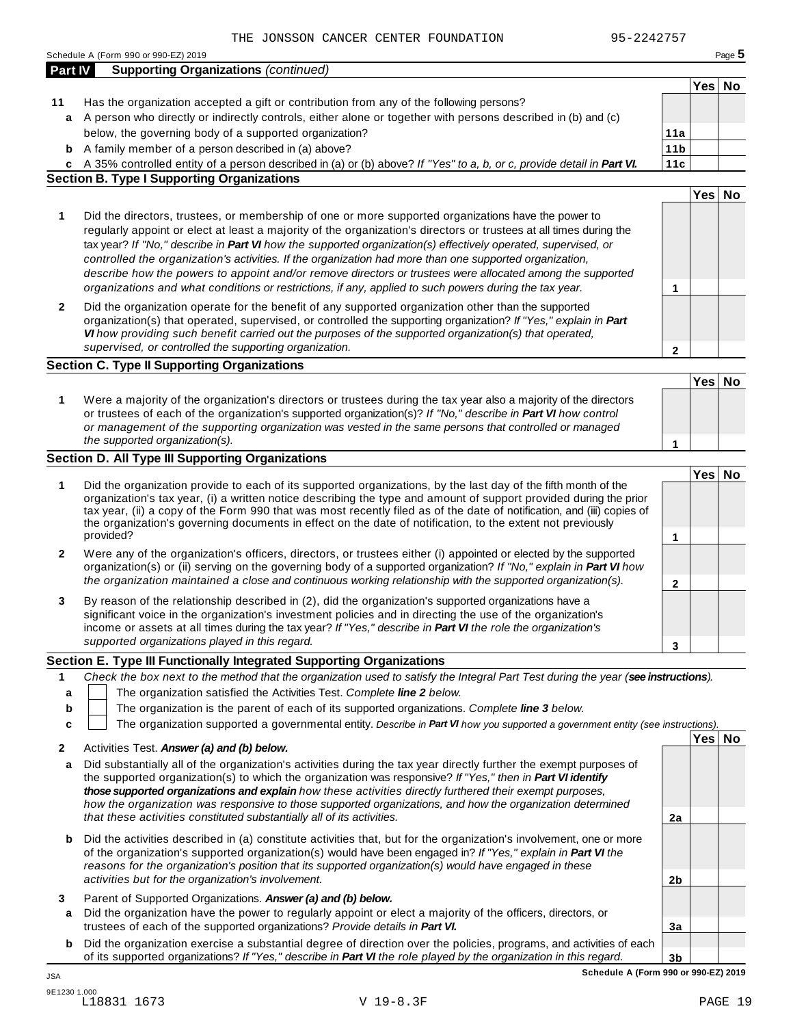|                   | 95-2242757<br>THE JONSSON CANCER CENTER FOUNDATION                                                                                                                                                                                                                                                                                                                                                                                                                                                                                                                                                                                                                                                                                      |        |        |
|-------------------|-----------------------------------------------------------------------------------------------------------------------------------------------------------------------------------------------------------------------------------------------------------------------------------------------------------------------------------------------------------------------------------------------------------------------------------------------------------------------------------------------------------------------------------------------------------------------------------------------------------------------------------------------------------------------------------------------------------------------------------------|--------|--------|
|                   | Schedule A (Form 990 or 990-EZ) 2019                                                                                                                                                                                                                                                                                                                                                                                                                                                                                                                                                                                                                                                                                                    |        | Page 5 |
| Part IV           | <b>Supporting Organizations (continued)</b>                                                                                                                                                                                                                                                                                                                                                                                                                                                                                                                                                                                                                                                                                             |        |        |
|                   |                                                                                                                                                                                                                                                                                                                                                                                                                                                                                                                                                                                                                                                                                                                                         | Yes No |        |
| 11                | Has the organization accepted a gift or contribution from any of the following persons?                                                                                                                                                                                                                                                                                                                                                                                                                                                                                                                                                                                                                                                 |        |        |
| a                 | A person who directly or indirectly controls, either alone or together with persons described in (b) and (c)                                                                                                                                                                                                                                                                                                                                                                                                                                                                                                                                                                                                                            |        |        |
|                   | below, the governing body of a supported organization?<br>11a                                                                                                                                                                                                                                                                                                                                                                                                                                                                                                                                                                                                                                                                           |        |        |
| b                 | A family member of a person described in (a) above?<br>11 <sub>b</sub>                                                                                                                                                                                                                                                                                                                                                                                                                                                                                                                                                                                                                                                                  |        |        |
|                   | c A 35% controlled entity of a person described in (a) or (b) above? If "Yes" to a, b, or c, provide detail in Part VI.<br>11c<br><b>Section B. Type I Supporting Organizations</b>                                                                                                                                                                                                                                                                                                                                                                                                                                                                                                                                                     |        |        |
|                   |                                                                                                                                                                                                                                                                                                                                                                                                                                                                                                                                                                                                                                                                                                                                         | Yes No |        |
| 1                 | Did the directors, trustees, or membership of one or more supported organizations have the power to<br>regularly appoint or elect at least a majority of the organization's directors or trustees at all times during the<br>tax year? If "No," describe in Part VI how the supported organization(s) effectively operated, supervised, or<br>controlled the organization's activities. If the organization had more than one supported organization,<br>describe how the powers to appoint and/or remove directors or trustees were allocated among the supported<br>organizations and what conditions or restrictions, if any, applied to such powers during the tax year.<br>1                                                       |        |        |
| $\mathbf{2}$      | Did the organization operate for the benefit of any supported organization other than the supported<br>organization(s) that operated, supervised, or controlled the supporting organization? If "Yes," explain in Part<br>VI how providing such benefit carried out the purposes of the supported organization(s) that operated,<br>supervised, or controlled the supporting organization.<br>2                                                                                                                                                                                                                                                                                                                                         |        |        |
|                   | <b>Section C. Type II Supporting Organizations</b>                                                                                                                                                                                                                                                                                                                                                                                                                                                                                                                                                                                                                                                                                      |        |        |
|                   |                                                                                                                                                                                                                                                                                                                                                                                                                                                                                                                                                                                                                                                                                                                                         | Yes No |        |
| 1                 | Were a majority of the organization's directors or trustees during the tax year also a majority of the directors<br>or trustees of each of the organization's supported organization(s)? If "No," describe in Part VI how control<br>or management of the supporting organization was vested in the same persons that controlled or managed<br>the supported organization(s).<br>1                                                                                                                                                                                                                                                                                                                                                      |        |        |
|                   | <b>Section D. All Type III Supporting Organizations</b>                                                                                                                                                                                                                                                                                                                                                                                                                                                                                                                                                                                                                                                                                 |        |        |
| 1<br>$\mathbf{2}$ | Did the organization provide to each of its supported organizations, by the last day of the fifth month of the<br>organization's tax year, (i) a written notice describing the type and amount of support provided during the prior<br>tax year, (ii) a copy of the Form 990 that was most recently filed as of the date of notification, and (iii) copies of<br>the organization's governing documents in effect on the date of notification, to the extent not previously<br>provided?<br>1<br>Were any of the organization's officers, directors, or trustees either (i) appointed or elected by the supported<br>organization(s) or (ii) serving on the governing body of a supported organization? If "No," explain in Part VI how | Yes No |        |
|                   | the organization maintained a close and continuous working relationship with the supported organization(s).<br>2                                                                                                                                                                                                                                                                                                                                                                                                                                                                                                                                                                                                                        |        |        |
| 3                 | By reason of the relationship described in (2), did the organization's supported organizations have a<br>significant voice in the organization's investment policies and in directing the use of the organization's<br>income or assets at all times during the tax year? If "Yes," describe in Part VI the role the organization's<br>supported organizations played in this regard.                                                                                                                                                                                                                                                                                                                                                   |        |        |
|                   | 3                                                                                                                                                                                                                                                                                                                                                                                                                                                                                                                                                                                                                                                                                                                                       |        |        |
|                   | Section E. Type III Functionally Integrated Supporting Organizations                                                                                                                                                                                                                                                                                                                                                                                                                                                                                                                                                                                                                                                                    |        |        |
| 1                 | Check the box next to the method that the organization used to satisfy the Integral Part Test during the year (see instructions).                                                                                                                                                                                                                                                                                                                                                                                                                                                                                                                                                                                                       |        |        |
| a                 | The organization satisfied the Activities Test. Complete line 2 below.                                                                                                                                                                                                                                                                                                                                                                                                                                                                                                                                                                                                                                                                  |        |        |
| b                 | The organization is the parent of each of its supported organizations. Complete line 3 below.                                                                                                                                                                                                                                                                                                                                                                                                                                                                                                                                                                                                                                           |        |        |
| c                 | The organization supported a governmental entity. Describe in Part VI how you supported a government entity (see instructions).                                                                                                                                                                                                                                                                                                                                                                                                                                                                                                                                                                                                         |        |        |
| $\mathbf{2}$      | Activities Test. Answer (a) and (b) below.                                                                                                                                                                                                                                                                                                                                                                                                                                                                                                                                                                                                                                                                                              | Yes No |        |
| а                 | Did substantially all of the organization's activities during the tax year directly further the exempt purposes of                                                                                                                                                                                                                                                                                                                                                                                                                                                                                                                                                                                                                      |        |        |
|                   | the supported organization(s) to which the organization was responsive? If "Yes," then in Part VI identify<br>those supported organizations and explain how these activities directly furthered their exempt purposes,<br>how the organization was responsive to those supported organizations, and how the organization determined                                                                                                                                                                                                                                                                                                                                                                                                     |        |        |
|                   | that these activities constituted substantially all of its activities.<br>2a                                                                                                                                                                                                                                                                                                                                                                                                                                                                                                                                                                                                                                                            |        |        |
| b                 | Did the activities described in (a) constitute activities that, but for the organization's involvement, one or more<br>of the organization's supported organization(s) would have been engaged in? If "Yes," explain in Part VI the<br>reasons for the organization's position that its supported organization(s) would have engaged in these                                                                                                                                                                                                                                                                                                                                                                                           |        |        |
|                   | activities but for the organization's involvement.<br>2 <sub>b</sub>                                                                                                                                                                                                                                                                                                                                                                                                                                                                                                                                                                                                                                                                    |        |        |
| 3                 | Parent of Supported Organizations. Answer (a) and (b) below.                                                                                                                                                                                                                                                                                                                                                                                                                                                                                                                                                                                                                                                                            |        |        |
| а                 | Did the organization have the power to regularly appoint or elect a majority of the officers, directors, or<br>trustees of each of the supported organizations? Provide details in Part VI.<br>3a                                                                                                                                                                                                                                                                                                                                                                                                                                                                                                                                       |        |        |

**Schedule A (Form 990 or 990-EZ) 2019**

**3b**

**b** Did the organization exercise a substantial degree of direction over the policies, programs, and activities of each of its supported organizations? *If"Yes," describe in Part VI the role played by the organization in this regard.*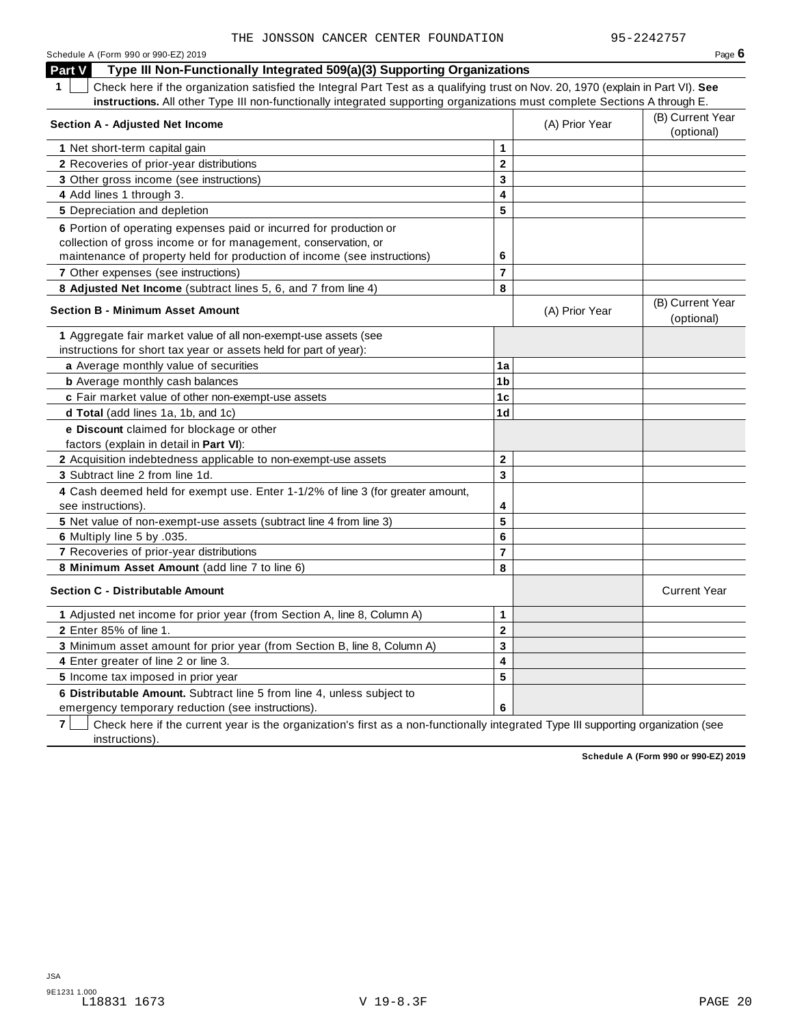| Schedule A (Form 990 or 990-EZ) 2019 |  |  |  |  |  |
|--------------------------------------|--|--|--|--|--|
|--------------------------------------|--|--|--|--|--|

| Schedule A (Form 990 or 990-EZ) 2019                                                                                                                                                                             |                         |                | Page $6$                       |
|------------------------------------------------------------------------------------------------------------------------------------------------------------------------------------------------------------------|-------------------------|----------------|--------------------------------|
| Type III Non-Functionally Integrated 509(a)(3) Supporting Organizations<br>Part V                                                                                                                                |                         |                |                                |
| Check here if the organization satisfied the Integral Part Test as a qualifying trust on Nov. 20, 1970 (explain in Part VI). See<br>$\mathbf 1$                                                                  |                         |                |                                |
| instructions. All other Type III non-functionally integrated supporting organizations must complete Sections A through E.                                                                                        |                         |                |                                |
| Section A - Adjusted Net Income                                                                                                                                                                                  |                         | (A) Prior Year | (B) Current Year<br>(optional) |
| 1 Net short-term capital gain                                                                                                                                                                                    | $\mathbf{1}$            |                |                                |
| 2 Recoveries of prior-year distributions                                                                                                                                                                         | $\mathbf{2}$            |                |                                |
| 3 Other gross income (see instructions)                                                                                                                                                                          | $\overline{\mathbf{3}}$ |                |                                |
| 4 Add lines 1 through 3.                                                                                                                                                                                         | 4                       |                |                                |
| <b>5</b> Depreciation and depletion                                                                                                                                                                              | 5                       |                |                                |
| 6 Portion of operating expenses paid or incurred for production or<br>collection of gross income or for management, conservation, or<br>maintenance of property held for production of income (see instructions) | 6                       |                |                                |
| 7 Other expenses (see instructions)                                                                                                                                                                              | $\overline{7}$          |                |                                |
| 8 Adjusted Net Income (subtract lines 5, 6, and 7 from line 4)                                                                                                                                                   | 8                       |                |                                |
| <b>Section B - Minimum Asset Amount</b>                                                                                                                                                                          |                         | (A) Prior Year | (B) Current Year<br>(optional) |
| 1 Aggregate fair market value of all non-exempt-use assets (see<br>instructions for short tax year or assets held for part of year):                                                                             |                         |                |                                |
| a Average monthly value of securities                                                                                                                                                                            | 1a                      |                |                                |
| <b>b</b> Average monthly cash balances                                                                                                                                                                           | 1 <sub>b</sub>          |                |                                |
| c Fair market value of other non-exempt-use assets                                                                                                                                                               | 1 <sub>c</sub>          |                |                                |
| d Total (add lines 1a, 1b, and 1c)                                                                                                                                                                               | 1 <sub>d</sub>          |                |                                |
| e Discount claimed for blockage or other<br>factors (explain in detail in <b>Part VI</b> ):                                                                                                                      |                         |                |                                |
| 2 Acquisition indebtedness applicable to non-exempt-use assets                                                                                                                                                   | $\mathbf{2}$            |                |                                |
| 3 Subtract line 2 from line 1d.                                                                                                                                                                                  | 3                       |                |                                |
| 4 Cash deemed held for exempt use. Enter 1-1/2% of line 3 (for greater amount,<br>see instructions).                                                                                                             | 4                       |                |                                |
| 5 Net value of non-exempt-use assets (subtract line 4 from line 3)                                                                                                                                               | 5                       |                |                                |
| 6 Multiply line 5 by .035.                                                                                                                                                                                       | 6                       |                |                                |
| 7 Recoveries of prior-year distributions                                                                                                                                                                         | $\overline{7}$          |                |                                |
| 8 Minimum Asset Amount (add line 7 to line 6)                                                                                                                                                                    | 8                       |                |                                |
| <b>Section C - Distributable Amount</b>                                                                                                                                                                          |                         |                | <b>Current Year</b>            |
| 1 Adjusted net income for prior year (from Section A, line 8, Column A)                                                                                                                                          | $\mathbf{1}$            |                |                                |
| 2 Enter 85% of line 1.                                                                                                                                                                                           | $\overline{\mathbf{2}}$ |                |                                |
| 3 Minimum asset amount for prior year (from Section B, line 8, Column A)                                                                                                                                         | 3                       |                |                                |
| 4 Enter greater of line 2 or line 3.                                                                                                                                                                             | 4                       |                |                                |
| 5 Income tax imposed in prior year                                                                                                                                                                               | 5                       |                |                                |
| 6 Distributable Amount. Subtract line 5 from line 4, unless subject to                                                                                                                                           |                         |                |                                |

emergency temporary reduction (see instructions).

**7**  $\Box$  Check here if the current year is the organization's first as a non-functionally integrated Type III supporting organization (see instructions).

**6**

**Schedule A (Form 990 or 990-EZ) 2019**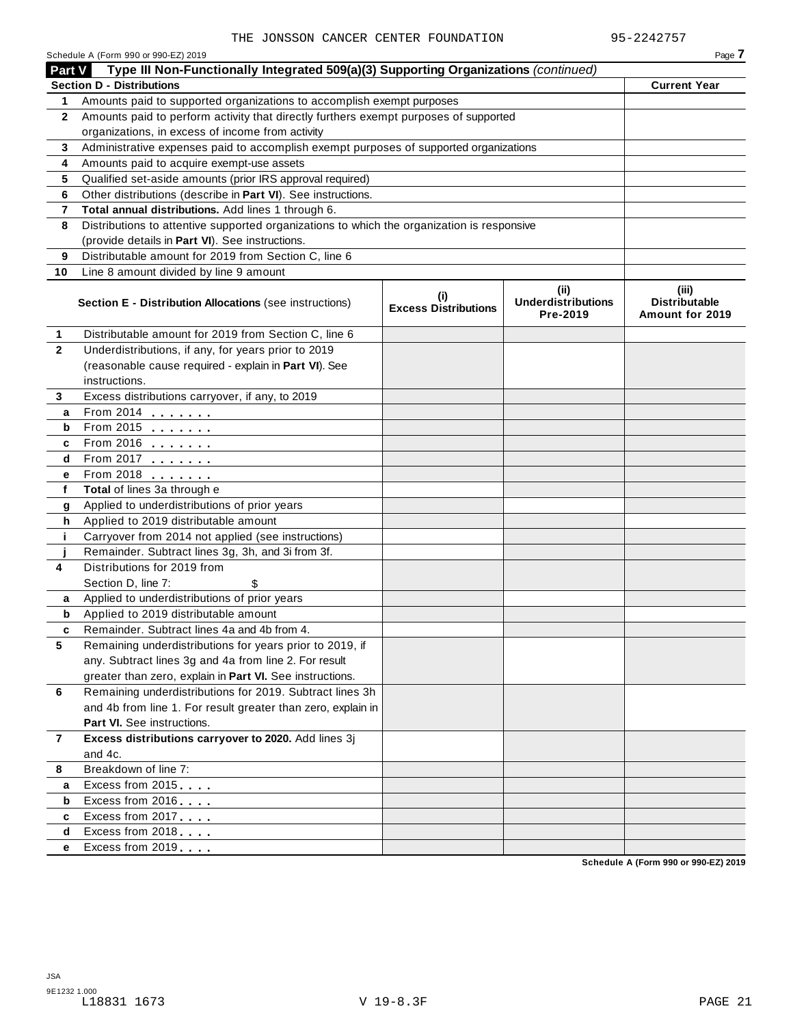| Part V<br>1  | Type III Non-Functionally Integrated 509(a)(3) Supporting Organizations (continued)<br><b>Section D - Distributions</b> |                             |                                               |                                           |
|--------------|-------------------------------------------------------------------------------------------------------------------------|-----------------------------|-----------------------------------------------|-------------------------------------------|
|              |                                                                                                                         |                             |                                               |                                           |
|              |                                                                                                                         |                             |                                               | <b>Current Year</b>                       |
|              | Amounts paid to supported organizations to accomplish exempt purposes                                                   |                             |                                               |                                           |
| $\mathbf{2}$ | Amounts paid to perform activity that directly furthers exempt purposes of supported                                    |                             |                                               |                                           |
|              | organizations, in excess of income from activity                                                                        |                             |                                               |                                           |
| 3            | Administrative expenses paid to accomplish exempt purposes of supported organizations                                   |                             |                                               |                                           |
| 4            | Amounts paid to acquire exempt-use assets                                                                               |                             |                                               |                                           |
| 5            | Qualified set-aside amounts (prior IRS approval required)                                                               |                             |                                               |                                           |
| 6            | Other distributions (describe in Part VI). See instructions.                                                            |                             |                                               |                                           |
| 7            | Total annual distributions. Add lines 1 through 6.                                                                      |                             |                                               |                                           |
| 8            | Distributions to attentive supported organizations to which the organization is responsive                              |                             |                                               |                                           |
|              | (provide details in Part VI). See instructions.                                                                         |                             |                                               |                                           |
| 9            | Distributable amount for 2019 from Section C, line 6                                                                    |                             |                                               |                                           |
| 10           | Line 8 amount divided by line 9 amount                                                                                  |                             |                                               |                                           |
|              | <b>Section E - Distribution Allocations (see instructions)</b>                                                          | <b>Excess Distributions</b> | (ii)<br><b>Underdistributions</b><br>Pre-2019 | (iii)<br>Distributable<br>Amount for 2019 |
| 1            | Distributable amount for 2019 from Section C, line 6                                                                    |                             |                                               |                                           |
| $\mathbf{2}$ | Underdistributions, if any, for years prior to 2019                                                                     |                             |                                               |                                           |
|              | (reasonable cause required - explain in Part VI). See                                                                   |                             |                                               |                                           |
|              | instructions.                                                                                                           |                             |                                               |                                           |
| 3            | Excess distributions carryover, if any, to 2019                                                                         |                             |                                               |                                           |
| a            | From 2014                                                                                                               |                             |                                               |                                           |
| b            | From 2015                                                                                                               |                             |                                               |                                           |
| c            | From 2016 $\frac{2016}{200}$                                                                                            |                             |                                               |                                           |
| d            | From 2017                                                                                                               |                             |                                               |                                           |
| е            | From 2018                                                                                                               |                             |                                               |                                           |
| f            | Total of lines 3a through e                                                                                             |                             |                                               |                                           |
| g            | Applied to underdistributions of prior years                                                                            |                             |                                               |                                           |
| h            | Applied to 2019 distributable amount                                                                                    |                             |                                               |                                           |
| j.           | Carryover from 2014 not applied (see instructions)                                                                      |                             |                                               |                                           |
|              | Remainder. Subtract lines 3g, 3h, and 3i from 3f.                                                                       |                             |                                               |                                           |
| 4            | Distributions for 2019 from                                                                                             |                             |                                               |                                           |
|              | Section D, line 7:<br>\$                                                                                                |                             |                                               |                                           |
| a            | Applied to underdistributions of prior years                                                                            |                             |                                               |                                           |
| b            | Applied to 2019 distributable amount                                                                                    |                             |                                               |                                           |
| с            | Remainder. Subtract lines 4a and 4b from 4.                                                                             |                             |                                               |                                           |
| 5            | Remaining underdistributions for years prior to 2019, if                                                                |                             |                                               |                                           |
|              | any. Subtract lines 3g and 4a from line 2. For result                                                                   |                             |                                               |                                           |
|              | greater than zero, explain in Part VI. See instructions.                                                                |                             |                                               |                                           |
| 6            | Remaining underdistributions for 2019. Subtract lines 3h                                                                |                             |                                               |                                           |
|              | and 4b from line 1. For result greater than zero, explain in                                                            |                             |                                               |                                           |
|              | <b>Part VI.</b> See instructions.                                                                                       |                             |                                               |                                           |
| 7            | Excess distributions carryover to 2020. Add lines 3j                                                                    |                             |                                               |                                           |
|              | and 4c.                                                                                                                 |                             |                                               |                                           |
| 8            | Breakdown of line 7:                                                                                                    |                             |                                               |                                           |
| a            | Excess from 2015                                                                                                        |                             |                                               |                                           |
| b            | Excess from 2016                                                                                                        |                             |                                               |                                           |
| c            | Excess from 2017                                                                                                        |                             |                                               |                                           |
| d            | Excess from 2018                                                                                                        |                             |                                               |                                           |
| е            | Excess from 2019                                                                                                        |                             |                                               |                                           |

**Schedule A (Form 990 or 990-EZ) 2019**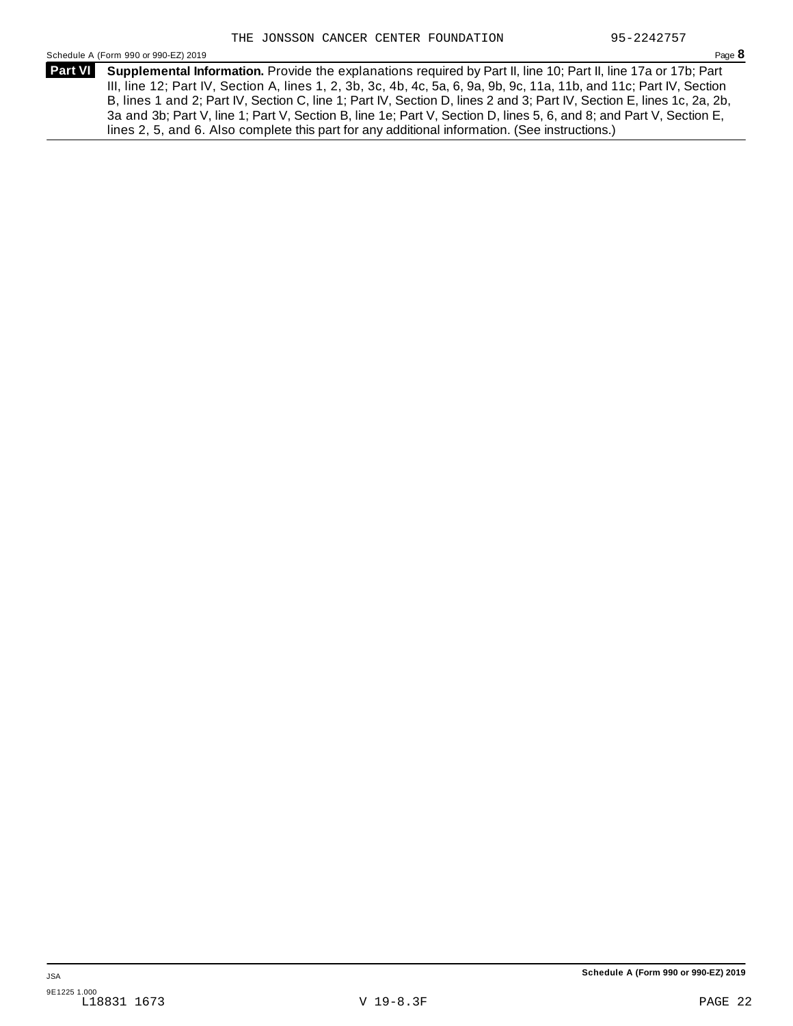Schedule <sup>A</sup> (Form <sup>990</sup> or 990-EZ) <sup>2019</sup> Page **8**

**Supplemental Information.** Provide the explanations required by Part II, line 10; Part II, line 17a or 17b; Part **Part VI** III, line 12; Part IV, Section A, lines 1, 2, 3b, 3c, 4b, 4c, 5a, 6, 9a, 9b, 9c, 11a, 11b, and 11c; Part IV, Section B, lines 1 and 2; Part IV, Section C, line 1; Part IV, Section D, lines 2 and 3; Part IV, Section E, lines 1c, 2a, 2b, 3a and 3b; Part V, line 1; Part V, Section B, line 1e; Part V, Section D, lines 5, 6, and 8; and Part V, Section E, lines 2, 5, and 6. Also complete this part for any additional information. (See instructions.)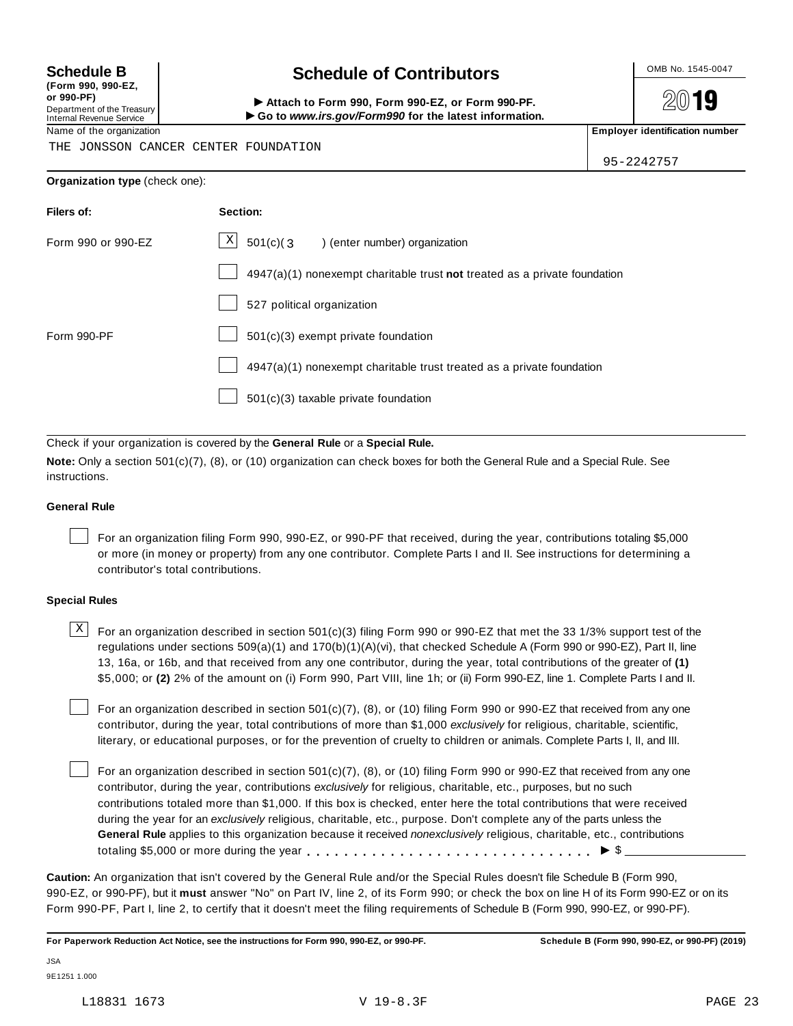**(Form 990, 990-EZ, or 990-PF)** Department of the Treasury<br>Internal Revenue Service

### **Schedule B chedule of Contributors**

(Porm 990, Form 990, Form 990-EZ, or Form 990-PF.<br>Department of the Treasury → Attach to Form 990, Form 990-EZ, or Form 990-PF.<br>Internal Revenue Service → → Go to www.irs.gov/Form990 for the latest information.<br>Name of th

2019

THE JONSSON CANCER CENTER FOUNDATION

95-2242757

| Filers of:         | Section:                                                                    |
|--------------------|-----------------------------------------------------------------------------|
| Form 990 or 990-EZ | $\mathbb{X}$ 501(c)(3<br>) (enter number) organization                      |
|                    | $4947(a)(1)$ nonexempt charitable trust not treated as a private foundation |
|                    | 527 political organization                                                  |
| Form 990-PF        | 501(c)(3) exempt private foundation                                         |
|                    | 4947(a)(1) nonexempt charitable trust treated as a private foundation       |
|                    | 501(c)(3) taxable private foundation                                        |

Check if your organization is covered by the **General Rule** or a **Special Rule.**

**Note:** Only a section 501(c)(7), (8), or (10) organization can check boxes for both the General Rule and a Special Rule. See instructions.

### **General Rule**

For an organization filing Form 990, 990-EZ, or 990-PF that received, during the year, contributions totaling \$5,000 or more (in money or property) from any one contributor. Complete Parts I and II. See instructions for determining a contributor's total contributions.

### **Special Rules**

 $\text{X}$  For an organization described in section 501(c)(3) filing Form 990 or 990-EZ that met the 33 1/3% support test of the regulations under sections 509(a)(1) and 170(b)(1)(A)(vi), that checked Schedule A (Form 990 or 990-EZ), Part II, line 13, 16a, or 16b, and that received from any one contributor, during the year, total contributions of the greater of **(1)** \$5,000; or **(2)** 2% of the amount on (i) Form 990, Part VIII, line 1h; or (ii) Form 990-EZ, line 1. Complete Parts I and II.

For an organization described in section 501(c)(7), (8), or (10) filing Form 990 or 990-EZ that received from any one contributor, during the year, total contributions of more than \$1,000 *exclusively* for religious, charitable, scientific, literary, or educational purposes, or for the prevention of cruelty to children or animals. Complete Parts I, II, and III.

For an organization described in section 501(c)(7), (8), or (10) filing Form 990 or 990-EZ that received from any one contributor, during the year, contributions *exclusively* for religious, charitable, etc., purposes, but no such contributions totaled more than \$1,000. If this box is checked, enter here the total contributions that were received during the year for an *exclusively* religious, charitable, etc., purpose. Don't complete any of the parts unless the **General Rule** applies to this organization because it received *nonexclusively* religious, charitable, etc., contributions totaling \$5,000 or more during the year m m m m m m m m m m m m m m m m m m m m m m m m m m m m m m m I \$

**Caution:** An organization that isn't covered by the General Rule and/or the Special Rules doesn't file Schedule B (Form 990, 990-EZ, or 990-PF), but it **must** answer "No" on Part IV, line 2, of its Form 990; or check the box on line H of its Form 990-EZ or on its Form 990-PF, Part I, line 2, to certify that it doesn't meet the filing requirements of Schedule B (Form 990, 990-EZ, or 990-PF).

For Paperwork Reduction Act Notice, see the instructions for Form 990, 990-EZ, or 990-PF. Schedule B (Form 990, 990-EZ, or 990-PF) (2019)

JSA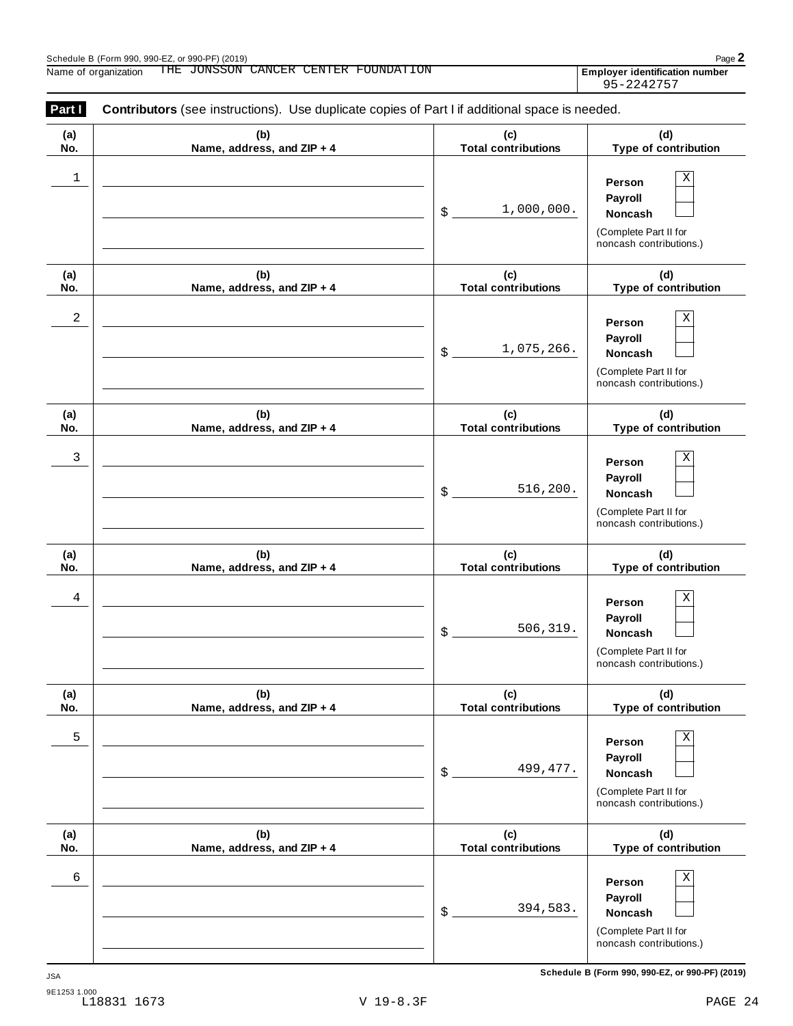| Part I     | <b>Contributors</b> (see instructions). Use duplicate copies of Part I if additional space is needed. |                                   |                                                                                              |
|------------|-------------------------------------------------------------------------------------------------------|-----------------------------------|----------------------------------------------------------------------------------------------|
| (a)<br>No. | (b)<br>Name, address, and ZIP + 4                                                                     | (c)<br><b>Total contributions</b> | (d)<br>Type of contribution                                                                  |
| 1          |                                                                                                       | 1,000,000.<br>\$                  | х<br>Person<br>Payroll<br><b>Noncash</b><br>(Complete Part II for<br>noncash contributions.) |
| (a)<br>No. | (b)<br>Name, address, and ZIP + 4                                                                     | (c)<br><b>Total contributions</b> | (d)<br>Type of contribution                                                                  |
| 2          |                                                                                                       | 1,075,266.<br>\$                  | х<br>Person<br>Payroll<br><b>Noncash</b><br>(Complete Part II for<br>noncash contributions.) |
| (a)<br>No. | (b)<br>Name, address, and ZIP + 4                                                                     | (c)<br><b>Total contributions</b> | (d)<br>Type of contribution                                                                  |
| 3          |                                                                                                       | 516, 200.<br>\$                   | Х<br>Person<br>Payroll<br><b>Noncash</b><br>(Complete Part II for<br>noncash contributions.) |
| (a)<br>No. | (b)<br>Name, address, and ZIP + 4                                                                     | (c)<br><b>Total contributions</b> | (d)<br>Type of contribution                                                                  |
| 4          |                                                                                                       | 506,319.<br>\$                    | х<br>Person<br>Payroll<br><b>Noncash</b><br>(Complete Part II for<br>noncash contributions.) |
| (a)<br>No. | (b)<br>Name, address, and ZIP + 4                                                                     | (c)<br><b>Total contributions</b> | (d)<br>Type of contribution                                                                  |
| 5          |                                                                                                       | 499, 477.<br>\$                   | Χ<br>Person<br>Payroll<br><b>Noncash</b><br>(Complete Part II for<br>noncash contributions.) |
| (a)<br>No. | (b)<br>Name, address, and ZIP + 4                                                                     | (c)<br><b>Total contributions</b> | (d)<br>Type of contribution                                                                  |
| 6          |                                                                                                       | 394,583.<br>\$                    | Χ<br>Person<br>Payroll<br><b>Noncash</b><br>(Complete Part II for<br>noncash contributions.) |

**Schedule B (Form 990, 990-EZ, or 990-PF) (2019)** JSA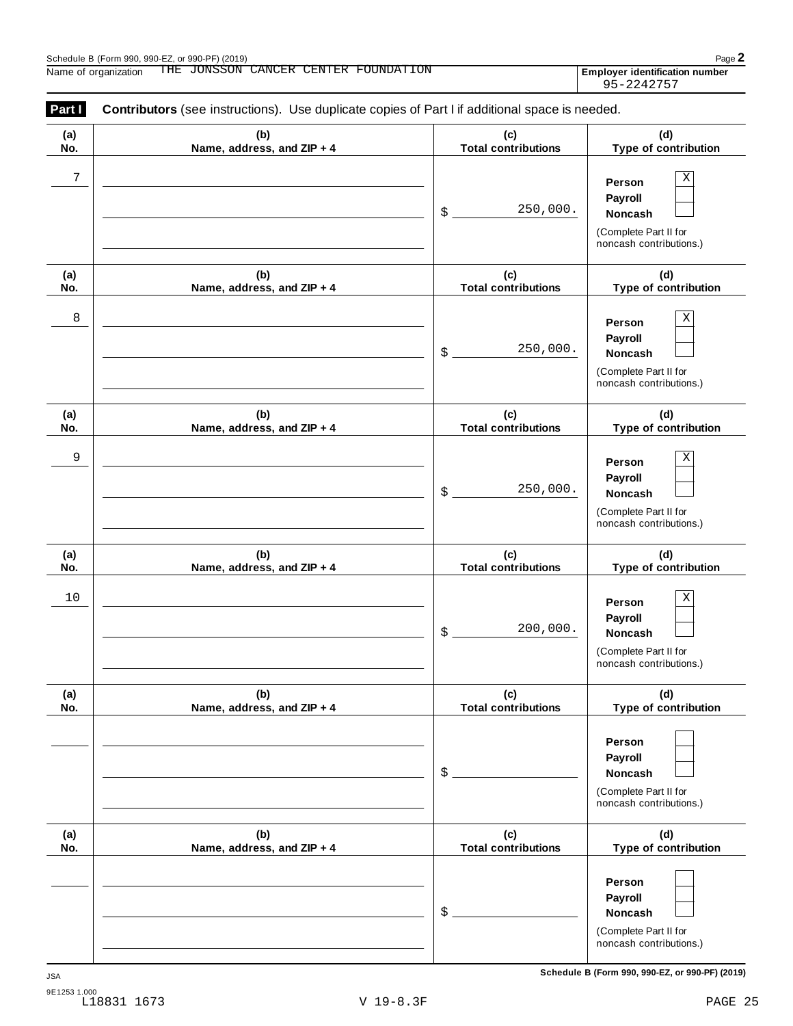| (a) | (b)                        | (c)                        | (d)                                                                                   |
|-----|----------------------------|----------------------------|---------------------------------------------------------------------------------------|
| No. | Name, address, and ZIP + 4 | <b>Total contributions</b> | Type of contribution                                                                  |
| 7   |                            | 250,000.<br>\$             | Χ<br>Person<br>Payroll<br>Noncash<br>(Complete Part II for<br>noncash contributions.) |
| (a) | (b)                        | (c)                        | (d)                                                                                   |
| No. | Name, address, and ZIP + 4 | <b>Total contributions</b> | Type of contribution                                                                  |
| 8   |                            | 250,000.<br>\$             | Χ<br>Person<br>Payroll<br>Noncash<br>(Complete Part II for<br>noncash contributions.) |
| (a) | (b)                        | (c)                        | (d)                                                                                   |
| No. | Name, address, and ZIP + 4 | <b>Total contributions</b> | Type of contribution                                                                  |
| 9   |                            | 250,000.<br>\$             | Χ<br>Person<br>Payroll<br>Noncash<br>(Complete Part II for<br>noncash contributions.) |
| (a) | (b)                        | (c)                        | (d)                                                                                   |
| No. | Name, address, and ZIP + 4 | <b>Total contributions</b> | Type of contribution                                                                  |
| 10  |                            | 200,000.<br>\$             | Χ<br>Person<br>Payroll<br>Noncash<br>(Complete Part II for<br>noncash contributions.) |
| (a) | (b)                        | (c)                        | (d)                                                                                   |
| No. | Name, address, and ZIP + 4 | <b>Total contributions</b> | Type of contribution                                                                  |
|     |                            | \$                         | Person<br>Payroll<br>Noncash<br>(Complete Part II for<br>noncash contributions.)      |
| (a) | (b)                        | (c)                        | (d)                                                                                   |
| No. | Name, address, and ZIP + 4 | <b>Total contributions</b> | Type of contribution                                                                  |
|     |                            | \$                         | Person<br>Payroll<br>Noncash<br>(Complete Part II for<br>noncash contributions.)      |

**Schedule B (Form 990, 990-EZ, or 990-PF) (2019)** JSA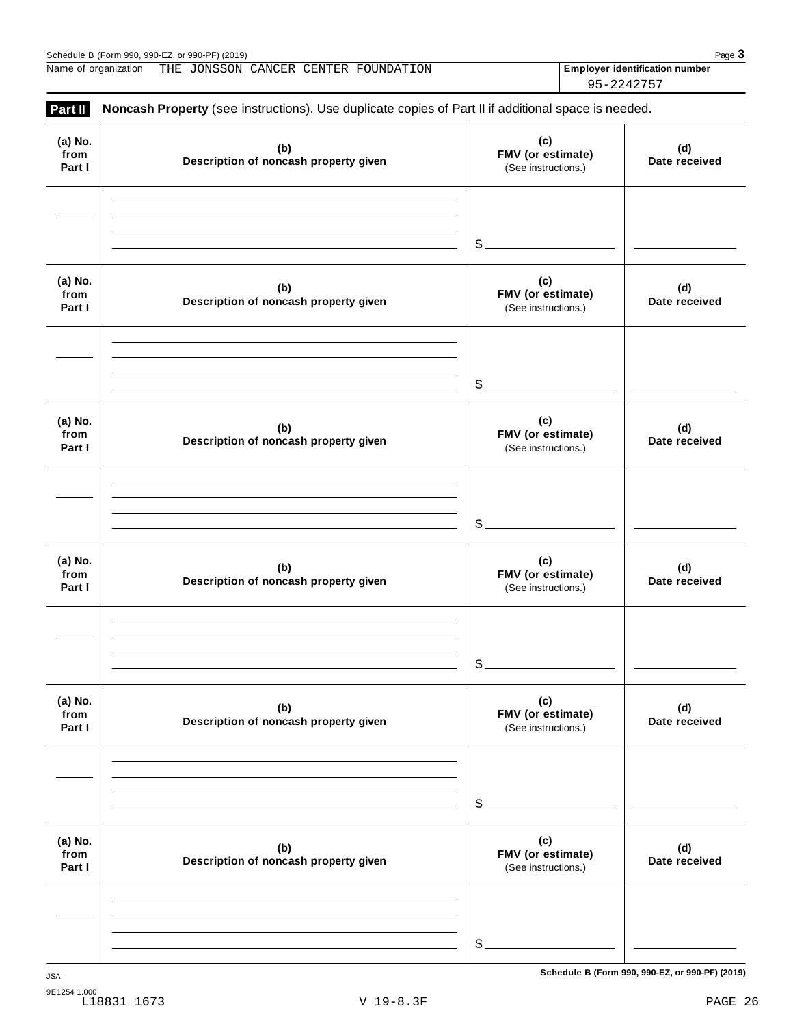Schedule B (Form 990, 990-EZ, or 990-PF) (2019)<br>Name of organization THE JONSSON CANCER CENTER FOUNDATION **Page 3**<br> **Name of organization number** Name of organization THE JONSSON CANCER CENTER FOUNDATION **Fig. 5 Employer identification number** 

95-2242757

| Part II                   | Noncash Property (see instructions). Use duplicate copies of Part II if additional space is needed. |                                                 |                      |
|---------------------------|-----------------------------------------------------------------------------------------------------|-------------------------------------------------|----------------------|
| (a) No.<br>from<br>Part I | (b)<br>Description of noncash property given                                                        | (c)<br>FMV (or estimate)<br>(See instructions.) | (d)<br>Date received |
|                           |                                                                                                     | $\delta$                                        |                      |
| (a) No.<br>from<br>Part I | (b)<br>Description of noncash property given                                                        | (c)<br>FMV (or estimate)<br>(See instructions.) | (d)<br>Date received |
|                           |                                                                                                     | $\mathcal{L}_{-}$                               |                      |
| (a) No.<br>from<br>Part I | (b)<br>Description of noncash property given                                                        | (c)<br>FMV (or estimate)<br>(See instructions.) | (d)<br>Date received |
|                           |                                                                                                     | $\delta$                                        |                      |
| (a) No.<br>from<br>Part I | (b)<br>Description of noncash property given                                                        | (c)<br>FMV (or estimate)<br>(See instructions.) | (d)<br>Date received |
|                           |                                                                                                     | \$                                              |                      |
| (a) No.<br>from<br>Part I | (b)<br>Description of noncash property given                                                        | (c)<br>FMV (or estimate)<br>(See instructions.) | (d)<br>Date received |
|                           |                                                                                                     | \$                                              |                      |
| (a) No.<br>from<br>Part I | (b)<br>Description of noncash property given                                                        | (c)<br>FMV (or estimate)<br>(See instructions.) | (d)<br>Date received |
|                           |                                                                                                     |                                                 |                      |
|                           |                                                                                                     | \$                                              |                      |

**Schedule B (Form 990, 990-EZ, or 990-PF) (2019)** JSA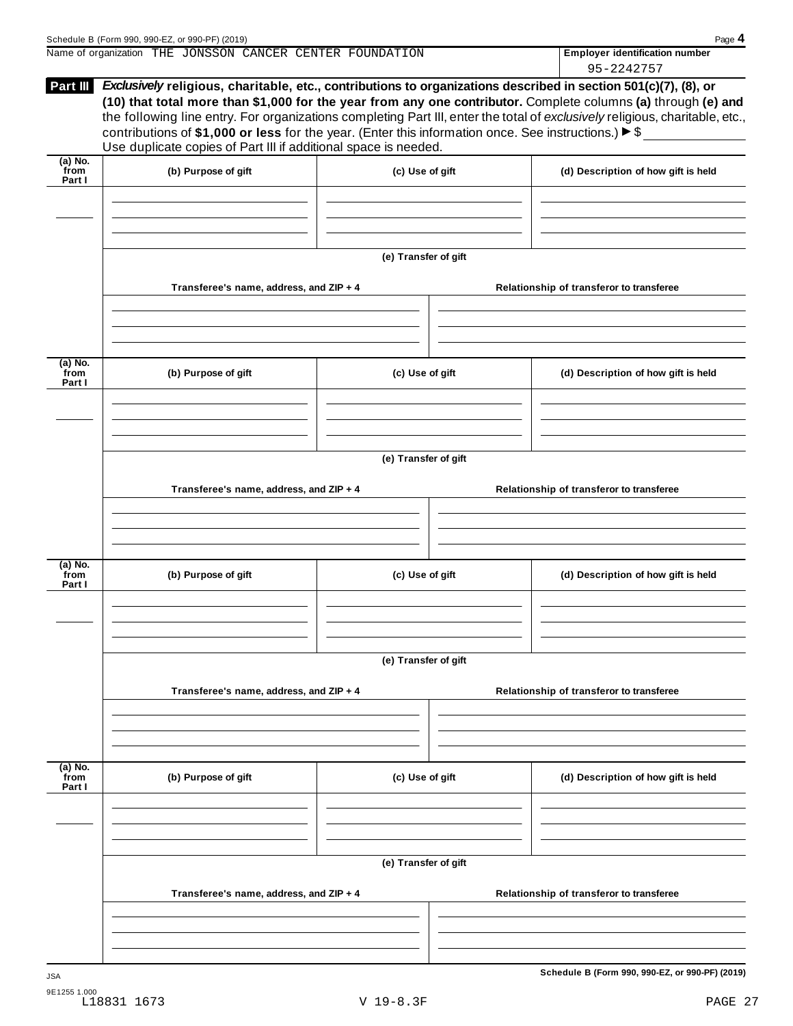|                           | Schedule B (Form 990, 990-EZ, or 990-PF) (2019)<br>Name of organization THE JONSSON CANCER CENTER FOUNDATION                                                                                                                                                                                                                                                                                                                                                                                                                                                    |                      | Page 4<br><b>Employer identification number</b> |
|---------------------------|-----------------------------------------------------------------------------------------------------------------------------------------------------------------------------------------------------------------------------------------------------------------------------------------------------------------------------------------------------------------------------------------------------------------------------------------------------------------------------------------------------------------------------------------------------------------|----------------------|-------------------------------------------------|
|                           |                                                                                                                                                                                                                                                                                                                                                                                                                                                                                                                                                                 |                      | 95-2242757                                      |
| Part III                  | Exclusively religious, charitable, etc., contributions to organizations described in section 501(c)(7), (8), or<br>(10) that total more than \$1,000 for the year from any one contributor. Complete columns (a) through (e) and<br>the following line entry. For organizations completing Part III, enter the total of exclusively religious, charitable, etc.,<br>contributions of \$1,000 or less for the year. (Enter this information once. See instructions.) $\blacktriangleright$ \$<br>Use duplicate copies of Part III if additional space is needed. |                      |                                                 |
| (a) No.<br>from<br>Part I | (b) Purpose of gift                                                                                                                                                                                                                                                                                                                                                                                                                                                                                                                                             | (c) Use of gift      | (d) Description of how gift is held             |
|                           |                                                                                                                                                                                                                                                                                                                                                                                                                                                                                                                                                                 |                      |                                                 |
|                           |                                                                                                                                                                                                                                                                                                                                                                                                                                                                                                                                                                 | (e) Transfer of gift |                                                 |
|                           | Transferee's name, address, and ZIP + 4                                                                                                                                                                                                                                                                                                                                                                                                                                                                                                                         |                      | Relationship of transferor to transferee        |
| (a) No.                   |                                                                                                                                                                                                                                                                                                                                                                                                                                                                                                                                                                 |                      |                                                 |
| from<br>Part I            | (b) Purpose of gift                                                                                                                                                                                                                                                                                                                                                                                                                                                                                                                                             | (c) Use of gift      | (d) Description of how gift is held             |
|                           |                                                                                                                                                                                                                                                                                                                                                                                                                                                                                                                                                                 |                      |                                                 |
|                           |                                                                                                                                                                                                                                                                                                                                                                                                                                                                                                                                                                 | (e) Transfer of gift |                                                 |
|                           | Transferee's name, address, and ZIP + 4                                                                                                                                                                                                                                                                                                                                                                                                                                                                                                                         |                      | Relationship of transferor to transferee        |
| (a) No.<br>from<br>Part I | (b) Purpose of gift                                                                                                                                                                                                                                                                                                                                                                                                                                                                                                                                             | (c) Use of gift      | (d) Description of how gift is held             |
|                           |                                                                                                                                                                                                                                                                                                                                                                                                                                                                                                                                                                 |                      |                                                 |
|                           |                                                                                                                                                                                                                                                                                                                                                                                                                                                                                                                                                                 | (e) Transfer of gift |                                                 |
|                           | Transferee's name, address, and ZIP + 4                                                                                                                                                                                                                                                                                                                                                                                                                                                                                                                         |                      | Relationship of transferor to transferee        |
| (a) No.                   |                                                                                                                                                                                                                                                                                                                                                                                                                                                                                                                                                                 |                      |                                                 |
| from<br>Part I            | (b) Purpose of gift                                                                                                                                                                                                                                                                                                                                                                                                                                                                                                                                             | (c) Use of gift      | (d) Description of how gift is held             |
|                           |                                                                                                                                                                                                                                                                                                                                                                                                                                                                                                                                                                 |                      |                                                 |
|                           | Transferee's name, address, and ZIP + 4                                                                                                                                                                                                                                                                                                                                                                                                                                                                                                                         | (e) Transfer of gift | Relationship of transferor to transferee        |
|                           |                                                                                                                                                                                                                                                                                                                                                                                                                                                                                                                                                                 |                      |                                                 |
|                           |                                                                                                                                                                                                                                                                                                                                                                                                                                                                                                                                                                 |                      |                                                 |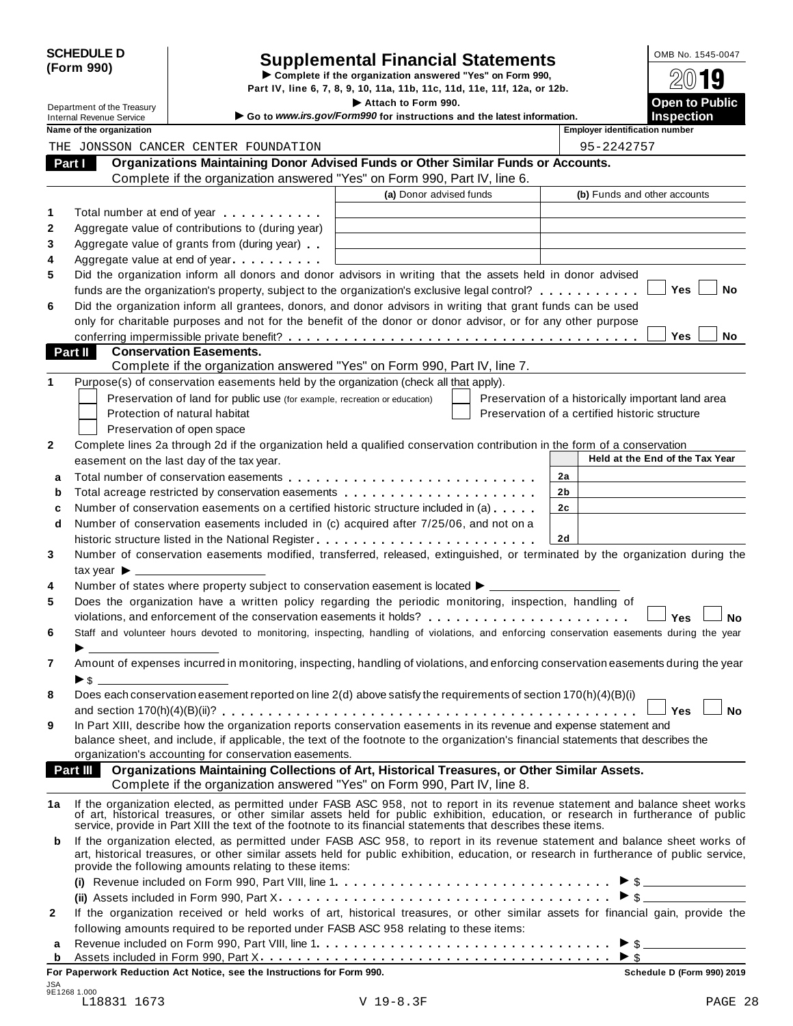| <b>SCHEDULE D</b> |  |
|-------------------|--|
| (Form 990)        |  |

# Supplemental Financial Statements<br>
Complete if the organization answered "Yes" on Form 990,<br>
Part IV, line 6, 7, 8, 9, 10, 11a, 11b, 11c, 11d, 11e, 11f, 12a, or 12b.<br>
Attach to Form 990.<br>
2019<br>
Open to Public

Department of the Treasury **I Attach 1990.** The S. 7, 8, 9, 10, 11a, 11b, 11c, 11d, 11e, 11f, 12a, or 12b.<br> **Department of the Treasury Inches Containery Containery Containery Containery Containery Containery** 

|        | Department of the Treasury      |                                                                                                                                                                                                                                                                   | Attach to Form 990.                                                    |                                                    | <b>Open to Public</b>           |
|--------|---------------------------------|-------------------------------------------------------------------------------------------------------------------------------------------------------------------------------------------------------------------------------------------------------------------|------------------------------------------------------------------------|----------------------------------------------------|---------------------------------|
|        | <b>Internal Revenue Service</b> |                                                                                                                                                                                                                                                                   | Go to www.irs.gov/Form990 for instructions and the latest information. |                                                    | <b>Inspection</b>               |
|        | Name of the organization        |                                                                                                                                                                                                                                                                   |                                                                        | <b>Employer identification number</b>              |                                 |
|        |                                 | THE JONSSON CANCER CENTER FOUNDATION                                                                                                                                                                                                                              |                                                                        | 95-2242757                                         |                                 |
| Part I |                                 | Organizations Maintaining Donor Advised Funds or Other Similar Funds or Accounts.                                                                                                                                                                                 |                                                                        |                                                    |                                 |
|        |                                 | Complete if the organization answered "Yes" on Form 990, Part IV, line 6.                                                                                                                                                                                         |                                                                        |                                                    |                                 |
|        |                                 |                                                                                                                                                                                                                                                                   | (a) Donor advised funds                                                | (b) Funds and other accounts                       |                                 |
| 1      |                                 | Total number at end of year <b>that the state of the state of the state of the state of the state of the state of the state of the state of the state of the state of the state of the state of the state of the state of the st</b>                              |                                                                        |                                                    |                                 |
| 2      |                                 | Aggregate value of contributions to (during year)                                                                                                                                                                                                                 |                                                                        |                                                    |                                 |
| 3      |                                 | Aggregate value of grants from (during year)                                                                                                                                                                                                                      |                                                                        |                                                    |                                 |
| 4      |                                 | Aggregate value at end of year                                                                                                                                                                                                                                    |                                                                        |                                                    |                                 |
| 5      |                                 | Did the organization inform all donors and donor advisors in writing that the assets held in donor advised                                                                                                                                                        |                                                                        |                                                    |                                 |
|        |                                 | funds are the organization's property, subject to the organization's exclusive legal control?                                                                                                                                                                     |                                                                        |                                                    | Yes<br>No                       |
| 6      |                                 | Did the organization inform all grantees, donors, and donor advisors in writing that grant funds can be used                                                                                                                                                      |                                                                        |                                                    |                                 |
|        |                                 | only for charitable purposes and not for the benefit of the donor or donor advisor, or for any other purpose                                                                                                                                                      |                                                                        |                                                    |                                 |
|        |                                 |                                                                                                                                                                                                                                                                   |                                                                        |                                                    | Yes<br>No                       |
|        | Part II                         | <b>Conservation Easements.</b>                                                                                                                                                                                                                                    |                                                                        |                                                    |                                 |
|        |                                 | Complete if the organization answered "Yes" on Form 990, Part IV, line 7.                                                                                                                                                                                         |                                                                        |                                                    |                                 |
| 1      |                                 | Purpose(s) of conservation easements held by the organization (check all that apply).                                                                                                                                                                             |                                                                        |                                                    |                                 |
|        |                                 | Preservation of land for public use (for example, recreation or education)                                                                                                                                                                                        |                                                                        | Preservation of a historically important land area |                                 |
|        |                                 | Protection of natural habitat                                                                                                                                                                                                                                     |                                                                        | Preservation of a certified historic structure     |                                 |
|        |                                 | Preservation of open space                                                                                                                                                                                                                                        |                                                                        |                                                    |                                 |
| 2      |                                 | Complete lines 2a through 2d if the organization held a qualified conservation contribution in the form of a conservation                                                                                                                                         |                                                                        |                                                    |                                 |
|        |                                 | easement on the last day of the tax year.                                                                                                                                                                                                                         |                                                                        |                                                    | Held at the End of the Tax Year |
| a      |                                 |                                                                                                                                                                                                                                                                   |                                                                        | 2a                                                 |                                 |
| b      |                                 | Total acreage restricted by conservation easements                                                                                                                                                                                                                |                                                                        | 2b                                                 |                                 |
| c      |                                 | Number of conservation easements on a certified historic structure included in (a)                                                                                                                                                                                |                                                                        | 2 <sub>c</sub>                                     |                                 |
| d      |                                 | Number of conservation easements included in (c) acquired after 7/25/06, and not on a                                                                                                                                                                             |                                                                        |                                                    |                                 |
|        |                                 |                                                                                                                                                                                                                                                                   |                                                                        | 2d                                                 |                                 |
| 3      |                                 | Number of conservation easements modified, transferred, released, extinguished, or terminated by the organization during the                                                                                                                                      |                                                                        |                                                    |                                 |
|        |                                 |                                                                                                                                                                                                                                                                   |                                                                        |                                                    |                                 |
| 4      |                                 | Number of states where property subject to conservation easement is located $\blacktriangleright$ ______                                                                                                                                                          |                                                                        |                                                    |                                 |
| 5      |                                 | Does the organization have a written policy regarding the periodic monitoring, inspection, handling of                                                                                                                                                            |                                                                        |                                                    |                                 |
|        |                                 | violations, and enforcement of the conservation easements it holds?                                                                                                                                                                                               |                                                                        |                                                    | Yes<br>No                       |
| 6      |                                 | Staff and volunteer hours devoted to monitoring, inspecting, handling of violations, and enforcing conservation easements during the year                                                                                                                         |                                                                        |                                                    |                                 |
|        |                                 |                                                                                                                                                                                                                                                                   |                                                                        |                                                    |                                 |
| 7      |                                 | Amount of expenses incurred in monitoring, inspecting, handling of violations, and enforcing conservation easements during the year                                                                                                                               |                                                                        |                                                    |                                 |
|        | ▶\$                             |                                                                                                                                                                                                                                                                   |                                                                        |                                                    |                                 |
| 8      |                                 | Does each conservation easement reported on line 2(d) above satisfy the requirements of section 170(h)(4)(B)(i)                                                                                                                                                   |                                                                        |                                                    |                                 |
|        |                                 |                                                                                                                                                                                                                                                                   |                                                                        |                                                    | No<br>Yes                       |
| 9      |                                 | In Part XIII, describe how the organization reports conservation easements in its revenue and expense statement and                                                                                                                                               |                                                                        |                                                    |                                 |
|        |                                 | balance sheet, and include, if applicable, the text of the footnote to the organization's financial statements that describes the<br>organization's accounting for conservation easements.                                                                        |                                                                        |                                                    |                                 |
|        | Part III                        | Organizations Maintaining Collections of Art, Historical Treasures, or Other Similar Assets.                                                                                                                                                                      |                                                                        |                                                    |                                 |
|        |                                 | Complete if the organization answered "Yes" on Form 990, Part IV, line 8.                                                                                                                                                                                         |                                                                        |                                                    |                                 |
|        |                                 |                                                                                                                                                                                                                                                                   |                                                                        |                                                    |                                 |
| 1a     |                                 | If the organization elected, as permitted under FASB ASC 958, not to report in its revenue statement and balance sheet works<br>of art, historical treasures, or other similar assets held for public exhibition, education, or research in furtherance of public |                                                                        |                                                    |                                 |
|        |                                 | service, provide in Part XIII the text of the footnote to its financial statements that describes these items.                                                                                                                                                    |                                                                        |                                                    |                                 |
| b      |                                 | If the organization elected, as permitted under FASB ASC 958, to report in its revenue statement and balance sheet works of                                                                                                                                       |                                                                        |                                                    |                                 |
|        |                                 | art, historical treasures, or other similar assets held for public exhibition, education, or research in furtherance of public service,                                                                                                                           |                                                                        |                                                    |                                 |
|        |                                 | provide the following amounts relating to these items:                                                                                                                                                                                                            |                                                                        |                                                    |                                 |
|        |                                 | (i) Revenue included on Form 990, Part VIII, line $1, \ldots, \ldots, \ldots, \ldots, \ldots, \ldots, \ldots, \ldots, \ldots$                                                                                                                                     |                                                                        |                                                    | $\triangleright$ \$             |
|        |                                 |                                                                                                                                                                                                                                                                   |                                                                        |                                                    | $\triangleright$ \$             |
| 2      |                                 | If the organization received or held works of art, historical treasures, or other similar assets for financial gain, provide the                                                                                                                                  |                                                                        |                                                    |                                 |
|        |                                 | following amounts required to be reported under FASB ASC 958 relating to these items:                                                                                                                                                                             |                                                                        |                                                    |                                 |
| а      |                                 |                                                                                                                                                                                                                                                                   |                                                                        |                                                    | $\triangleright$ \$             |
| b      |                                 |                                                                                                                                                                                                                                                                   |                                                                        |                                                    |                                 |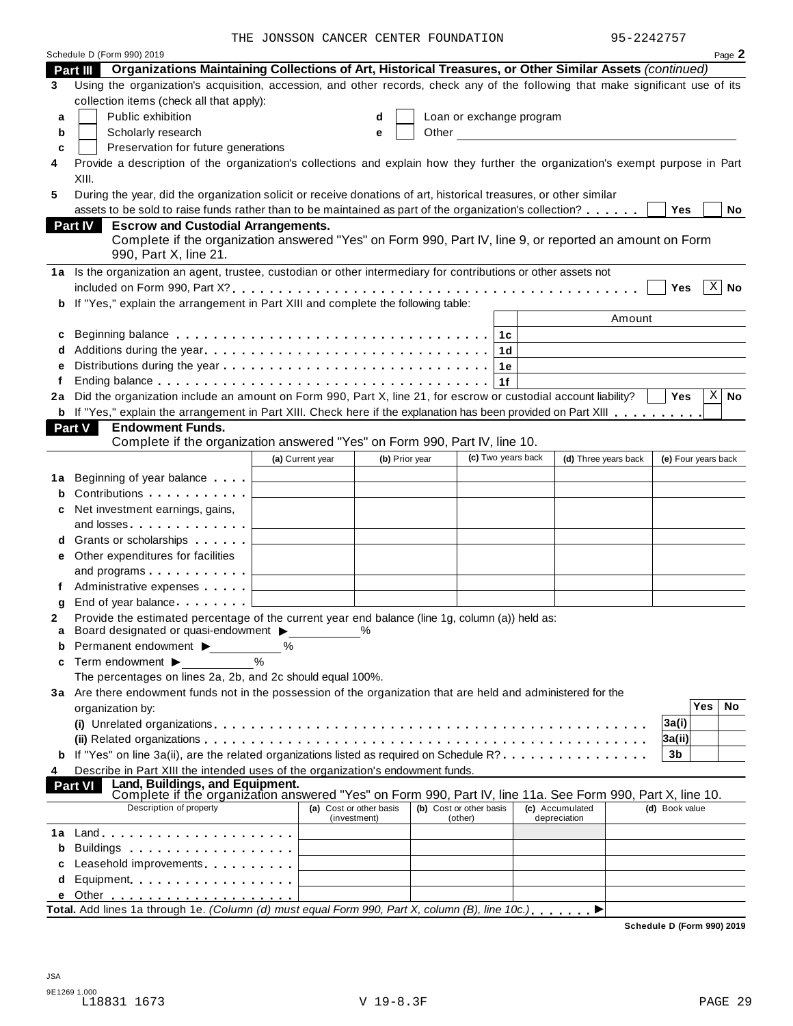THE JONSSON CANCER CENTER FOUNDATION 95-2242757

|    | Schedule D (Form 990) 2019                                                                                                                                             |                  |                                         |                                    |                                 |                     |              | Page 2      |
|----|------------------------------------------------------------------------------------------------------------------------------------------------------------------------|------------------|-----------------------------------------|------------------------------------|---------------------------------|---------------------|--------------|-------------|
|    | Organizations Maintaining Collections of Art, Historical Treasures, or Other Similar Assets (continued)<br><b>Part III</b>                                             |                  |                                         |                                    |                                 |                     |              |             |
| 3  | Using the organization's acquisition, accession, and other records, check any of the following that make significant use of its                                        |                  |                                         |                                    |                                 |                     |              |             |
|    | collection items (check all that apply):                                                                                                                               |                  |                                         |                                    |                                 |                     |              |             |
| a  | Public exhibition                                                                                                                                                      |                  | d                                       | Loan or exchange program           |                                 |                     |              |             |
| b  | Scholarly research                                                                                                                                                     |                  | е                                       |                                    |                                 |                     |              |             |
| c  | Preservation for future generations                                                                                                                                    |                  |                                         |                                    |                                 |                     |              |             |
| 4  | Provide a description of the organization's collections and explain how they further the organization's exempt purpose in Part                                         |                  |                                         |                                    |                                 |                     |              |             |
|    | XIII.                                                                                                                                                                  |                  |                                         |                                    |                                 |                     |              |             |
| 5  | During the year, did the organization solicit or receive donations of art, historical treasures, or other similar                                                      |                  |                                         |                                    |                                 |                     |              |             |
|    | assets to be sold to raise funds rather than to be maintained as part of the organization's collection?<br><b>Escrow and Custodial Arrangements.</b><br><b>Part IV</b> |                  |                                         |                                    |                                 | Yes                 |              | No          |
|    | Complete if the organization answered "Yes" on Form 990, Part IV, line 9, or reported an amount on Form                                                                |                  |                                         |                                    |                                 |                     |              |             |
|    | 990, Part X, line 21.                                                                                                                                                  |                  |                                         |                                    |                                 |                     |              |             |
|    | 1a Is the organization an agent, trustee, custodian or other intermediary for contributions or other assets not                                                        |                  |                                         |                                    |                                 |                     |              |             |
|    |                                                                                                                                                                        |                  |                                         |                                    |                                 | Yes                 |              | $X \mid$ No |
| b  | If "Yes," explain the arrangement in Part XIII and complete the following table:                                                                                       |                  |                                         |                                    |                                 |                     |              |             |
|    |                                                                                                                                                                        |                  |                                         |                                    | Amount                          |                     |              |             |
| с  | Beginning balance $\dots\dots\dots\dots\dots\dots\dots\dots\dots\dots\dots\dots\dots$                                                                                  |                  |                                         |                                    |                                 |                     |              |             |
|    |                                                                                                                                                                        |                  |                                         |                                    |                                 |                     |              |             |
|    |                                                                                                                                                                        |                  |                                         | 1е                                 |                                 |                     |              |             |
|    | Ending balance $\ldots \ldots \ldots \ldots \ldots \ldots \ldots \ldots \ldots \ldots$                                                                                 |                  |                                         |                                    |                                 |                     |              |             |
| 2a | Did the organization include an amount on Form 990, Part X, line 21, for escrow or custodial account liability?                                                        |                  |                                         |                                    |                                 | Yes                 | X            | <b>No</b>   |
|    | <b>b</b> If "Yes," explain the arrangement in Part XIII. Check here if the explanation has been provided on Part XIII                                                  |                  |                                         |                                    |                                 |                     |              |             |
|    | Part V<br><b>Endowment Funds.</b>                                                                                                                                      |                  |                                         |                                    |                                 |                     |              |             |
|    | Complete if the organization answered "Yes" on Form 990, Part IV, line 10.                                                                                             |                  |                                         |                                    |                                 |                     |              |             |
|    |                                                                                                                                                                        | (a) Current year | (b) Prior year                          | (c) Two years back                 | (d) Three years back            | (e) Four years back |              |             |
| 1a | Beginning of year balance [100]                                                                                                                                        |                  |                                         |                                    |                                 |                     |              |             |
| b  | Contributions <b>Contributions</b>                                                                                                                                     |                  |                                         |                                    |                                 |                     |              |             |
|    | Net investment earnings, gains,                                                                                                                                        |                  |                                         |                                    |                                 |                     |              |             |
|    | and losses                                                                                                                                                             |                  |                                         |                                    |                                 |                     |              |             |
|    | Grants or scholarships                                                                                                                                                 |                  |                                         |                                    |                                 |                     |              |             |
| е  | Other expenditures for facilities                                                                                                                                      |                  |                                         |                                    |                                 |                     |              |             |
|    | and programs $\ldots$                                                                                                                                                  |                  |                                         |                                    |                                 |                     |              |             |
|    | Administrative expenses                                                                                                                                                |                  |                                         |                                    |                                 |                     |              |             |
| g  | End of year balance l                                                                                                                                                  |                  |                                         |                                    |                                 |                     |              |             |
| 2  | Provide the estimated percentage of the current year end balance (line 1g, column (a)) held as:                                                                        |                  |                                         |                                    |                                 |                     |              |             |
| a  | Board designated or quasi-endowment >                                                                                                                                  |                  |                                         |                                    |                                 |                     |              |             |
| b  | Permanent endowment >                                                                                                                                                  | %                |                                         |                                    |                                 |                     |              |             |
| c  | Term endowment ▶                                                                                                                                                       | $\frac{0}{0}$    |                                         |                                    |                                 |                     |              |             |
|    | The percentages on lines 2a, 2b, and 2c should equal 100%.                                                                                                             |                  |                                         |                                    |                                 |                     |              |             |
|    | 3a Are there endowment funds not in the possession of the organization that are held and administered for the                                                          |                  |                                         |                                    |                                 |                     | $\bar{Y}$ es | No          |
|    | organization by:                                                                                                                                                       |                  |                                         |                                    |                                 |                     |              |             |
|    |                                                                                                                                                                        |                  |                                         |                                    |                                 | 3a(i)               |              |             |
|    | <b>b</b> If "Yes" on line 3a(ii), are the related organizations listed as required on Schedule R?                                                                      |                  |                                         |                                    |                                 | 3a(ii) <br>3b       |              |             |
|    | Describe in Part XIII the intended uses of the organization's endowment funds.                                                                                         |                  |                                         |                                    |                                 |                     |              |             |
| 4  | <b>Part VI</b>                                                                                                                                                         |                  |                                         |                                    |                                 |                     |              |             |
|    | Land, Buildings, and Equipment.<br>Complete if the organization answered "Yes" on Form 990, Part IV, line 11a. See Form 990, Part X, line 10.                          |                  |                                         |                                    |                                 |                     |              |             |
|    | Description of property                                                                                                                                                |                  | (a) Cost or other basis<br>(investment) | (b) Cost or other basis<br>(other) | (c) Accumulated<br>depreciation | (d) Book value      |              |             |
| 1a | $Land.$                                                                                                                                                                |                  |                                         |                                    |                                 |                     |              |             |
| b  |                                                                                                                                                                        |                  |                                         |                                    |                                 |                     |              |             |
| c  | Leasehold improvements entitled and the set of the set of the set of the set of the set of the set of the set o                                                        |                  |                                         |                                    |                                 |                     |              |             |
| d  | Equipment                                                                                                                                                              |                  |                                         |                                    |                                 |                     |              |             |
|    |                                                                                                                                                                        |                  |                                         |                                    |                                 |                     |              |             |
|    | Total. Add lines 1a through 1e. (Column (d) must equal Form 990, Part X, column (B), line 10c.).                                                                       |                  |                                         |                                    |                                 |                     |              |             |
|    |                                                                                                                                                                        |                  |                                         |                                    |                                 |                     |              |             |

**Schedule D (Form 990) 2019**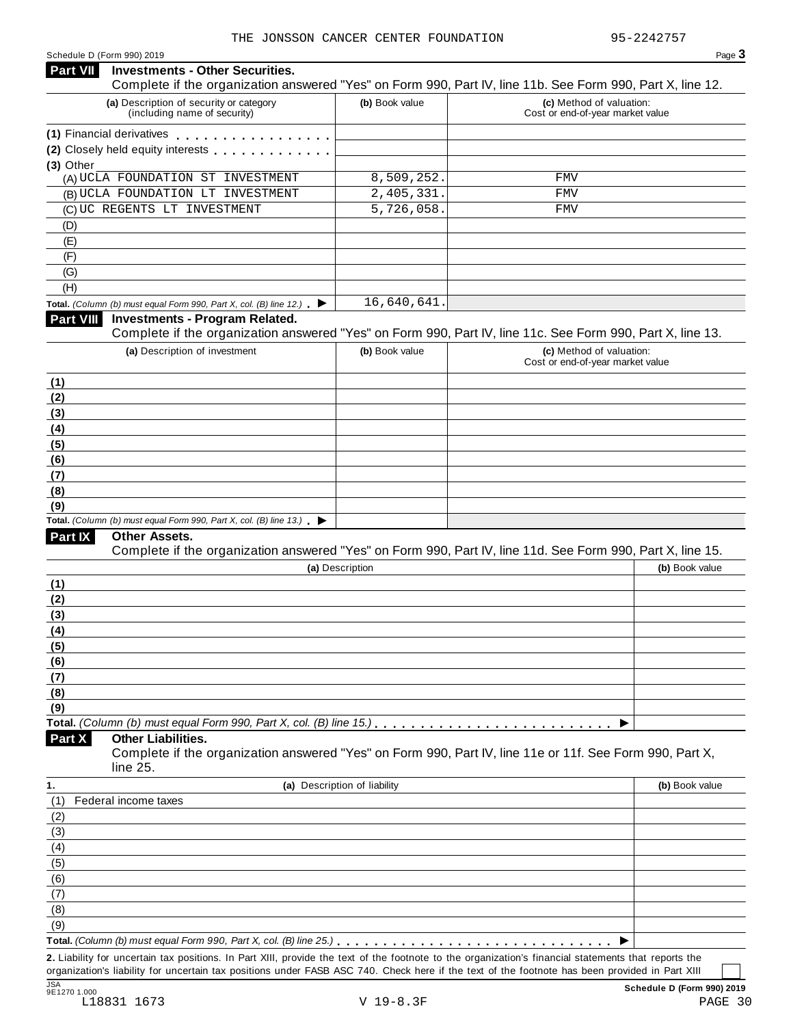| Schedule D (Form 990) 2019                                                                                                                                       |                              |                                                              | Page 3         |
|------------------------------------------------------------------------------------------------------------------------------------------------------------------|------------------------------|--------------------------------------------------------------|----------------|
| Part VII<br><b>Investments - Other Securities.</b><br>Complete if the organization answered "Yes" on Form 990, Part IV, line 11b. See Form 990, Part X, line 12. |                              |                                                              |                |
| (a) Description of security or category<br>(including name of security)                                                                                          | (b) Book value               | (c) Method of valuation:<br>Cost or end-of-year market value |                |
| (1) Financial derivatives                                                                                                                                        |                              |                                                              |                |
| (2) Closely held equity interests<br>(3) Other                                                                                                                   |                              |                                                              |                |
| (A) UCLA FOUNDATION ST INVESTMENT                                                                                                                                | 8,509,252.                   | FMV                                                          |                |
| (B) UCLA FOUNDATION LT INVESTMENT                                                                                                                                | 2,405,331.                   | <b>FMV</b>                                                   |                |
| (C) UC REGENTS LT INVESTMENT                                                                                                                                     | 5,726,058.                   | <b>FMV</b>                                                   |                |
| (D)                                                                                                                                                              |                              |                                                              |                |
| (E)                                                                                                                                                              |                              |                                                              |                |
| (F)                                                                                                                                                              |                              |                                                              |                |
| (G)                                                                                                                                                              |                              |                                                              |                |
| (H)                                                                                                                                                              |                              |                                                              |                |
| Total. (Column (b) must equal Form 990, Part X, col. (B) line 12.) $\blacktriangleright$<br><b>Investments - Program Related.</b>                                | 16,640,641                   |                                                              |                |
| Part VIII<br>Complete if the organization answered "Yes" on Form 990, Part IV, line 11c. See Form 990, Part X, line 13.                                          |                              |                                                              |                |
| (a) Description of investment                                                                                                                                    | (b) Book value               | (c) Method of valuation:<br>Cost or end-of-year market value |                |
| (1)                                                                                                                                                              |                              |                                                              |                |
| (2)                                                                                                                                                              |                              |                                                              |                |
| (3)                                                                                                                                                              |                              |                                                              |                |
| (4)                                                                                                                                                              |                              |                                                              |                |
| (5)                                                                                                                                                              |                              |                                                              |                |
| (6)                                                                                                                                                              |                              |                                                              |                |
| (7)                                                                                                                                                              |                              |                                                              |                |
| (8)                                                                                                                                                              |                              |                                                              |                |
| (9)<br>Total. (Column (b) must equal Form 990, Part X, col. (B) line 13.) $\blacktriangleright$                                                                  |                              |                                                              |                |
| Part IX<br>Other Assets.                                                                                                                                         |                              |                                                              |                |
| Complete if the organization answered "Yes" on Form 990, Part IV, line 11d. See Form 990, Part X, line 15.                                                       |                              |                                                              |                |
|                                                                                                                                                                  | (a) Description              |                                                              | (b) Book value |
| (1)                                                                                                                                                              |                              |                                                              |                |
| (2)                                                                                                                                                              |                              |                                                              |                |
| (3)                                                                                                                                                              |                              |                                                              |                |
| (4)                                                                                                                                                              |                              |                                                              |                |
| (5)                                                                                                                                                              |                              |                                                              |                |
| (6)                                                                                                                                                              |                              |                                                              |                |
| (7)                                                                                                                                                              |                              |                                                              |                |
| (8)                                                                                                                                                              |                              |                                                              |                |
| (9)<br>Total. (Column (b) must equal Form 990, Part X, col. (B) line 15.) $\ldots \ldots \ldots \ldots \ldots \ldots \ldots \ldots$                              |                              | ▶                                                            |                |
| Part X<br><b>Other Liabilities.</b><br>Complete if the organization answered "Yes" on Form 990, Part IV, line 11e or 11f. See Form 990, Part X,<br>line 25.      |                              |                                                              |                |
|                                                                                                                                                                  | (a) Description of liability |                                                              | (b) Book value |
| Federal income taxes<br>(1)                                                                                                                                      |                              |                                                              |                |
| (2)                                                                                                                                                              |                              |                                                              |                |
| (3)                                                                                                                                                              |                              |                                                              |                |
| (4)                                                                                                                                                              |                              |                                                              |                |
| (5)                                                                                                                                                              |                              |                                                              |                |
| (6)                                                                                                                                                              |                              |                                                              |                |
| (7)                                                                                                                                                              |                              |                                                              |                |
| (8)                                                                                                                                                              |                              |                                                              |                |
| (9)<br>Total. (Column (b) must equal Form 990, Part X, col. (B) line 25.)                                                                                        |                              |                                                              |                |
| 2. Liability for uncertain tax positions. In Part XIII, provide the text of the footnote to the organization's financial statements that reports the             |                              |                                                              |                |

organization's liability for uncertain tax positions under FASB ASC 740. Check here if the text of the footnote has been provided in Part XIII

 $\mathbb{Z}^2$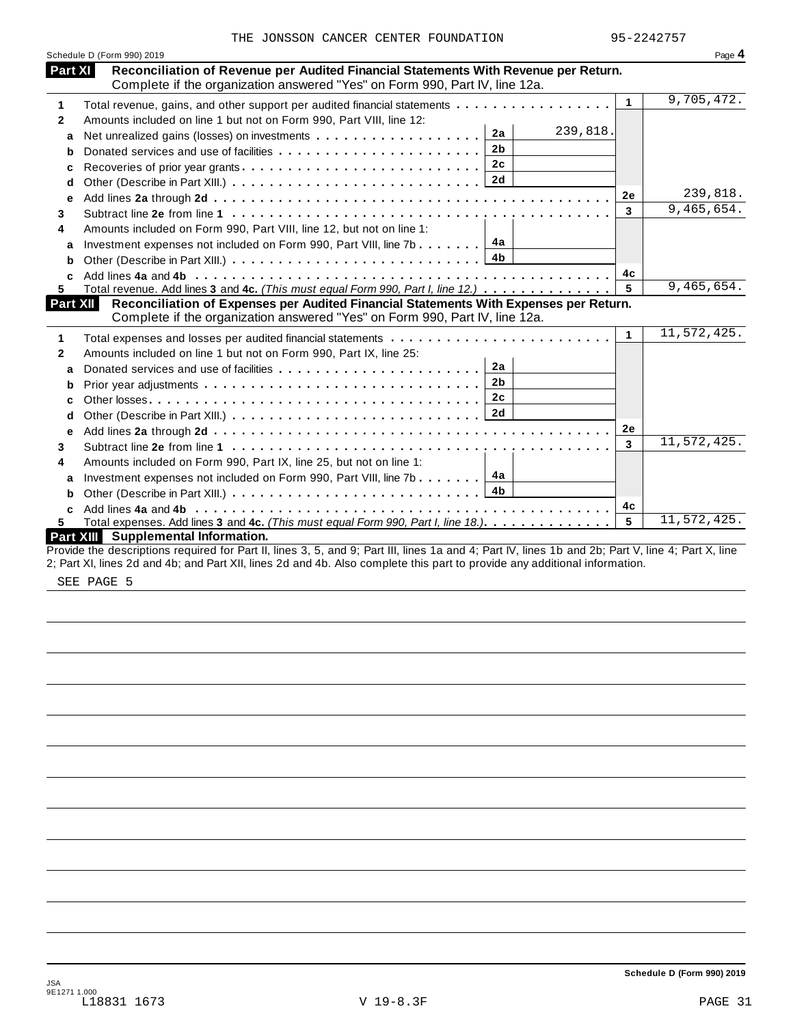|                 | Schedule D (Form 990) 2019                                                                                                                                         |                      | Page 4      |
|-----------------|--------------------------------------------------------------------------------------------------------------------------------------------------------------------|----------------------|-------------|
| Part XI         | Reconciliation of Revenue per Audited Financial Statements With Revenue per Return.<br>Complete if the organization answered "Yes" on Form 990, Part IV, line 12a. |                      |             |
| 1               | Total revenue, gains, and other support per audited financial statements                                                                                           | $\mathbf 1$          | 9,705,472.  |
| $\mathbf{2}$    | Amounts included on line 1 but not on Form 990, Part VIII, line 12:                                                                                                |                      |             |
| a               | 239,818.<br>2a                                                                                                                                                     |                      |             |
| b               | 2 <sub>b</sub>                                                                                                                                                     |                      |             |
| с               | 2c<br>Recoveries of prior year grants                                                                                                                              |                      |             |
| d               |                                                                                                                                                                    |                      |             |
| е               |                                                                                                                                                                    | 2e                   | 239,818.    |
| 3               |                                                                                                                                                                    | 3                    | 9,465,654.  |
| 4               | Amounts included on Form 990, Part VIII, line 12, but not on line 1:                                                                                               |                      |             |
| a               | 4a<br>Investment expenses not included on Form 990, Part VIII, line 7b                                                                                             |                      |             |
| b               | 4b                                                                                                                                                                 |                      |             |
| C               |                                                                                                                                                                    | 4c                   |             |
| 5.              | Total revenue. Add lines 3 and 4c. (This must equal Form 990, Part I, line 12.)                                                                                    | 5                    | 9,465,654.  |
| <b>Part XII</b> | Reconciliation of Expenses per Audited Financial Statements With Expenses per Return.                                                                              |                      |             |
|                 | Complete if the organization answered "Yes" on Form 990, Part IV, line 12a.                                                                                        |                      |             |
| 1               |                                                                                                                                                                    | $\blacktriangleleft$ | 11,572,425. |
| $\mathbf{2}$    | Amounts included on line 1 but not on Form 990, Part IX, line 25:                                                                                                  |                      |             |
| a               | 2a                                                                                                                                                                 |                      |             |
| b               | 2 <sub>b</sub>                                                                                                                                                     |                      |             |
| c               | 2c                                                                                                                                                                 |                      |             |
| d               |                                                                                                                                                                    |                      |             |
| е               |                                                                                                                                                                    | 2e                   |             |
| 3               |                                                                                                                                                                    | $\mathbf{3}$         | 11,572,425. |
| 4               | Amounts included on Form 990, Part IX, line 25, but not on line 1:                                                                                                 |                      |             |
| a               | 4a<br>Investment expenses not included on Form 990, Part VIII, line 7b                                                                                             |                      |             |
| b               | 4b                                                                                                                                                                 |                      |             |
| C               |                                                                                                                                                                    | 4с                   |             |
| 5.              | Total expenses. Add lines 3 and 4c. (This must equal Form 990, Part I, line 18.).                                                                                  | 5                    | 11,572,425. |
|                 | Part XIII Supplemental Information.                                                                                                                                |                      |             |
|                 | Provide the descriptions required for Part II, lines 3, 5, and 9; Part III, lines 1a and 4; Part IV, lines 1b and 2b; Part V, line 4; Part X, line                 |                      |             |
|                 | 2; Part XI, lines 2d and 4b; and Part XII, lines 2d and 4b. Also complete this part to provide any additional information.                                         |                      |             |

SEE PAGE 5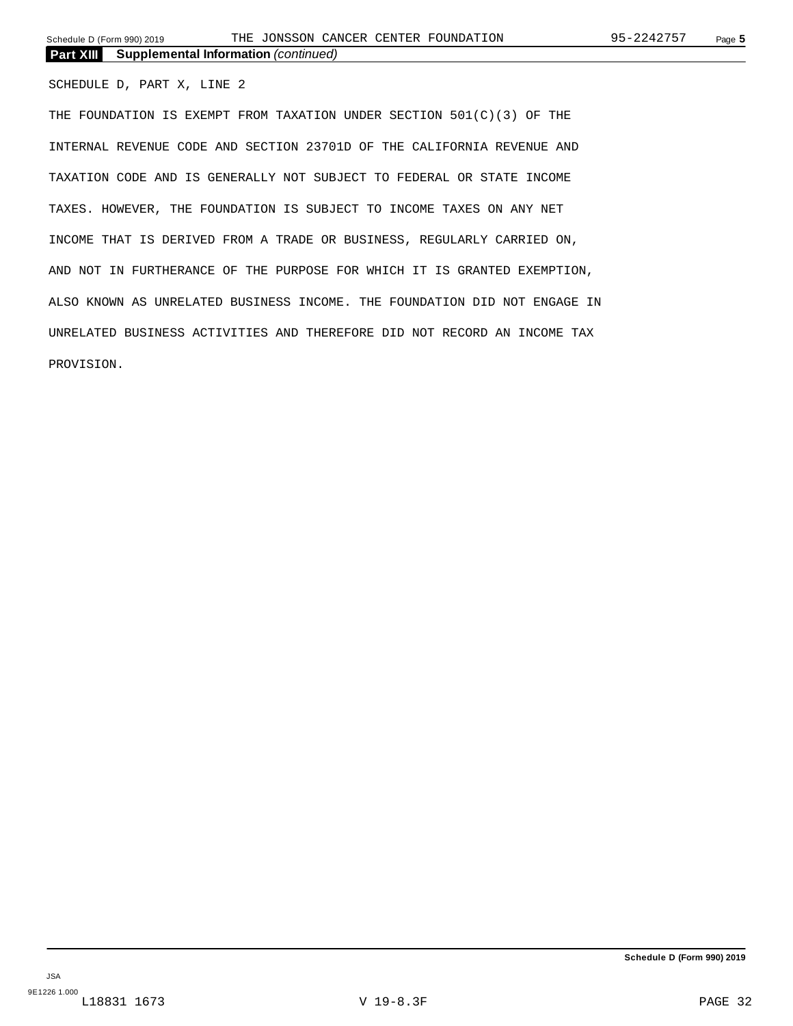### SCHEDULE D, PART X, LINE 2

THE FOUNDATION IS EXEMPT FROM TAXATION UNDER SECTION 501(C)(3) OF THE INTERNAL REVENUE CODE AND SECTION 23701D OF THE CALIFORNIA REVENUE AND TAXATION CODE AND IS GENERALLY NOT SUBJECT TO FEDERAL OR STATE INCOME TAXES. HOWEVER, THE FOUNDATION IS SUBJECT TO INCOME TAXES ON ANY NET INCOME THAT IS DERIVED FROM A TRADE OR BUSINESS, REGULARLY CARRIED ON, AND NOT IN FURTHERANCE OF THE PURPOSE FOR WHICH IT IS GRANTED EXEMPTION, ALSO KNOWN AS UNRELATED BUSINESS INCOME. THE FOUNDATION DID NOT ENGAGE IN UNRELATED BUSINESS ACTIVITIES AND THEREFORE DID NOT RECORD AN INCOME TAX PROVISION.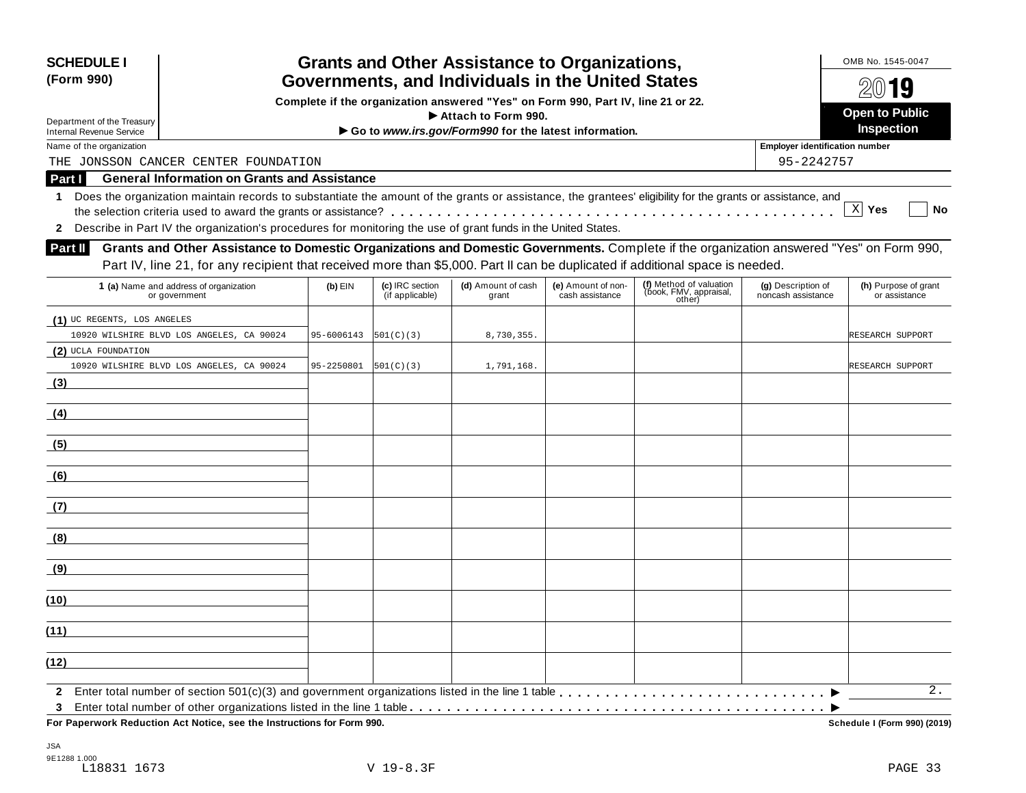| <b>SCHEDULE I</b><br>(Form 990)                               |                                                                                                                                                            | <b>Grants and Other Assistance to Organizations,</b> |                                    | OMB No. 1545-0047                                                                                       |                                       |                                                             |                                          |                                       |
|---------------------------------------------------------------|------------------------------------------------------------------------------------------------------------------------------------------------------------|------------------------------------------------------|------------------------------------|---------------------------------------------------------------------------------------------------------|---------------------------------------|-------------------------------------------------------------|------------------------------------------|---------------------------------------|
|                                                               |                                                                                                                                                            |                                                      |                                    | Governments, and Individuals in the United States                                                       |                                       |                                                             |                                          | 2019                                  |
|                                                               |                                                                                                                                                            |                                                      |                                    | Complete if the organization answered "Yes" on Form 990, Part IV, line 21 or 22.<br>Attach to Form 990. |                                       |                                                             |                                          | <b>Open to Public</b>                 |
| Department of the Treasury<br><b>Internal Revenue Service</b> |                                                                                                                                                            |                                                      |                                    | Go to www.irs.gov/Form990 for the latest information.                                                   |                                       |                                                             |                                          | Inspection                            |
| Name of the organization                                      |                                                                                                                                                            |                                                      |                                    |                                                                                                         |                                       |                                                             | <b>Employer identification number</b>    |                                       |
| THE JONSSON CANCER CENTER FOUNDATION                          |                                                                                                                                                            |                                                      |                                    |                                                                                                         |                                       |                                                             | 95-2242757                               |                                       |
| <b>Part I</b>                                                 | <b>General Information on Grants and Assistance</b>                                                                                                        |                                                      |                                    |                                                                                                         |                                       |                                                             |                                          |                                       |
| 1                                                             | Does the organization maintain records to substantiate the amount of the grants or assistance, the grantees' eligibility for the grants or assistance, and |                                                      |                                    |                                                                                                         |                                       |                                                             |                                          |                                       |
|                                                               |                                                                                                                                                            |                                                      |                                    |                                                                                                         |                                       |                                                             |                                          | X Yes<br>No                           |
|                                                               | 2 Describe in Part IV the organization's procedures for monitoring the use of grant funds in the United States.                                            |                                                      |                                    |                                                                                                         |                                       |                                                             |                                          |                                       |
| <b>Part II</b>                                                | Grants and Other Assistance to Domestic Organizations and Domestic Governments. Complete if the organization answered "Yes" on Form 990,                   |                                                      |                                    |                                                                                                         |                                       |                                                             |                                          |                                       |
|                                                               | Part IV, line 21, for any recipient that received more than \$5,000. Part II can be duplicated if additional space is needed.                              |                                                      |                                    |                                                                                                         |                                       |                                                             |                                          |                                       |
|                                                               |                                                                                                                                                            |                                                      |                                    |                                                                                                         |                                       |                                                             |                                          |                                       |
|                                                               | 1 (a) Name and address of organization<br>or government                                                                                                    | $(b)$ EIN                                            | (c) IRC section<br>(if applicable) | (d) Amount of cash<br>grant                                                                             | (e) Amount of non-<br>cash assistance | (f) Method of valuation<br>(book, FMV, appraisal,<br>other) | (g) Description of<br>noncash assistance | (h) Purpose of grant<br>or assistance |
| (1) UC REGENTS, LOS ANGELES                                   |                                                                                                                                                            |                                                      |                                    |                                                                                                         |                                       |                                                             |                                          |                                       |
|                                                               | 10920 WILSHIRE BLVD LOS ANGELES, CA 90024                                                                                                                  | 95-6006143                                           | 501(C)(3)                          | 8,730,355.                                                                                              |                                       |                                                             |                                          | RESEARCH SUPPORT                      |
| (2) UCLA FOUNDATION                                           |                                                                                                                                                            |                                                      |                                    |                                                                                                         |                                       |                                                             |                                          |                                       |
|                                                               | 10920 WILSHIRE BLVD LOS ANGELES, CA 90024                                                                                                                  | 95-2250801                                           | 501(C)(3)                          | 1,791,168.                                                                                              |                                       |                                                             |                                          | RESEARCH SUPPORT                      |
| (3)                                                           |                                                                                                                                                            |                                                      |                                    |                                                                                                         |                                       |                                                             |                                          |                                       |
|                                                               |                                                                                                                                                            |                                                      |                                    |                                                                                                         |                                       |                                                             |                                          |                                       |
| (4)                                                           |                                                                                                                                                            |                                                      |                                    |                                                                                                         |                                       |                                                             |                                          |                                       |
|                                                               |                                                                                                                                                            |                                                      |                                    |                                                                                                         |                                       |                                                             |                                          |                                       |
| (5)                                                           |                                                                                                                                                            |                                                      |                                    |                                                                                                         |                                       |                                                             |                                          |                                       |
|                                                               |                                                                                                                                                            |                                                      |                                    |                                                                                                         |                                       |                                                             |                                          |                                       |
| (6)                                                           |                                                                                                                                                            |                                                      |                                    |                                                                                                         |                                       |                                                             |                                          |                                       |
| (7)                                                           |                                                                                                                                                            |                                                      |                                    |                                                                                                         |                                       |                                                             |                                          |                                       |
|                                                               |                                                                                                                                                            |                                                      |                                    |                                                                                                         |                                       |                                                             |                                          |                                       |
| (8)                                                           |                                                                                                                                                            |                                                      |                                    |                                                                                                         |                                       |                                                             |                                          |                                       |
|                                                               |                                                                                                                                                            |                                                      |                                    |                                                                                                         |                                       |                                                             |                                          |                                       |
| (9)                                                           |                                                                                                                                                            |                                                      |                                    |                                                                                                         |                                       |                                                             |                                          |                                       |
|                                                               |                                                                                                                                                            |                                                      |                                    |                                                                                                         |                                       |                                                             |                                          |                                       |
| (10)                                                          |                                                                                                                                                            |                                                      |                                    |                                                                                                         |                                       |                                                             |                                          |                                       |
|                                                               |                                                                                                                                                            |                                                      |                                    |                                                                                                         |                                       |                                                             |                                          |                                       |
| (11)                                                          |                                                                                                                                                            |                                                      |                                    |                                                                                                         |                                       |                                                             |                                          |                                       |
|                                                               |                                                                                                                                                            |                                                      |                                    |                                                                                                         |                                       |                                                             |                                          |                                       |
| (12)                                                          |                                                                                                                                                            |                                                      |                                    |                                                                                                         |                                       |                                                             |                                          |                                       |
|                                                               |                                                                                                                                                            |                                                      |                                    |                                                                                                         |                                       |                                                             |                                          |                                       |
| $\mathbf{2}$                                                  |                                                                                                                                                            |                                                      |                                    |                                                                                                         |                                       |                                                             |                                          | $2$ .                                 |
| 3                                                             | For Paperwork Reduction Act Notice, see the Instructions for Form 990.                                                                                     |                                                      |                                    |                                                                                                         |                                       |                                                             |                                          | Schedule I (Form 990) (2019)          |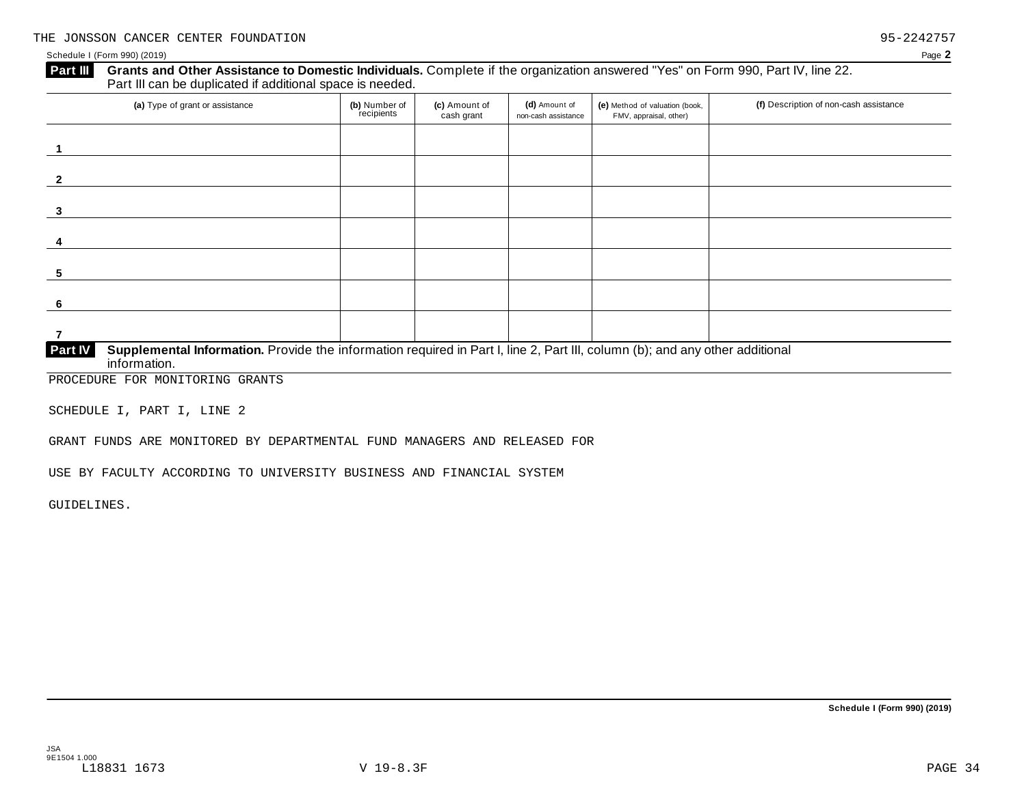### **Grants and Other Assistance to Domestic Individuals.** Complete ifthe organization answered "Yes" on Form 990, Part IV, line 22. **Part III** Grants and Other Assistance to Domestic Individuals<br>Part III can be duplicated if additional space is needed.

| (a) Type of grant or assistance                                                                                                                                | (b) Number of<br>recipients | (c) Amount of<br>cash grant | (d) Amount of<br>non-cash assistance | (e) Method of valuation (book,<br>FMV, appraisal, other) | (f) Description of non-cash assistance |
|----------------------------------------------------------------------------------------------------------------------------------------------------------------|-----------------------------|-----------------------------|--------------------------------------|----------------------------------------------------------|----------------------------------------|
|                                                                                                                                                                |                             |                             |                                      |                                                          |                                        |
| $\mathbf{c}$                                                                                                                                                   |                             |                             |                                      |                                                          |                                        |
| 3                                                                                                                                                              |                             |                             |                                      |                                                          |                                        |
| 4                                                                                                                                                              |                             |                             |                                      |                                                          |                                        |
| 5                                                                                                                                                              |                             |                             |                                      |                                                          |                                        |
| -6                                                                                                                                                             |                             |                             |                                      |                                                          |                                        |
|                                                                                                                                                                |                             |                             |                                      |                                                          |                                        |
| Supplemental Information. Provide the information required in Part I, line 2, Part III, column (b); and any other additional<br><b>Part IV</b><br>information. |                             |                             |                                      |                                                          |                                        |

PROCEDURE FOR MONITORING GRANTS

SCHEDULE I, PART I, LINE 2

GRANT FUNDS ARE MONITORED BY DEPARTMENTAL FUND MANAGERS AND RELEASED FOR

USE BY FACULTY ACCORDING TO UNIVERSITY BUSINESS AND FINANCIAL SYSTEM

GUIDELINES.

**Schedule I (Form 990) (2019)**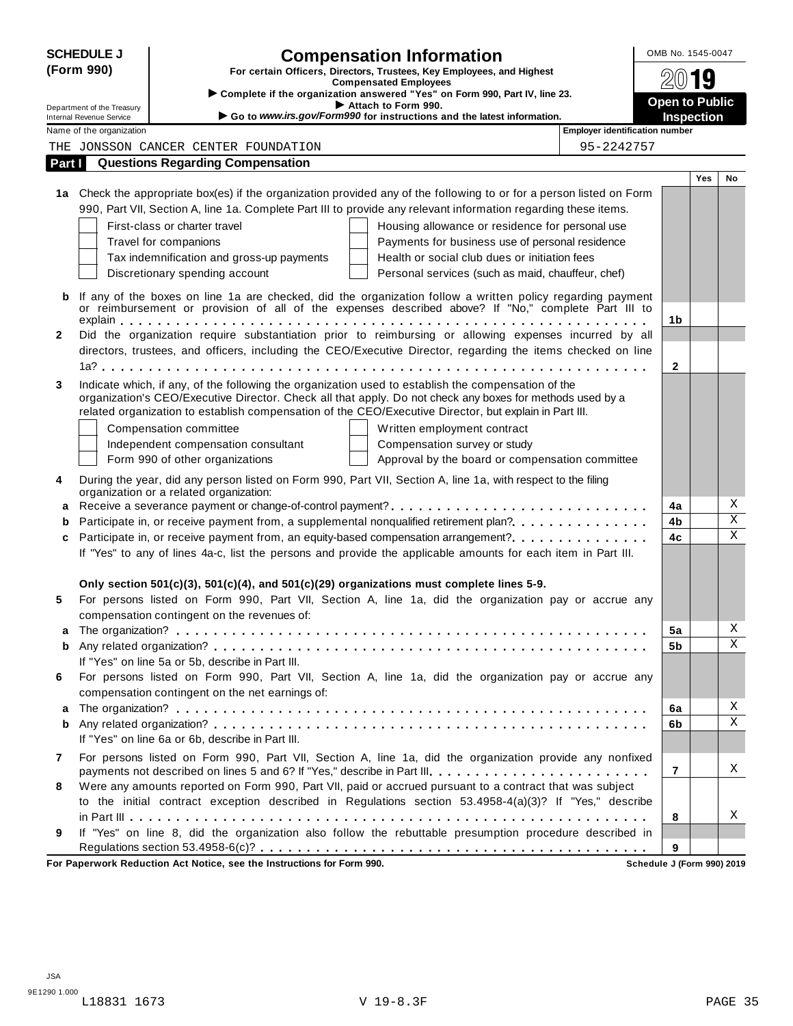|              | <b>SCHEDULE J</b>                                    |                                                  | <b>Compensation Information</b>                                                                                                                                                                                     |                                       | OMB No. 1545-0047     |            |                         |
|--------------|------------------------------------------------------|--------------------------------------------------|---------------------------------------------------------------------------------------------------------------------------------------------------------------------------------------------------------------------|---------------------------------------|-----------------------|------------|-------------------------|
|              | (Form 990)                                           |                                                  | For certain Officers, Directors, Trustees, Key Employees, and Highest                                                                                                                                               |                                       |                       | 19         |                         |
|              |                                                      |                                                  | <b>Compensated Employees</b><br>Complete if the organization answered "Yes" on Form 990, Part IV, line 23.                                                                                                          |                                       |                       |            |                         |
|              | Department of the Treasury                           |                                                  | Attach to Form 990.                                                                                                                                                                                                 |                                       | <b>Open to Public</b> |            |                         |
|              | Internal Revenue Service<br>Name of the organization |                                                  | Go to www.irs.gov/Form990 for instructions and the latest information.                                                                                                                                              | <b>Employer identification number</b> | <b>Inspection</b>     |            |                         |
|              |                                                      | THE JONSSON CANCER CENTER FOUNDATION             |                                                                                                                                                                                                                     | 95-2242757                            |                       |            |                         |
| Part I       |                                                      | <b>Questions Regarding Compensation</b>          |                                                                                                                                                                                                                     |                                       |                       |            |                         |
|              |                                                      |                                                  |                                                                                                                                                                                                                     |                                       |                       | <b>Yes</b> | No                      |
|              |                                                      |                                                  | 1a Check the appropriate box(es) if the organization provided any of the following to or for a person listed on Form                                                                                                |                                       |                       |            |                         |
|              |                                                      |                                                  | 990, Part VII, Section A, line 1a. Complete Part III to provide any relevant information regarding these items.                                                                                                     |                                       |                       |            |                         |
|              |                                                      | First-class or charter travel                    | Housing allowance or residence for personal use                                                                                                                                                                     |                                       |                       |            |                         |
|              |                                                      | Travel for companions                            | Payments for business use of personal residence                                                                                                                                                                     |                                       |                       |            |                         |
|              |                                                      | Tax indemnification and gross-up payments        | Health or social club dues or initiation fees                                                                                                                                                                       |                                       |                       |            |                         |
|              |                                                      | Discretionary spending account                   | Personal services (such as maid, chauffeur, chef)                                                                                                                                                                   |                                       |                       |            |                         |
| b            |                                                      |                                                  | If any of the boxes on line 1a are checked, did the organization follow a written policy regarding payment                                                                                                          |                                       |                       |            |                         |
|              |                                                      |                                                  | or reimbursement or provision of all of the expenses described above? If "No," complete Part III to                                                                                                                 |                                       |                       |            |                         |
|              |                                                      |                                                  |                                                                                                                                                                                                                     |                                       | 1 <sub>b</sub>        |            |                         |
| $\mathbf{2}$ |                                                      |                                                  | Did the organization require substantiation prior to reimbursing or allowing expenses incurred by all                                                                                                               |                                       |                       |            |                         |
|              |                                                      |                                                  | directors, trustees, and officers, including the CEO/Executive Director, regarding the items checked on line                                                                                                        |                                       |                       |            |                         |
|              |                                                      |                                                  |                                                                                                                                                                                                                     |                                       | 2                     |            |                         |
| 3            |                                                      |                                                  | Indicate which, if any, of the following the organization used to establish the compensation of the                                                                                                                 |                                       |                       |            |                         |
|              |                                                      |                                                  | organization's CEO/Executive Director. Check all that apply. Do not check any boxes for methods used by a<br>related organization to establish compensation of the CEO/Executive Director, but explain in Part III. |                                       |                       |            |                         |
|              |                                                      | Compensation committee                           | Written employment contract                                                                                                                                                                                         |                                       |                       |            |                         |
|              |                                                      | Independent compensation consultant              | Compensation survey or study                                                                                                                                                                                        |                                       |                       |            |                         |
|              |                                                      | Form 990 of other organizations                  | Approval by the board or compensation committee                                                                                                                                                                     |                                       |                       |            |                         |
| 4            |                                                      |                                                  | During the year, did any person listed on Form 990, Part VII, Section A, line 1a, with respect to the filing                                                                                                        |                                       |                       |            |                         |
|              |                                                      | organization or a related organization:          |                                                                                                                                                                                                                     |                                       |                       |            |                         |
| a            |                                                      |                                                  | Receive a severance payment or change-of-control payment?                                                                                                                                                           |                                       | 4a                    |            | Χ                       |
| b            |                                                      |                                                  | Participate in, or receive payment from, a supplemental nonqualified retirement plan?                                                                                                                               |                                       | 4b                    |            | $\mathbf X$             |
| c            |                                                      |                                                  | Participate in, or receive payment from, an equity-based compensation arrangement?                                                                                                                                  |                                       | 4c                    |            | $\overline{\mathbf{x}}$ |
|              |                                                      |                                                  | If "Yes" to any of lines 4a-c, list the persons and provide the applicable amounts for each item in Part III.                                                                                                       |                                       |                       |            |                         |
|              |                                                      |                                                  |                                                                                                                                                                                                                     |                                       |                       |            |                         |
| 5            |                                                      |                                                  | Only section $501(c)(3)$ , $501(c)(4)$ , and $501(c)(29)$ organizations must complete lines 5-9.<br>For persons listed on Form 990, Part VII, Section A, line 1a, did the organization pay or accrue any            |                                       |                       |            |                         |
|              |                                                      | compensation contingent on the revenues of:      |                                                                                                                                                                                                                     |                                       |                       |            |                         |
|              |                                                      |                                                  |                                                                                                                                                                                                                     |                                       | 5a                    |            | Χ                       |
| b            |                                                      |                                                  |                                                                                                                                                                                                                     |                                       | 5b                    |            | $\mathbf X$             |
|              |                                                      | If "Yes" on line 5a or 5b, describe in Part III. |                                                                                                                                                                                                                     |                                       |                       |            |                         |
| 6            |                                                      |                                                  | For persons listed on Form 990, Part VII, Section A, line 1a, did the organization pay or accrue any                                                                                                                |                                       |                       |            |                         |
|              |                                                      | compensation contingent on the net earnings of:  |                                                                                                                                                                                                                     |                                       |                       |            |                         |
| a            |                                                      |                                                  |                                                                                                                                                                                                                     |                                       | 6a                    |            | Χ                       |
| b            |                                                      |                                                  |                                                                                                                                                                                                                     |                                       | 6b                    |            | Χ                       |
|              |                                                      | If "Yes" on line 6a or 6b, describe in Part III. |                                                                                                                                                                                                                     |                                       |                       |            |                         |
| 7            |                                                      |                                                  | For persons listed on Form 990, Part VII, Section A, line 1a, did the organization provide any nonfixed                                                                                                             |                                       |                       |            |                         |
|              |                                                      |                                                  | payments not described on lines 5 and 6? If "Yes," describe in Part III.                                                                                                                                            |                                       | 7                     |            | X                       |
| 8            |                                                      |                                                  | Were any amounts reported on Form 990, Part VII, paid or accrued pursuant to a contract that was subject                                                                                                            |                                       |                       |            |                         |
|              |                                                      |                                                  | to the initial contract exception described in Regulations section 53.4958-4(a)(3)? If "Yes," describe                                                                                                              |                                       |                       |            | X                       |
|              |                                                      |                                                  | If "Yes" on line 8, did the organization also follow the rebuttable presumption procedure described in                                                                                                              |                                       | 8                     |            |                         |
| 9            |                                                      |                                                  |                                                                                                                                                                                                                     |                                       | 9                     |            |                         |
|              |                                                      |                                                  |                                                                                                                                                                                                                     |                                       |                       |            |                         |

**For Paperwork Reduction Act Notice, see the Instructions for Form 990. Schedule J (Form 990) 2019**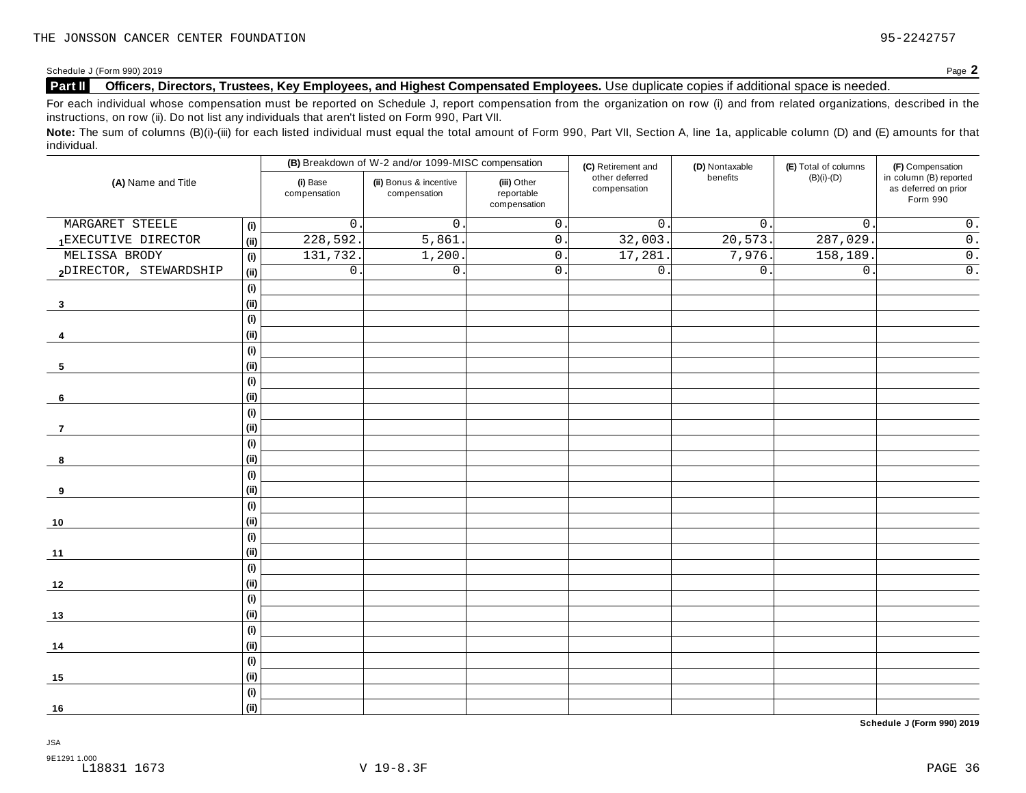### **Part II Officers, Directors, Trustees, Key Employees, and Highest Compensated Employees.** Use duplicate copies ifadditional space is needed.

For each individual whose compensation must be reported on Schedule J, report compensation from the organization on row (i) and from related organizations, described in the instructions, on row (ii). Do not list any individuals that aren't listed on Form 990, Part VII.

Note: The sum of columns (B)(i)-(iii) for each listed individual must equal the total amount of Form 990, Part VII, Section A, line 1a, applicable column (D) and (E) amounts for that individual.

| (A) Name and Title     |                              |                          | (B) Breakdown of W-2 and/or 1099-MISC compensation |                                           | (C) Retirement and             | (D) Nontaxable   | (E) Total of columns | (F) Compensation                                           |
|------------------------|------------------------------|--------------------------|----------------------------------------------------|-------------------------------------------|--------------------------------|------------------|----------------------|------------------------------------------------------------|
|                        |                              | (i) Base<br>compensation | (ii) Bonus & incentive<br>compensation             | (iii) Other<br>reportable<br>compensation | other deferred<br>compensation | benefits         | $(B)(i)-(D)$         | in column (B) reported<br>as deferred on prior<br>Form 990 |
| MARGARET STEELE        | (i)                          | $\mathsf{O}$             | $\mathsf{O}$                                       | $\overline{0}$ .                          | $\overline{0}$ .               | $\overline{0}$ . | $\mathsf{O}$ .       | $\overline{0}$ .                                           |
| 1EXECUTIVE DIRECTOR    | (i)                          | 228,592                  | 5,861.                                             | $\overline{0}$ .                          | 32,003.                        | 20, 573.         | 287,029              | $\overline{\overline{\mathfrak{o}}}$ .                     |
| MELISSA BRODY          | (i)                          | 131,732                  | 1,200.                                             | $\mathsf{0}$ .                            | 17,281                         | 7,976.           | 158, 189.            | $\overline{0}$ .                                           |
| 2DIRECTOR, STEWARDSHIP | (ii)                         | $\mathsf{O}$ .           | 0.                                                 | 0                                         | $0$ .                          | $\overline{0}$ . | $0$ .                | $\overline{0}$ .                                           |
|                        | (i)                          |                          |                                                    |                                           |                                |                  |                      |                                                            |
| 3                      | (ii)                         |                          |                                                    |                                           |                                |                  |                      |                                                            |
|                        | (i)                          |                          |                                                    |                                           |                                |                  |                      |                                                            |
| 4                      | (i)                          |                          |                                                    |                                           |                                |                  |                      |                                                            |
|                        | (i)                          |                          |                                                    |                                           |                                |                  |                      |                                                            |
| 5                      | (i)                          |                          |                                                    |                                           |                                |                  |                      |                                                            |
|                        | $\qquad \qquad \textbf{(i)}$ |                          |                                                    |                                           |                                |                  |                      |                                                            |
| 6                      | (ii)                         |                          |                                                    |                                           |                                |                  |                      |                                                            |
|                        | (i)                          |                          |                                                    |                                           |                                |                  |                      |                                                            |
| $\overline{7}$         | (i)                          |                          |                                                    |                                           |                                |                  |                      |                                                            |
|                        | (i)                          |                          |                                                    |                                           |                                |                  |                      |                                                            |
| 8                      | (i)                          |                          |                                                    |                                           |                                |                  |                      |                                                            |
|                        | (i)                          |                          |                                                    |                                           |                                |                  |                      |                                                            |
| 9                      | (ii)                         |                          |                                                    |                                           |                                |                  |                      |                                                            |
|                        | (i)                          |                          |                                                    |                                           |                                |                  |                      |                                                            |
| 10                     | (i)                          |                          |                                                    |                                           |                                |                  |                      |                                                            |
|                        | (i)                          |                          |                                                    |                                           |                                |                  |                      |                                                            |
| 11                     | (i)                          |                          |                                                    |                                           |                                |                  |                      |                                                            |
|                        | (i)                          |                          |                                                    |                                           |                                |                  |                      |                                                            |
| 12                     | (ii)                         |                          |                                                    |                                           |                                |                  |                      |                                                            |
|                        | (i)                          |                          |                                                    |                                           |                                |                  |                      |                                                            |
| 13                     | (ii)                         |                          |                                                    |                                           |                                |                  |                      |                                                            |
|                        | (i)                          |                          |                                                    |                                           |                                |                  |                      |                                                            |
| 14                     | (i)                          |                          |                                                    |                                           |                                |                  |                      |                                                            |
|                        | (i)                          |                          |                                                    |                                           |                                |                  |                      |                                                            |
| 15                     | (i)                          |                          |                                                    |                                           |                                |                  |                      |                                                            |
|                        | (i)                          |                          |                                                    |                                           |                                |                  |                      |                                                            |
| 16                     | (ii)                         |                          |                                                    |                                           |                                |                  |                      |                                                            |

**Schedule J (Form 990) 2019**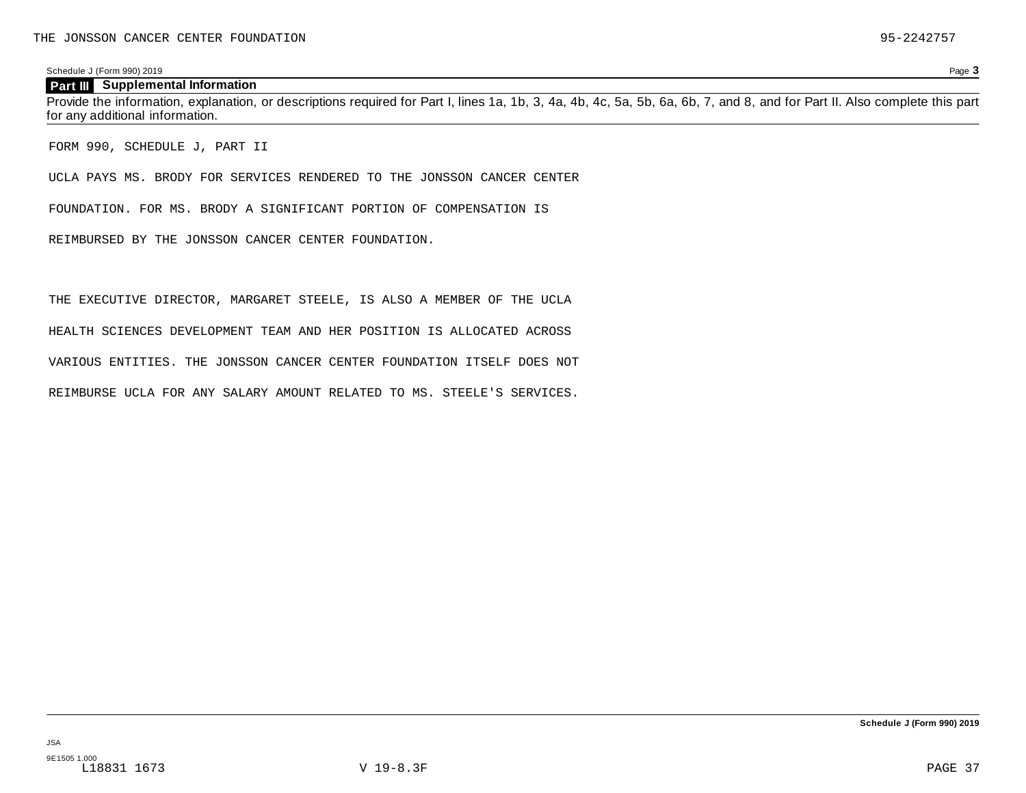### **Part III Supplemental Information**

Provide the information, explanation, or descriptions required for Part I, lines 1a, 1b, 3, 4a, 4b, 4c, 5a, 5b, 6a, 6b, 7, and 8, and for Part II. Also complete this part for any additional information.

FORM 990, SCHEDULE J, PART II

UCLA PAYS MS. BRODY FOR SERVICES RENDERED TO THE JONSSON CANCER CENTER

FOUNDATION. FOR MS. BRODY A SIGNIFICANT PORTION OF COMPENSATION IS

REIMBURSED BY THE JONSSON CANCER CENTER FOUNDATION.

THE EXECUTIVE DIRECTOR, MARGARET STEELE, IS ALSO A MEMBER OF THE UCLA

HEALTH SCIENCES DEVELOPMENT TEAM AND HER POSITION IS ALLOCATED ACROSS

VARIOUS ENTITIES. THE JONSSON CANCER CENTER FOUNDATION ITSELF DOES NOT

REIMBURSE UCLA FOR ANY SALARY AMOUNT RELATED TO MS. STEELE'S SERVICES.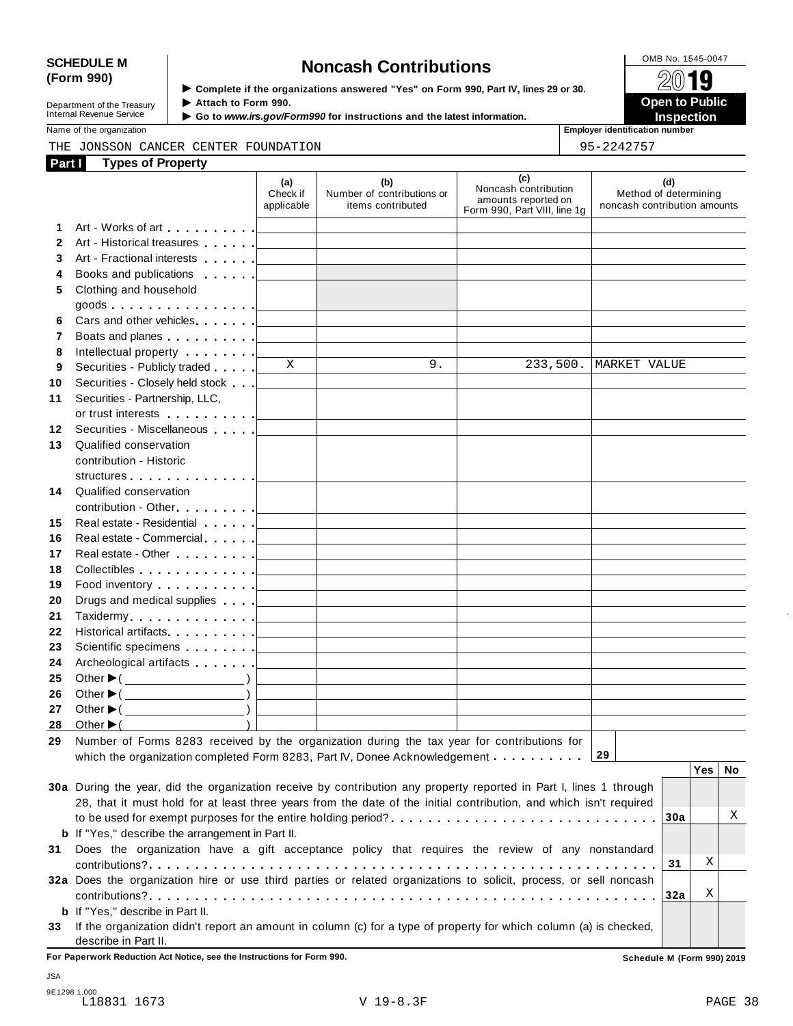# SCHEDULE M<br>
(Form 990) **Supplementary of the organizations answered** "Yes" on Form 990 Part IV lines 29 or 30

| Department of the Treasury |  |
|----------------------------|--|
| Internal Revenue Service   |  |

**Examplete** if the organizations answered "Yes" on Form 990, Part IV, lines 29 or 30. △<del>Ⅳ</del><br>▶ Attach to Form 990.  $\blacktriangleright$  Attach to Form 990. **Department of the Treasury ▶ Attach to Form 990.**<br>Internal Revenue Service ▶ Go to *www.irs.gov/Form990* for instructions and the latest information.<br>Nome of the organization aumhor

Name of the organization **intervalse of the organization intervalse of the organization <b>intervalse of the organization intervalse of the organization intervalse of the organization intervalse of the organization**

### THE JONSSON CANCER CENTER FOUNDATION  $\vert$  95-2242757

| Part I       | <b>Types of Property</b>                                                                                                                                                                                                         |                               |                                                        |                                                                                    |                                                              |     |    |
|--------------|----------------------------------------------------------------------------------------------------------------------------------------------------------------------------------------------------------------------------------|-------------------------------|--------------------------------------------------------|------------------------------------------------------------------------------------|--------------------------------------------------------------|-----|----|
|              |                                                                                                                                                                                                                                  | (a)<br>Check if<br>applicable | (b)<br>Number of contributions or<br>items contributed | (c)<br>Noncash contribution<br>amounts reported on<br>Form 990, Part VIII, line 1g | (d)<br>Method of determining<br>noncash contribution amounts |     |    |
| 1            | Art - Works of art [19]                                                                                                                                                                                                          |                               |                                                        |                                                                                    |                                                              |     |    |
| $\mathbf{2}$ | Art - Historical treasures                                                                                                                                                                                                       |                               |                                                        |                                                                                    |                                                              |     |    |
| 3            | Art - Fractional interests <b>Fractional</b>                                                                                                                                                                                     |                               |                                                        |                                                                                    |                                                              |     |    |
| 4            | Books and publications <b>Latitude</b>                                                                                                                                                                                           |                               |                                                        |                                                                                    |                                                              |     |    |
| 5            | Clothing and household                                                                                                                                                                                                           |                               |                                                        |                                                                                    |                                                              |     |    |
|              | goods $\ldots$ $\ldots$ $\ldots$ $\ldots$ $\ldots$ $\ldots$                                                                                                                                                                      |                               |                                                        |                                                                                    |                                                              |     |    |
| 6            |                                                                                                                                                                                                                                  |                               |                                                        |                                                                                    |                                                              |     |    |
| 7            | Boats and planes <u>  _ _ _ _ _</u>                                                                                                                                                                                              |                               |                                                        |                                                                                    |                                                              |     |    |
| 8            | Intellectual property [                                                                                                                                                                                                          |                               |                                                        |                                                                                    |                                                              |     |    |
| 9            | Securities - Publicly traded                                                                                                                                                                                                     | X                             | 9.                                                     | 233,500.                                                                           | MARKET VALUE                                                 |     |    |
| 10           | Securities - Closely held stock                                                                                                                                                                                                  |                               |                                                        |                                                                                    |                                                              |     |    |
| 11           | Securities - Partnership, LLC,                                                                                                                                                                                                   |                               |                                                        |                                                                                    |                                                              |     |    |
|              | or trust interests<br>example and the set of the set of the set of the set of the set of the set of the set of the set of the set of the set of the set of the set of the set of the set of the set of the set of the set of the |                               |                                                        |                                                                                    |                                                              |     |    |
| 12           | Securities - Miscellaneous                                                                                                                                                                                                       |                               |                                                        |                                                                                    |                                                              |     |    |
| 13           | Qualified conservation                                                                                                                                                                                                           |                               |                                                        |                                                                                    |                                                              |     |    |
|              | contribution - Historic                                                                                                                                                                                                          |                               |                                                        |                                                                                    |                                                              |     |    |
|              | structures [19]                                                                                                                                                                                                                  |                               |                                                        |                                                                                    |                                                              |     |    |
| 14           | Qualified conservation                                                                                                                                                                                                           |                               |                                                        |                                                                                    |                                                              |     |    |
|              |                                                                                                                                                                                                                                  |                               |                                                        |                                                                                    |                                                              |     |    |
| 15           | Real estate - Residential [1995]                                                                                                                                                                                                 |                               |                                                        |                                                                                    |                                                              |     |    |
| 16           |                                                                                                                                                                                                                                  |                               |                                                        |                                                                                    |                                                              |     |    |
| 17           | Real estate - Other <b>Calculate - Other</b>                                                                                                                                                                                     |                               |                                                        |                                                                                    |                                                              |     |    |
| 18           | Collectibles <u>  _ _ _ _ _</u>                                                                                                                                                                                                  |                               |                                                        |                                                                                    |                                                              |     |    |
| 19           | Food inventory                                                                                                                                                                                                                   |                               |                                                        |                                                                                    |                                                              |     |    |
| 20           | Drugs and medical supplies <b>Fig. 1.1 Contains and School</b>                                                                                                                                                                   |                               |                                                        |                                                                                    |                                                              |     |    |
| 21           |                                                                                                                                                                                                                                  |                               |                                                        |                                                                                    |                                                              |     |    |
| 22           |                                                                                                                                                                                                                                  |                               |                                                        |                                                                                    |                                                              |     |    |
| 23           | Scientific specimens   _ _ _ _ _ _ _                                                                                                                                                                                             |                               |                                                        |                                                                                    |                                                              |     |    |
| 24           | Archeological artifacts [1994]                                                                                                                                                                                                   |                               |                                                        |                                                                                    |                                                              |     |    |
| 25           | Other $\blacktriangleright$ ( $\_\_\_\_\_\_\_\_$ )                                                                                                                                                                               |                               |                                                        |                                                                                    |                                                              |     |    |
| 26           | Other $\blacktriangleright$ ( $\qquad \qquad$                                                                                                                                                                                    |                               |                                                        |                                                                                    |                                                              |     |    |
| 27           | Other $\blacktriangleright$ ( $\_\_\_\_\_\_\_\_$ )                                                                                                                                                                               |                               |                                                        |                                                                                    |                                                              |     |    |
|              | $\overline{\phantom{a}}$ )<br>28 Other $\blacktriangleright$ (                                                                                                                                                                   |                               |                                                        |                                                                                    |                                                              |     |    |
| 29           | Number of Forms 8283 received by the organization during the tax year for contributions for                                                                                                                                      |                               |                                                        |                                                                                    | 29                                                           |     |    |
|              | which the organization completed Form 8283, Part IV, Donee Acknowledgement                                                                                                                                                       |                               |                                                        |                                                                                    |                                                              | Yes | No |
|              | 30a During the year, did the organization receive by contribution any property reported in Part I, lines 1 through                                                                                                               |                               |                                                        |                                                                                    |                                                              |     |    |
|              | 28, that it must hold for at least three years from the date of the initial contribution, and which isn't required                                                                                                               |                               |                                                        |                                                                                    |                                                              |     |    |
|              | to be used for exempt purposes for the entire holding period?                                                                                                                                                                    |                               |                                                        |                                                                                    | 30a                                                          |     | Χ  |
|              |                                                                                                                                                                                                                                  |                               |                                                        |                                                                                    |                                                              |     |    |
|              | <b>b</b> If "Yes," describe the arrangement in Part II.<br>Does the organization have a gift acceptance policy that requires the review of any nonstandard                                                                       |                               |                                                        |                                                                                    |                                                              |     |    |
| 31           |                                                                                                                                                                                                                                  |                               |                                                        |                                                                                    | 31                                                           | Χ   |    |
|              | 32a Does the organization hire or use third parties or related organizations to solicit, process, or sell noncash                                                                                                                |                               |                                                        |                                                                                    |                                                              |     |    |
|              |                                                                                                                                                                                                                                  |                               |                                                        |                                                                                    | 32a                                                          | Χ   |    |
|              | <b>b</b> If "Yes," describe in Part II.                                                                                                                                                                                          |                               |                                                        |                                                                                    |                                                              |     |    |
|              |                                                                                                                                                                                                                                  |                               |                                                        |                                                                                    |                                                              |     |    |
| 33           | If the organization didn't report an amount in column (c) for a type of property for which column (a) is checked,<br>describe in Part II.                                                                                        |                               |                                                        |                                                                                    |                                                              |     |    |

**For Paperwork Reduction Act Notice, see the Instructions for Form 990. Schedule M (Form 990) 2019**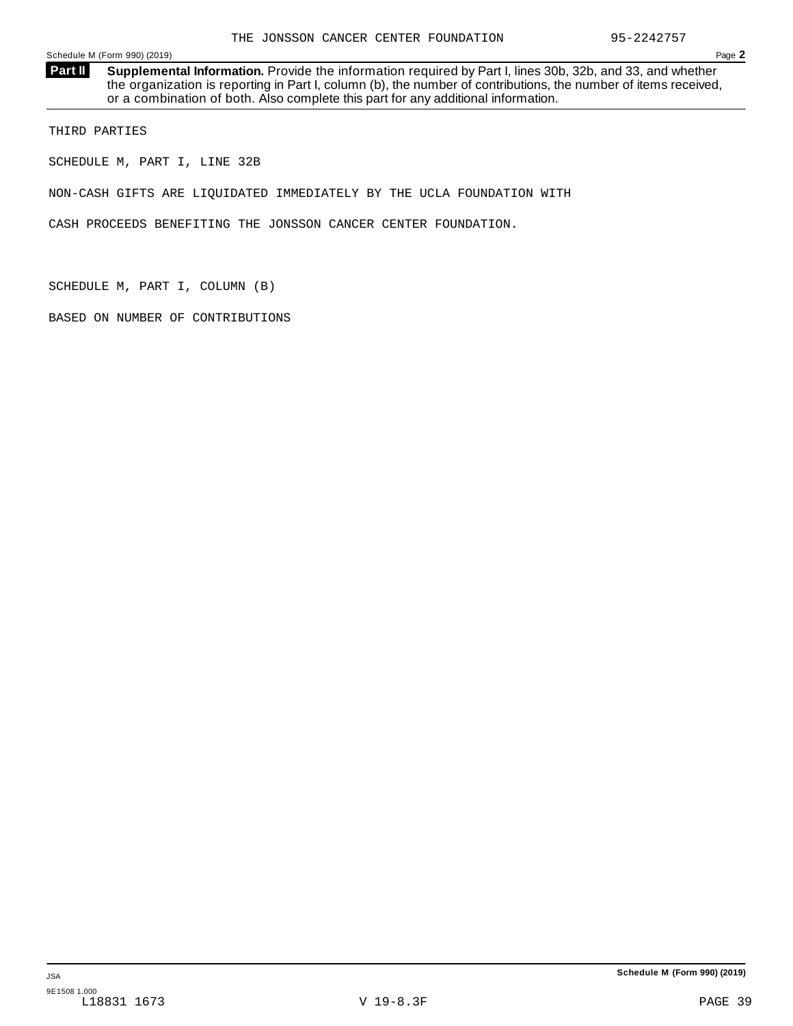**Supplemental Information.** Provide the information required by Part I, lines 30b, 32b, and 33, and whether the organization is reporting in Part I, column (b), the number of contributions, the number of items received, or a combination of both. Also complete this part for any additional information. **Part II**

THIRD PARTIES

SCHEDULE M, PART I, LINE 32B

NON-CASH GIFTS ARE LIQUIDATED IMMEDIATELY BY THE UCLA FOUNDATION WITH

CASH PROCEEDS BENEFITING THE JONSSON CANCER CENTER FOUNDATION.

SCHEDULE M, PART I, COLUMN (B)

BASED ON NUMBER OF CONTRIBUTIONS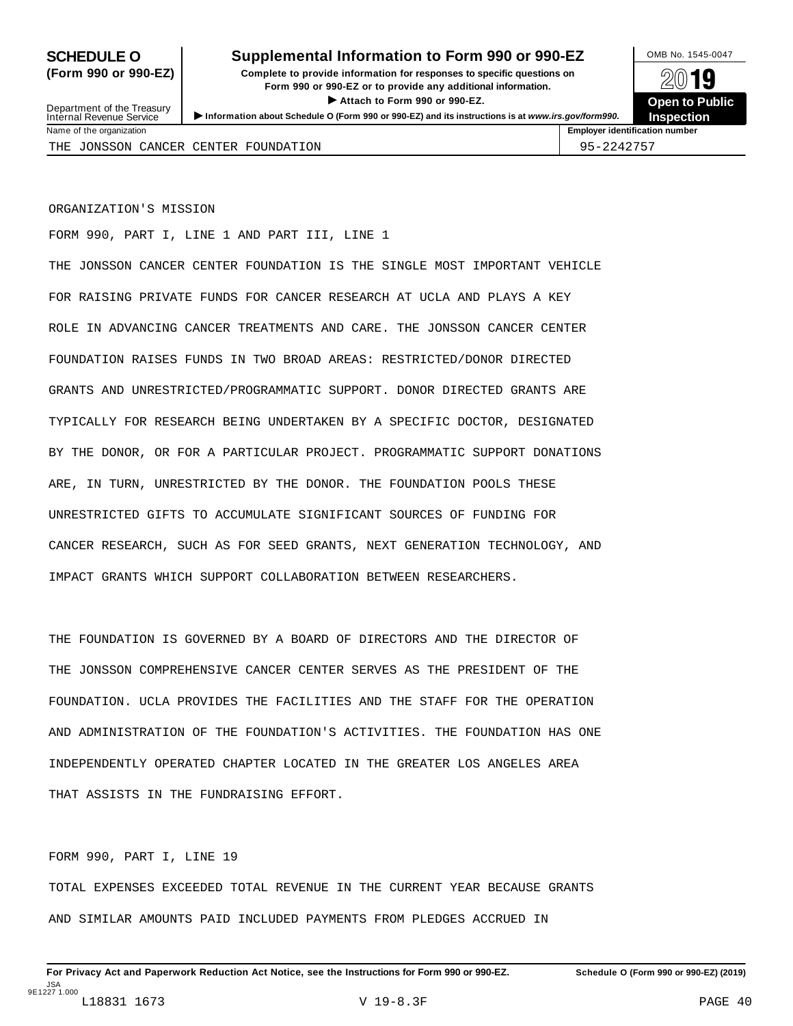### **SCHEDULE O** Supplemental Information to Form 990 or 990-EZ DMB No. 1545-0047

**(Form 990 or 990-EZ) Complete to provide information for responses to specific questions on** plete to provide information for responses to specific questions on  $\mathbb{Z}^{0}$  **19 EV I D**<br>
■ Attach to Form 990 or 990-EZ.<br>
■ Public Public Public Public Public Department of the Treasury <br>Depen to Public<br>Name of the organization<br>Name of the organization<br>Name of the organization<br>Name of the organization



Department of the Treasury<br>Internal Revenue Service

ORGANIZATION'S MISSION

FORM 990, PART I, LINE 1 AND PART III, LINE 1

THE JONSSON CANCER CENTER FOUNDATION IS THE SINGLE MOST IMPORTANT VEHICLE FOR RAISING PRIVATE FUNDS FOR CANCER RESEARCH AT UCLA AND PLAYS A KEY ROLE IN ADVANCING CANCER TREATMENTS AND CARE. THE JONSSON CANCER CENTER FOUNDATION RAISES FUNDS IN TWO BROAD AREAS: RESTRICTED/DONOR DIRECTED GRANTS AND UNRESTRICTED/PROGRAMMATIC SUPPORT. DONOR DIRECTED GRANTS ARE TYPICALLY FOR RESEARCH BEING UNDERTAKEN BY A SPECIFIC DOCTOR, DESIGNATED BY THE DONOR, OR FOR A PARTICULAR PROJECT. PROGRAMMATIC SUPPORT DONATIONS ARE, IN TURN, UNRESTRICTED BY THE DONOR. THE FOUNDATION POOLS THESE UNRESTRICTED GIFTS TO ACCUMULATE SIGNIFICANT SOURCES OF FUNDING FOR CANCER RESEARCH, SUCH AS FOR SEED GRANTS, NEXT GENERATION TECHNOLOGY, AND IMPACT GRANTS WHICH SUPPORT COLLABORATION BETWEEN RESEARCHERS.

THE FOUNDATION IS GOVERNED BY A BOARD OF DIRECTORS AND THE DIRECTOR OF THE JONSSON COMPREHENSIVE CANCER CENTER SERVES AS THE PRESIDENT OF THE FOUNDATION. UCLA PROVIDES THE FACILITIES AND THE STAFF FOR THE OPERATION AND ADMINISTRATION OF THE FOUNDATION'S ACTIVITIES. THE FOUNDATION HAS ONE INDEPENDENTLY OPERATED CHAPTER LOCATED IN THE GREATER LOS ANGELES AREA THAT ASSISTS IN THE FUNDRAISING EFFORT.

FORM 990, PART I, LINE 19

TOTAL EXPENSES EXCEEDED TOTAL REVENUE IN THE CURRENT YEAR BECAUSE GRANTS AND SIMILAR AMOUNTS PAID INCLUDED PAYMENTS FROM PLEDGES ACCRUED IN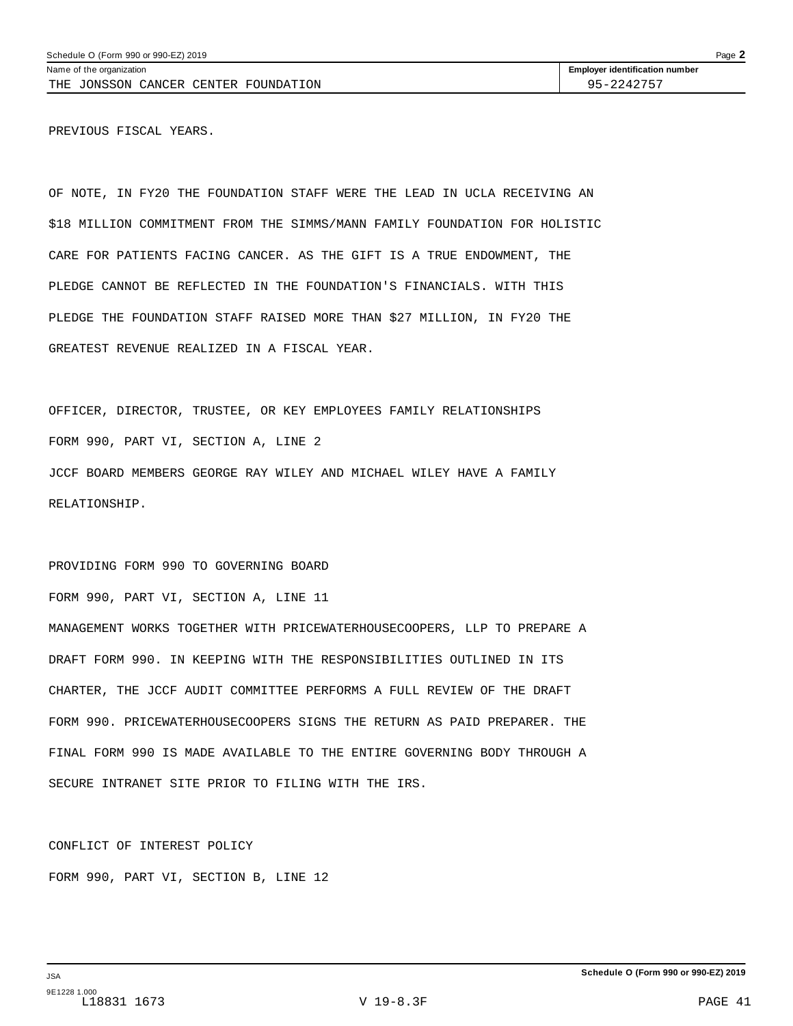THE JONSSON CANCER CENTER FOUNDATION  $\vert$  95-2242757

PREVIOUS FISCAL YEARS.

OF NOTE, IN FY20 THE FOUNDATION STAFF WERE THE LEAD IN UCLA RECEIVING AN \$18 MILLION COMMITMENT FROM THE SIMMS/MANN FAMILY FOUNDATION FOR HOLISTIC CARE FOR PATIENTS FACING CANCER. AS THE GIFT IS A TRUE ENDOWMENT, THE PLEDGE CANNOT BE REFLECTED IN THE FOUNDATION'S FINANCIALS. WITH THIS PLEDGE THE FOUNDATION STAFF RAISED MORE THAN \$27 MILLION, IN FY20 THE GREATEST REVENUE REALIZED IN A FISCAL YEAR.

OFFICER, DIRECTOR, TRUSTEE, OR KEY EMPLOYEES FAMILY RELATIONSHIPS FORM 990, PART VI, SECTION A, LINE 2 JCCF BOARD MEMBERS GEORGE RAY WILEY AND MICHAEL WILEY HAVE A FAMILY RELATIONSHIP.

PROVIDING FORM 990 TO GOVERNING BOARD FORM 990, PART VI, SECTION A, LINE 11 MANAGEMENT WORKS TOGETHER WITH PRICEWATERHOUSECOOPERS, LLP TO PREPARE A DRAFT FORM 990. IN KEEPING WITH THE RESPONSIBILITIES OUTLINED IN ITS CHARTER, THE JCCF AUDIT COMMITTEE PERFORMS A FULL REVIEW OF THE DRAFT FORM 990. PRICEWATERHOUSECOOPERS SIGNS THE RETURN AS PAID PREPARER. THE FINAL FORM 990 IS MADE AVAILABLE TO THE ENTIRE GOVERNING BODY THROUGH A SECURE INTRANET SITE PRIOR TO FILING WITH THE IRS.

CONFLICT OF INTEREST POLICY FORM 990, PART VI, SECTION B, LINE 12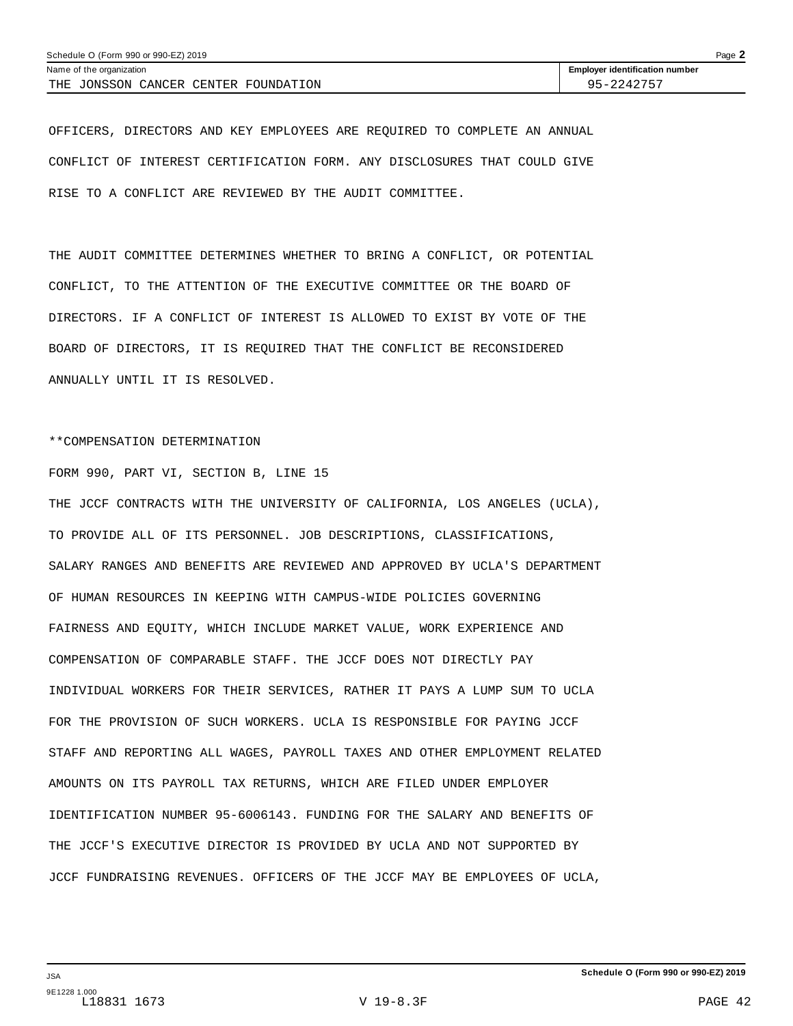| Schedule O (Form 990 or 990-EZ) 2019 | Page $\blacktriangle$                 |
|--------------------------------------|---------------------------------------|
| Name of the organization             | <b>Employer identification number</b> |
| THE JONSSON CANCER CENTER FOUNDATION | 95-2242757                            |

OFFICERS, DIRECTORS AND KEY EMPLOYEES ARE REQUIRED TO COMPLETE AN ANNUAL CONFLICT OF INTEREST CERTIFICATION FORM. ANY DISCLOSURES THAT COULD GIVE RISE TO A CONFLICT ARE REVIEWED BY THE AUDIT COMMITTEE.

THE AUDIT COMMITTEE DETERMINES WHETHER TO BRING A CONFLICT, OR POTENTIAL CONFLICT, TO THE ATTENTION OF THE EXECUTIVE COMMITTEE OR THE BOARD OF DIRECTORS. IF A CONFLICT OF INTEREST IS ALLOWED TO EXIST BY VOTE OF THE BOARD OF DIRECTORS, IT IS REQUIRED THAT THE CONFLICT BE RECONSIDERED ANNUALLY UNTIL IT IS RESOLVED.

### \*\*COMPENSATION DETERMINATION

FORM 990, PART VI, SECTION B, LINE 15

THE JCCF CONTRACTS WITH THE UNIVERSITY OF CALIFORNIA, LOS ANGELES (UCLA), TO PROVIDE ALL OF ITS PERSONNEL. JOB DESCRIPTIONS, CLASSIFICATIONS, SALARY RANGES AND BENEFITS ARE REVIEWED AND APPROVED BY UCLA'S DEPARTMENT OF HUMAN RESOURCES IN KEEPING WITH CAMPUS-WIDE POLICIES GOVERNING FAIRNESS AND EQUITY, WHICH INCLUDE MARKET VALUE, WORK EXPERIENCE AND COMPENSATION OF COMPARABLE STAFF. THE JCCF DOES NOT DIRECTLY PAY INDIVIDUAL WORKERS FOR THEIR SERVICES, RATHER IT PAYS A LUMP SUM TO UCLA FOR THE PROVISION OF SUCH WORKERS. UCLA IS RESPONSIBLE FOR PAYING JCCF STAFF AND REPORTING ALL WAGES, PAYROLL TAXES AND OTHER EMPLOYMENT RELATED AMOUNTS ON ITS PAYROLL TAX RETURNS, WHICH ARE FILED UNDER EMPLOYER IDENTIFICATION NUMBER 95-6006143. FUNDING FOR THE SALARY AND BENEFITS OF THE JCCF'S EXECUTIVE DIRECTOR IS PROVIDED BY UCLA AND NOT SUPPORTED BY JCCF FUNDRAISING REVENUES. OFFICERS OF THE JCCF MAY BE EMPLOYEES OF UCLA,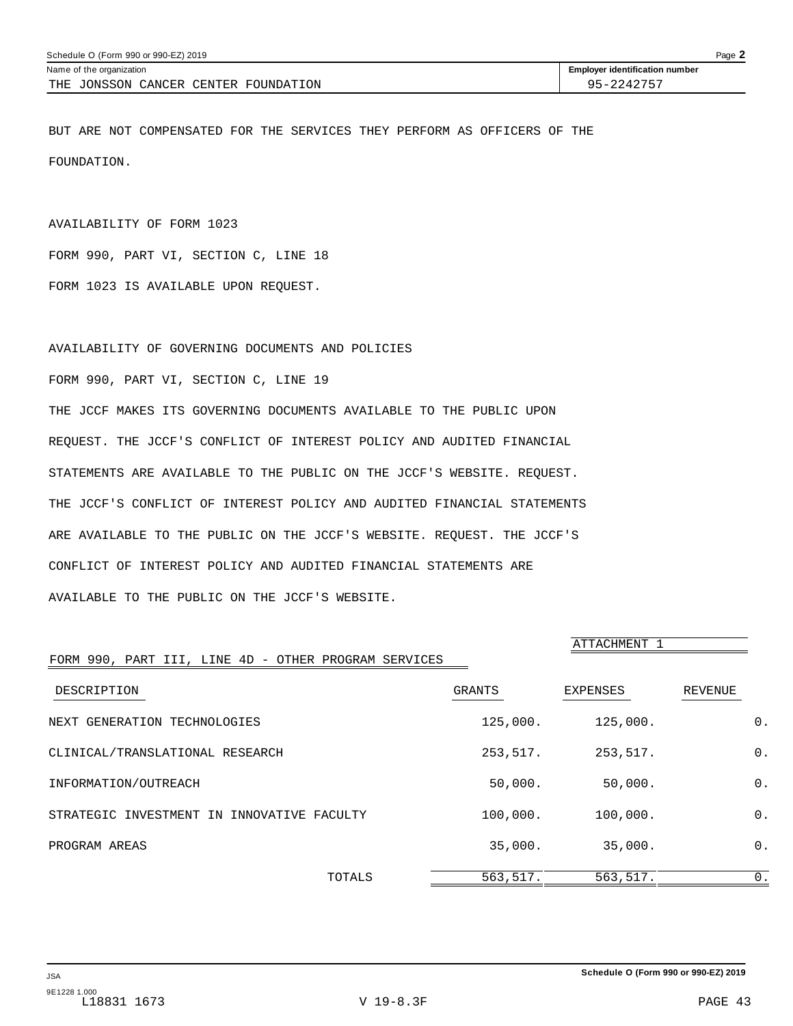| Schedule O (Form 990 or 990-EZ) 2019    | Page $\blacktriangle$                 |
|-----------------------------------------|---------------------------------------|
| Name of the organization                | <b>Employer identification number</b> |
| THE<br>JONSSON CANCER CENTER FOUNDATION | 95-2242757                            |

BUT ARE NOT COMPENSATED FOR THE SERVICES THEY PERFORM AS OFFICERS OF THE FOUNDATION.

### AVAILABILITY OF FORM 1023

FORM 990, PART VI, SECTION C, LINE 18

FORM 1023 IS AVAILABLE UPON REQUEST.

### AVAILABILITY OF GOVERNING DOCUMENTS AND POLICIES

FORM 990, PART VI, SECTION C, LINE 19

THE JCCF MAKES ITS GOVERNING DOCUMENTS AVAILABLE TO THE PUBLIC UPON REQUEST. THE JCCF'S CONFLICT OF INTEREST POLICY AND AUDITED FINANCIAL STATEMENTS ARE AVAILABLE TO THE PUBLIC ON THE JCCF'S WEBSITE. REQUEST. THE JCCF'S CONFLICT OF INTEREST POLICY AND AUDITED FINANCIAL STATEMENTS ARE AVAILABLE TO THE PUBLIC ON THE JCCF'S WEBSITE. REQUEST. THE JCCF'S CONFLICT OF INTEREST POLICY AND AUDITED FINANCIAL STATEMENTS ARE AVAILABLE TO THE PUBLIC ON THE JCCF'S WEBSITE.

|                                                      |          | ATTACHMENT 1 |         |
|------------------------------------------------------|----------|--------------|---------|
| FORM 990, PART III, LINE 4D - OTHER PROGRAM SERVICES |          |              |         |
| DESCRIPTION                                          | GRANTS   | EXPENSES     | REVENUE |
| NEXT GENERATION TECHNOLOGIES                         | 125,000. | 125,000.     | 0.      |
| CLINICAL/TRANSLATIONAL RESEARCH                      | 253,517. | 253,517.     | 0.      |
| INFORMATION/OUTREACH                                 | 50,000.  | 50,000.      | 0.      |
| STRATEGIC INVESTMENT IN INNOVATIVE FACULTY           | 100,000. | 100,000.     | $0$ .   |
| PROGRAM AREAS                                        | 35,000.  | 35,000.      | $0$ .   |
| TOTALS                                               | 563,517. | 563,517.     | 0.      |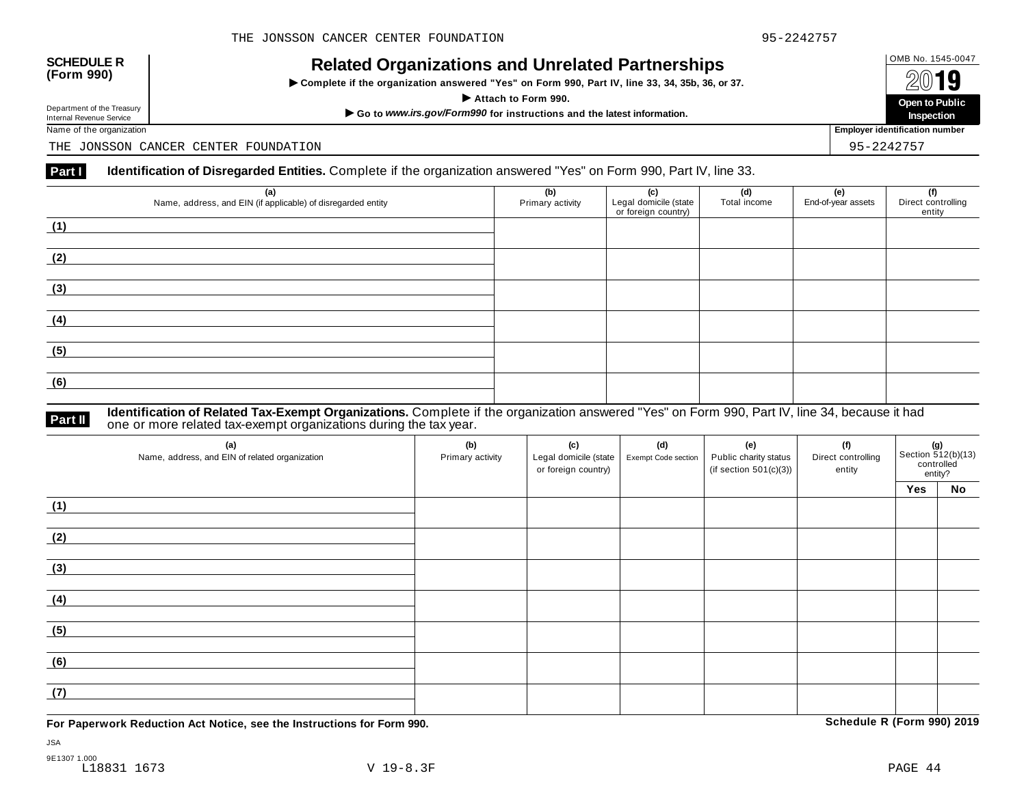## OMB No. 1545-0047 **SCHEDULE R (Form 990) Related Organizations and Unrelated Partnerships**

 $\triangleright$  Complete if the organization answered "Yes" on Form 990, Part IV, line 33, 34, 35b, 36, or 37.



Department of the Treasury<br>Internal Revenue Service

THE JONSSON CANCER CENTER FOUNDATION  $\vert$  95-2242757

### **Part I Identification of Disregarded Entities.** Complete if the organization answered "Yes" on Form 990, Part IV, line 33.

| (a)<br>Name, address, and EIN (if applicable) of disregarded entity | (b)<br>Primary activity | (c)<br>Legal domicile (state<br>or foreign country) | (d)<br>Total income | (e)<br>End-of-year assets | (f)<br>Direct controlling<br>entity |
|---------------------------------------------------------------------|-------------------------|-----------------------------------------------------|---------------------|---------------------------|-------------------------------------|
| (1)                                                                 |                         |                                                     |                     |                           |                                     |
| (2)                                                                 |                         |                                                     |                     |                           |                                     |
| (3)                                                                 |                         |                                                     |                     |                           |                                     |
| (4)                                                                 |                         |                                                     |                     |                           |                                     |
| (5)                                                                 |                         |                                                     |                     |                           |                                     |
| (6)                                                                 |                         |                                                     |                     |                           |                                     |

### **Identification of Related Tax-Exempt Organizations.** Complete if the organization answered "Yes" on Form 990, Part IV, line 34, because it had **Part II** one or more related tax-exempt organizations during the tax year.

| (a)<br>Name, address, and EIN of related organization | (b)<br>Primary activity | (c)<br>Legal domicile (state<br>or foreign country) | (d)<br>Exempt Code section | (e)<br>Public charity status<br>(if section $501(c)(3)$ ) | (f)<br>Direct controlling<br>entity | <b>(g)</b><br>Section 512(b)(13)<br>controlled<br>entity? |    |
|-------------------------------------------------------|-------------------------|-----------------------------------------------------|----------------------------|-----------------------------------------------------------|-------------------------------------|-----------------------------------------------------------|----|
|                                                       |                         |                                                     |                            |                                                           |                                     | Yes                                                       | No |
| (1)                                                   |                         |                                                     |                            |                                                           |                                     |                                                           |    |
| (2)                                                   |                         |                                                     |                            |                                                           |                                     |                                                           |    |
| (3)                                                   |                         |                                                     |                            |                                                           |                                     |                                                           |    |
| (4)                                                   |                         |                                                     |                            |                                                           |                                     |                                                           |    |
| (5)                                                   |                         |                                                     |                            |                                                           |                                     |                                                           |    |
| (6)                                                   |                         |                                                     |                            |                                                           |                                     |                                                           |    |
| (7)                                                   |                         |                                                     |                            |                                                           |                                     |                                                           |    |

**For Paperwork Reduction Act Notice, see the Instructions for Form 990. Schedule R (Form 990) 2019**

JSA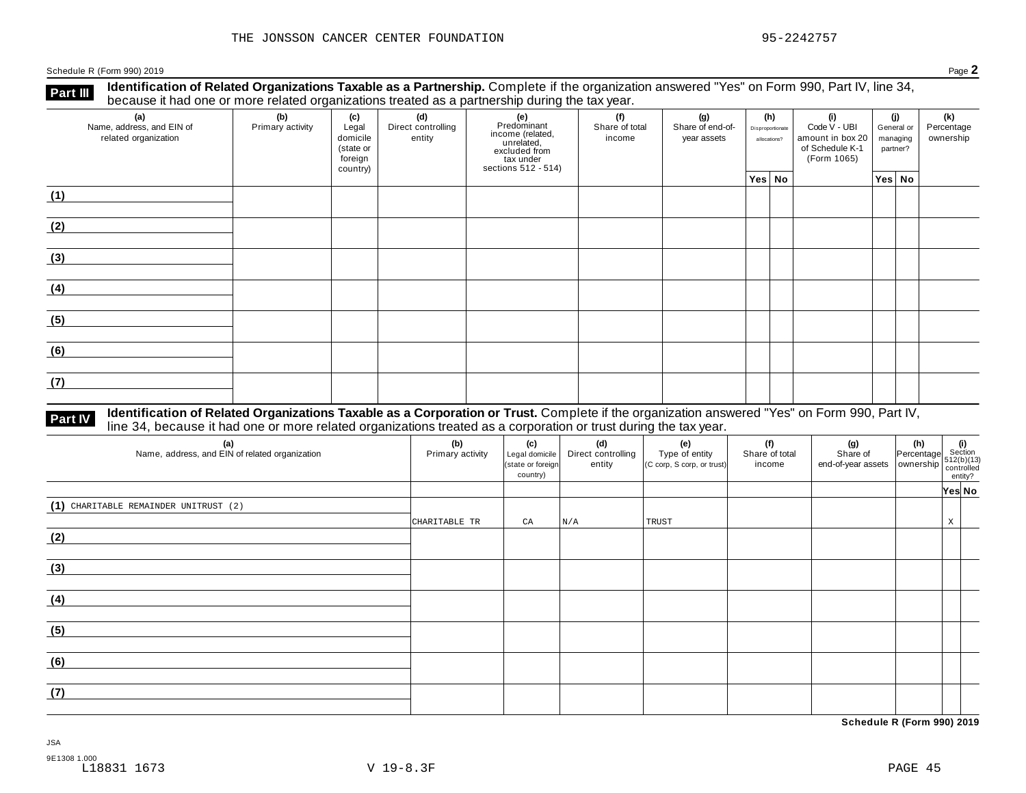**Identification of Related Organizations Taxable as a Partnership.** Complete if the organization answered "Yes" on Form 990, Part IV, line 34, **because it had one or more related organizations Taxable as a Partnership.** Complete if the organization of Related organizations treated as a partnership during the tax year.

| (a)<br>Name, address, and EIN of<br>related organization | ັ<br>(b)<br>Primary activity | (c)<br>Legal<br>domicile<br>(state or<br>foreign<br>country) | .<br>(d)<br>Direct controlling<br>entity | ັ<br>(e)<br>Predominant<br>Frecomman<br>income (related,<br>unrelated,<br>sccluded from<br>sections 512 - 514) | (f)<br>Share of total<br>income | (g)<br>Share of end-of-<br>year assets | (h)<br>Disproportionate<br>allocations? | (i)<br>Code V - UBI<br>amount in box 20<br>of Schedule K-1<br>(Form 1065) | (i)<br>General or<br>managing<br>partner? | (k)<br>Percentage<br>ownership |
|----------------------------------------------------------|------------------------------|--------------------------------------------------------------|------------------------------------------|----------------------------------------------------------------------------------------------------------------|---------------------------------|----------------------------------------|-----------------------------------------|---------------------------------------------------------------------------|-------------------------------------------|--------------------------------|
|                                                          |                              |                                                              |                                          |                                                                                                                |                                 |                                        | Yes No                                  |                                                                           | Yes No                                    |                                |
| (1)                                                      |                              |                                                              |                                          |                                                                                                                |                                 |                                        |                                         |                                                                           |                                           |                                |
| (2)                                                      |                              |                                                              |                                          |                                                                                                                |                                 |                                        |                                         |                                                                           |                                           |                                |
| (3)                                                      |                              |                                                              |                                          |                                                                                                                |                                 |                                        |                                         |                                                                           |                                           |                                |
| (4)                                                      |                              |                                                              |                                          |                                                                                                                |                                 |                                        |                                         |                                                                           |                                           |                                |
| (5)                                                      |                              |                                                              |                                          |                                                                                                                |                                 |                                        |                                         |                                                                           |                                           |                                |
| (6)                                                      |                              |                                                              |                                          |                                                                                                                |                                 |                                        |                                         |                                                                           |                                           |                                |
| (7)                                                      |                              |                                                              |                                          |                                                                                                                |                                 |                                        |                                         |                                                                           |                                           |                                |

# **Part IV** Identification of Related Organizations Taxable as a Corporation or Trust. Complete if the organization answered "Yes" on Form 990, Part IV,<br>line 34, because it had one or more related organizations treated as a

| (a)<br>Name, address, and EIN of related organization | (b)<br>Primary activity | (c)<br>Legal domicile<br>(state or foreign<br>country) | (d)<br>Direct controlling<br>entity | (e)<br>Type of entity<br>(C corp, S corp, or trust) | (f)<br>Share of total<br>income | $\begin{array}{ c c c }\n\hline\n\text{(g)} & \text{(h)} & \text{(i)} \\ \text{Share of} & \text{Percentage} & \text{Section} \\ \text{end-of-year assets} & \text{ ownership} & \text{control} \\ \hline\n\text{controled} & \text{entity?} \\ \hline\n\end{array}$ |        |
|-------------------------------------------------------|-------------------------|--------------------------------------------------------|-------------------------------------|-----------------------------------------------------|---------------------------------|----------------------------------------------------------------------------------------------------------------------------------------------------------------------------------------------------------------------------------------------------------------------|--------|
|                                                       |                         |                                                        |                                     |                                                     |                                 |                                                                                                                                                                                                                                                                      | Yes No |
| (1) CHARITABLE REMAINDER UNITRUST (2)                 |                         |                                                        |                                     |                                                     |                                 |                                                                                                                                                                                                                                                                      |        |
|                                                       | CHARITABLE TR           | CA                                                     | N/A                                 | TRUST                                               |                                 |                                                                                                                                                                                                                                                                      | X      |
| (2)                                                   |                         |                                                        |                                     |                                                     |                                 |                                                                                                                                                                                                                                                                      |        |
|                                                       |                         |                                                        |                                     |                                                     |                                 |                                                                                                                                                                                                                                                                      |        |
| (3)                                                   |                         |                                                        |                                     |                                                     |                                 |                                                                                                                                                                                                                                                                      |        |
|                                                       |                         |                                                        |                                     |                                                     |                                 |                                                                                                                                                                                                                                                                      |        |
| (4)                                                   |                         |                                                        |                                     |                                                     |                                 |                                                                                                                                                                                                                                                                      |        |
|                                                       |                         |                                                        |                                     |                                                     |                                 |                                                                                                                                                                                                                                                                      |        |
| (5)                                                   |                         |                                                        |                                     |                                                     |                                 |                                                                                                                                                                                                                                                                      |        |
|                                                       |                         |                                                        |                                     |                                                     |                                 |                                                                                                                                                                                                                                                                      |        |
| (6)                                                   |                         |                                                        |                                     |                                                     |                                 |                                                                                                                                                                                                                                                                      |        |
|                                                       |                         |                                                        |                                     |                                                     |                                 |                                                                                                                                                                                                                                                                      |        |
| (7)                                                   |                         |                                                        |                                     |                                                     |                                 |                                                                                                                                                                                                                                                                      |        |
|                                                       |                         |                                                        |                                     |                                                     |                                 |                                                                                                                                                                                                                                                                      |        |

**Schedule R (Form 990) 2019**

JSA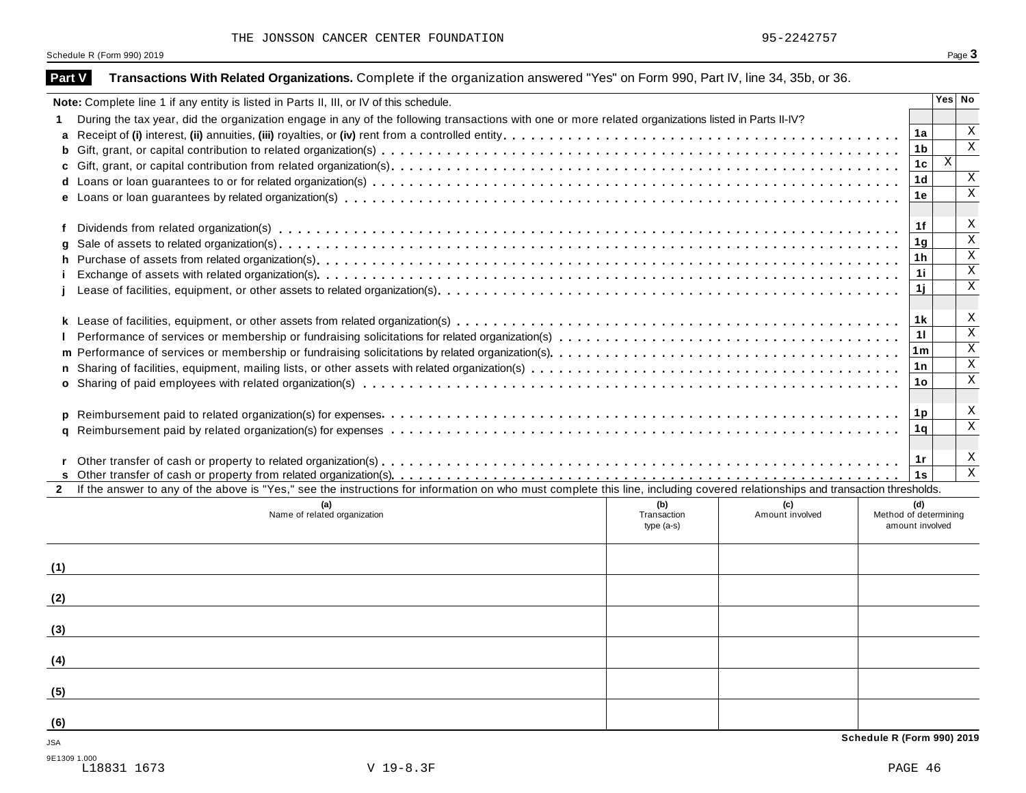| <b>Part V</b> | Transactions With Related Organizations. Complete if the organization answered "Yes" on Form 990, Part IV, line 34, 35b, or 36.                                              |                |                         |
|---------------|------------------------------------------------------------------------------------------------------------------------------------------------------------------------------|----------------|-------------------------|
|               | Note: Complete line 1 if any entity is listed in Parts II, III, or IV of this schedule.                                                                                      |                | Yes No                  |
|               | During the tax year, did the organization engage in any of the following transactions with one or more related organizations listed in Parts II-IV?                          |                |                         |
| a             |                                                                                                                                                                              | 1a             | $\mathbf x$             |
| b             |                                                                                                                                                                              | 1b             | $\overline{\mathbf{x}}$ |
| c             |                                                                                                                                                                              | 1c             | $\mathbf{X}$            |
| d             |                                                                                                                                                                              | 1 <sub>d</sub> | $\mathbf X$             |
|               |                                                                                                                                                                              | 1е             | $\mathbf X$             |
|               |                                                                                                                                                                              | 1f             | X                       |
| f             |                                                                                                                                                                              | 1 <sub>g</sub> | $\overline{\mathbf{x}}$ |
| q<br>h        |                                                                                                                                                                              | 1 <sub>h</sub> | $\overline{\mathbf{x}}$ |
|               |                                                                                                                                                                              | 1i             | $\mathbf X$             |
|               |                                                                                                                                                                              | 1j             | $\mathbf X$             |
|               |                                                                                                                                                                              |                |                         |
|               |                                                                                                                                                                              | 1 k            | X                       |
|               |                                                                                                                                                                              | 11             | $\overline{\mathbf{x}}$ |
|               |                                                                                                                                                                              | 1 <sub>m</sub> | $\mathbf X$             |
|               |                                                                                                                                                                              | 1 n            | $\overline{\mathbf{x}}$ |
| $\mathbf{o}$  |                                                                                                                                                                              | 1o             | $\mathbf X$             |
|               |                                                                                                                                                                              |                |                         |
| D             |                                                                                                                                                                              | 1 <sub>p</sub> | X                       |
| a             |                                                                                                                                                                              | 1q             | $\mathbf X$             |
|               |                                                                                                                                                                              |                | X                       |
|               |                                                                                                                                                                              | 1r<br>1s       | $\overline{\mathbf{x}}$ |
| $\mathbf{2}$  | If the answer to any of the above is "Yes," see the instructions for information on who must complete this line, including covered relationships and transaction thresholds. |                |                         |
|               | (a)<br>(b)<br>(c)<br>(d)                                                                                                                                                     |                |                         |
|               | Amount involved<br>Method of determining<br>Name of related organization<br>Transaction<br>amount involved<br>$type(a-s)$                                                    |                |                         |
|               |                                                                                                                                                                              |                |                         |
|               |                                                                                                                                                                              |                |                         |
| (1)           |                                                                                                                                                                              |                |                         |
|               |                                                                                                                                                                              |                |                         |
| (2)           |                                                                                                                                                                              |                |                         |
| (3)           |                                                                                                                                                                              |                |                         |
|               |                                                                                                                                                                              |                |                         |
| (4)           |                                                                                                                                                                              |                |                         |
| (5)           |                                                                                                                                                                              |                |                         |
|               |                                                                                                                                                                              |                |                         |
| (6)           |                                                                                                                                                                              |                |                         |
| <b>JSA</b>    | Schedule R (Form 990) 2019                                                                                                                                                   |                |                         |
| 9E1309 1.000  |                                                                                                                                                                              |                |                         |

L18831 1673 L18831 1673 V 19-8.3F PAGE 46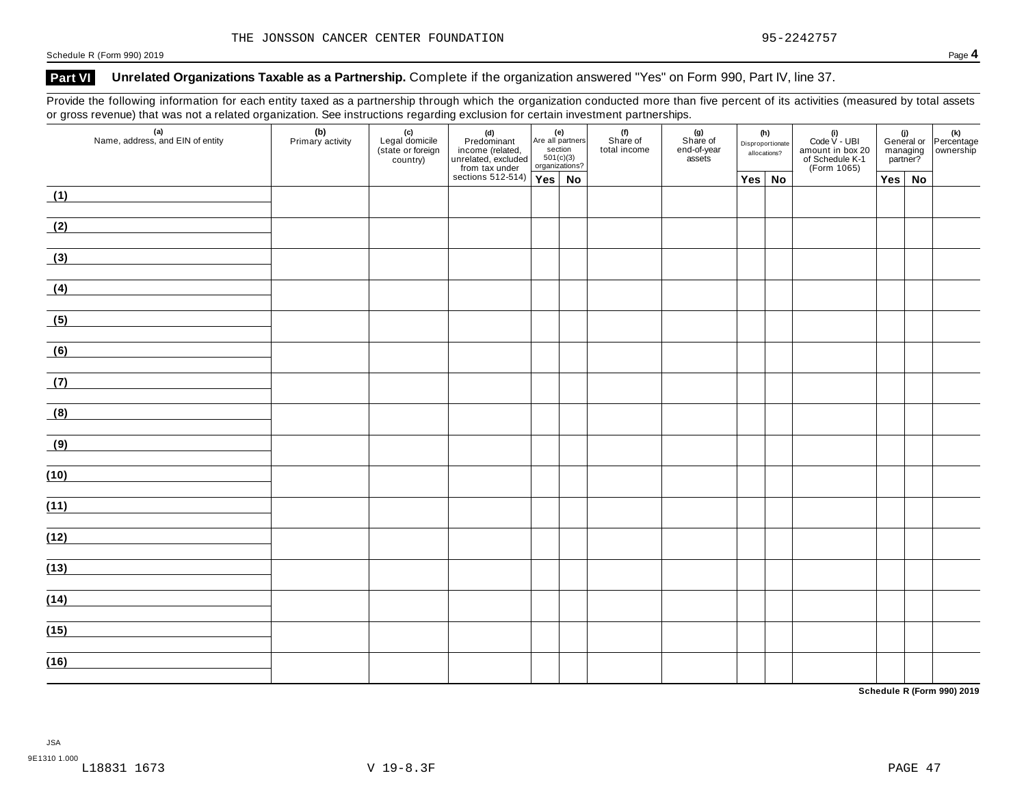### **Part VI Unrelated Organizations Taxable as a Partnership.** Complete if the organization answered "Yes" on Form 990, Part IV, line 37.

Provide the following information for each entity taxed as a partnership through which the organization conducted more than five percent of its activities (measured by total assets or gross revenue) that was not a related organization. See instructions regarding exclusion for certain investment partnerships.

|                                         |                         |                                                        |                                                                                                      |                                                                   |  | . .                                                                         |  |                                         |               |                                                                           |               |                                                                |
|-----------------------------------------|-------------------------|--------------------------------------------------------|------------------------------------------------------------------------------------------------------|-------------------------------------------------------------------|--|-----------------------------------------------------------------------------|--|-----------------------------------------|---------------|---------------------------------------------------------------------------|---------------|----------------------------------------------------------------|
| (a)<br>Name, address, and EIN of entity | (b)<br>Primary activity | (c)<br>Legal domicile<br>(state or foreign<br>country) | (d)<br>Predominant<br>income (related,<br>unrelated, excluded<br>from tax under<br>sections 512-514) | (e)<br>Are all partners<br>section<br>501(c)(3)<br>organizations? |  | (f)<br>Share of<br>(g)<br>Share of<br>end-of-year<br>total income<br>assets |  | (h)<br>Disproportionate<br>allocations? |               | (i)<br>Code V - UBI<br>amount in box 20<br>of Schedule K-1<br>(Form 1065) |               | (i)<br>General or Percentage<br>managing ownership<br>partner? |
|                                         |                         |                                                        |                                                                                                      | Yes No                                                            |  |                                                                             |  |                                         | $Yes \mid No$ |                                                                           | $Yes \mid No$ |                                                                |
| (1)                                     |                         |                                                        |                                                                                                      |                                                                   |  |                                                                             |  |                                         |               |                                                                           |               |                                                                |
|                                         |                         |                                                        |                                                                                                      |                                                                   |  |                                                                             |  |                                         |               |                                                                           |               |                                                                |
| (2)                                     |                         |                                                        |                                                                                                      |                                                                   |  |                                                                             |  |                                         |               |                                                                           |               |                                                                |
| (3)                                     |                         |                                                        |                                                                                                      |                                                                   |  |                                                                             |  |                                         |               |                                                                           |               |                                                                |
| (4)                                     |                         |                                                        |                                                                                                      |                                                                   |  |                                                                             |  |                                         |               |                                                                           |               |                                                                |
| (5)                                     |                         |                                                        |                                                                                                      |                                                                   |  |                                                                             |  |                                         |               |                                                                           |               |                                                                |
| (6)                                     |                         |                                                        |                                                                                                      |                                                                   |  |                                                                             |  |                                         |               |                                                                           |               |                                                                |
| (7)                                     |                         |                                                        |                                                                                                      |                                                                   |  |                                                                             |  |                                         |               |                                                                           |               |                                                                |
|                                         |                         |                                                        |                                                                                                      |                                                                   |  |                                                                             |  |                                         |               |                                                                           |               |                                                                |
| (8)                                     |                         |                                                        |                                                                                                      |                                                                   |  |                                                                             |  |                                         |               |                                                                           |               |                                                                |
| (9)                                     |                         |                                                        |                                                                                                      |                                                                   |  |                                                                             |  |                                         |               |                                                                           |               |                                                                |
| (10)                                    |                         |                                                        |                                                                                                      |                                                                   |  |                                                                             |  |                                         |               |                                                                           |               |                                                                |
| (11)                                    |                         |                                                        |                                                                                                      |                                                                   |  |                                                                             |  |                                         |               |                                                                           |               |                                                                |
| (12)                                    |                         |                                                        |                                                                                                      |                                                                   |  |                                                                             |  |                                         |               |                                                                           |               |                                                                |
| (13)                                    |                         |                                                        |                                                                                                      |                                                                   |  |                                                                             |  |                                         |               |                                                                           |               |                                                                |
| (14)                                    |                         |                                                        |                                                                                                      |                                                                   |  |                                                                             |  |                                         |               |                                                                           |               |                                                                |
| (15)                                    |                         |                                                        |                                                                                                      |                                                                   |  |                                                                             |  |                                         |               |                                                                           |               |                                                                |
|                                         |                         |                                                        |                                                                                                      |                                                                   |  |                                                                             |  |                                         |               |                                                                           |               |                                                                |
| (16)                                    |                         |                                                        |                                                                                                      |                                                                   |  |                                                                             |  |                                         |               |                                                                           |               |                                                                |

**Schedule R (Form 990) 2019**